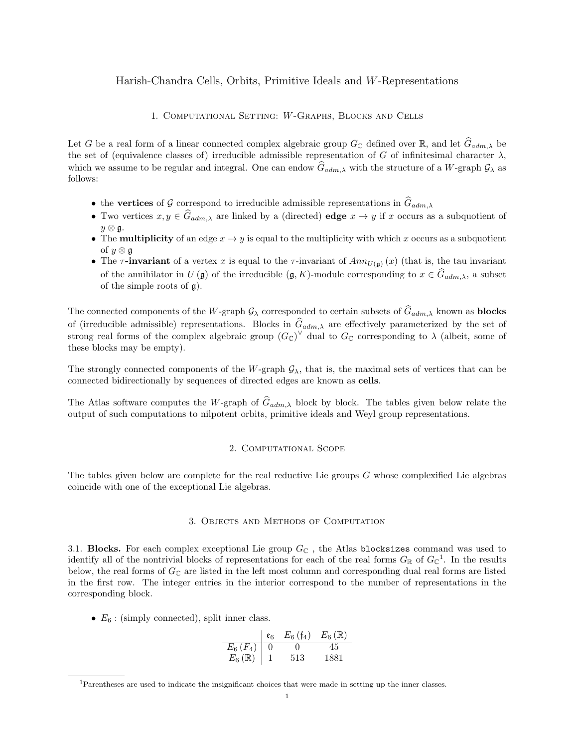### Harish-Chandra Cells, Orbits, Primitive Ideals and W-Representations

### 1. Computational Setting: W-Graphs, Blocks and Cells

Let G be a real form of a linear connected complex algebraic group  $G_{\mathbb{C}}$  defined over  $\mathbb{R}$ , and let  $\hat{G}_{adm,\lambda}$  be the set of (equivalence classes of) irreducible admissible representation of G of infinitesimal character  $\lambda$ , which we assume to be regular and integral. One can endow  $\hat{G}_{adm,\lambda}$  with the structure of a W-graph  $\mathcal{G}_{\lambda}$  as follows:

- the vertices of G correspond to irreducible admissible representations in  $\hat{G}_{adm,\lambda}$
- Two vertices  $x, y \in \hat{G}_{adm,\lambda}$  are linked by a (directed) edge  $x \to y$  if x occurs as a subquotient of  $y \otimes \mathfrak{g}$ .
- The **multiplicity** of an edge  $x \to y$  is equal to the multiplicity with which x occurs as a subquotient of  $y \otimes g$
- The  $\tau$ -invariant of a vertex x is equal to the  $\tau$ -invariant of  $Ann_{U(\mathfrak{g})}(x)$  (that is, the tau invariant of the annihilator in  $U(\mathfrak{g})$  of the irreducible  $(\mathfrak{g}, K)$ -module corresponding to  $x \in \widehat{G}_{adm,\lambda}$ , a subset of the simple roots of g).

The connected components of the W-graph  $\mathcal{G}_{\lambda}$  corresponded to certain subsets of  $\widehat{G}_{adm,\lambda}$  known as **blocks** of (irreducible admissible) representations. Blocks in  $\hat{G}_{adm,\lambda}$  are effectively parameterized by the set of strong real forms of the complex algebraic group  $(G_{\mathbb{C}})^{\vee}$  dual to  $G_{\mathbb{C}}$  corresponding to  $\lambda$  (albeit, some of these blocks may be empty).

The strongly connected components of the W-graph  $\mathcal{G}_{\lambda}$ , that is, the maximal sets of vertices that can be connected bidirectionally by sequences of directed edges are known as cells.

The Atlas software computes the W-graph of  $\hat{G}_{adm,\lambda}$  block by block. The tables given below relate the output of such computations to nilpotent orbits, primitive ideals and Weyl group representations.

### 2. Computational Scope

The tables given below are complete for the real reductive Lie groups G whose complexified Lie algebras coincide with one of the exceptional Lie algebras.

### 3. Objects and Methods of Computation

3.1. Blocks. For each complex exceptional Lie group  $G_{\mathbb{C}}$ , the Atlas blocksizes command was used to identify all of the nontrivial blocks of representations for each of the real forms  $G_{\mathbb{R}}$  of  $G_{\mathbb{C}}^1$ . In the results below, the real forms of  $G_{\mathbb{C}}$  are listed in the left most column and corresponding dual real forms are listed in the first row. The integer entries in the interior correspond to the number of representations in the corresponding block.

•  $E_6$ : (simply connected), split inner class.

$$
\begin{array}{c|cc}\n & \mathfrak{e}_6 & E_6 \text{ (f}_4) & E_6 \text{ (R)} \\
\hline\nE_6 \text{ (F}_4) & 0 & 0 & 45 \\
E_6 \text{ (R)} & 1 & 513 & 1881\n\end{array}
$$

<sup>1</sup>Parentheses are used to indicate the insignificant choices that were made in setting up the inner classes.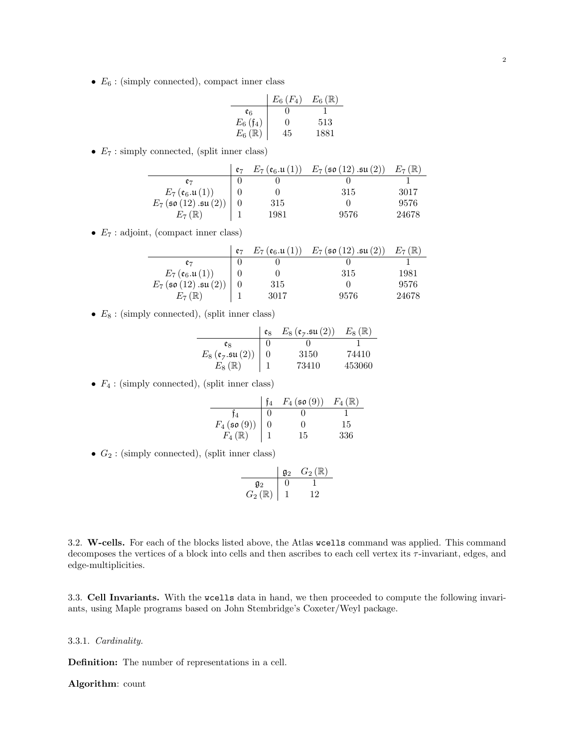•  $E_6$ : (simply connected), compact inner class

L,

|                                      | $E_6(F_4)$ | $E_6(\mathbb{R})$ |
|--------------------------------------|------------|-------------------|
| eg                                   | 0          |                   |
|                                      | $\Omega$   | 513               |
| $E_6$ (f <sub>4</sub> )<br>$E_6$ (ℝ) | 45         | 1881              |

•  $E_7$ : simply connected, (split inner class)

|                                       | $E_7(\mathfrak{e}_6.\mathfrak{u}(1))$ | $E_7$ (so (12) $\mathfrak{su}(2)$ ) | $E_7(\mathbb{R})$ |
|---------------------------------------|---------------------------------------|-------------------------------------|-------------------|
| e7                                    |                                       |                                     |                   |
| $E_7(\mathfrak{e}_6.\mathfrak{u}(1))$ |                                       | 315                                 | 3017              |
| $E_7$ (so $(12)$ .su $(2))$           | 315                                   |                                     | 9576              |
| $E_7(\mathbb{R})$                     | 1981                                  | 9576                                | 24678             |

•  $E_7$ : adjoint, (compact inner class)

|                                       | e <sub>7</sub> | $E_7(\mathfrak{e}_6.\mathfrak{u}(1))$ | $E_7$ (so (12) .su (2)) | $E_7(\mathbb{R})$ |
|---------------------------------------|----------------|---------------------------------------|-------------------------|-------------------|
|                                       |                |                                       |                         |                   |
| $E_7(\mathfrak{e}_6.\mathfrak{u}(1))$ |                |                                       | 315                     | 1981              |
| $E_7$ (so $(12)$ .su $(2))$           |                | 315                                   |                         | 9576              |
| $E_7(\mathbb{R})$                     |                | 3017                                  | 9576                    | 24678             |

•  $E_8$ : (simply connected), (split inner class)

|                                                                           | eg | $E_8(\mathfrak{e}_7.\mathfrak{su}(2))$ | $E_8(\mathbb{R})$ |
|---------------------------------------------------------------------------|----|----------------------------------------|-------------------|
| eg                                                                        |    |                                        |                   |
| $E_8$ ( $\mathfrak{e}_7$ . $\mathfrak{su}(2)$ )<br>$E_8$ ( $\mathbb{R}$ ) |    | 3150                                   | 74410             |
|                                                                           |    | 73410                                  | 453060            |

•  $F_4$ : (simply connected), (split inner class)

|                             | $F_4$ (so (9)) | $F_4(\mathbb{R})$ |
|-----------------------------|----------------|-------------------|
|                             |                |                   |
| $F_4$ (so (9))<br>$F_4$ (R) | ' '            | 15                |
|                             | 15             | 336               |

•  $G_2$ : (simply connected), (split inner class)

$$
\begin{array}{c|cc}\n & \mathfrak{g}_2 & G_2(\mathbb{R}) \\
\hline\n\mathfrak{g}_2 & 0 & 1 \\
G_2(\mathbb{R}) & 1 & 12\n\end{array}
$$

3.2. W-cells. For each of the blocks listed above, the Atlas wcells command was applied. This command decomposes the vertices of a block into cells and then ascribes to each cell vertex its  $\tau$ -invariant, edges, and edge-multiplicities.

3.3. Cell Invariants. With the wcells data in hand, we then proceeded to compute the following invariants, using Maple programs based on John Stembridge's Coxeter/Weyl package.

### 3.3.1. Cardinality.

Definition: The number of representations in a cell.

### Algorithm: count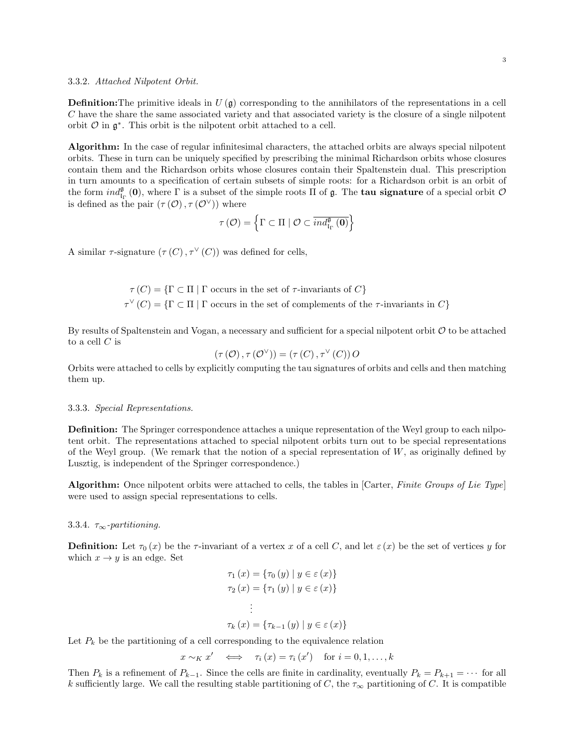#### 3.3.2. Attached Nilpotent Orbit.

**Definition:** The primitive ideals in  $U(\mathfrak{g})$  corresponding to the annihilators of the representations in a cell C have the share the same associated variety and that associated variety is the closure of a single nilpotent orbit  $\mathcal O$  in  $\mathfrak g^*$ . This orbit is the nilpotent orbit attached to a cell.

Algorithm: In the case of regular infinitesimal characters, the attached orbits are always special nilpotent orbits. These in turn can be uniquely specified by prescribing the minimal Richardson orbits whose closures contain them and the Richardson orbits whose closures contain their Spaltenstein dual. This prescription in turn amounts to a specification of certain subsets of simple roots: for a Richardson orbit is an orbit of the form  $ind_{\mathfrak{l}_\Gamma}^{\mathfrak{g}}(0)$ , where  $\Gamma$  is a subset of the simple roots  $\Pi$  of  $\mathfrak{g}$ . The **tau signature** of a special orbit  $\mathcal{O}$ is defined as the pair  $(\tau(\mathcal{O}), \tau(\mathcal{O}^{\vee}))$  where

$$
\tau\left(\mathcal{O}\right)=\left\{ \Gamma\subset\Pi\mid\mathcal{O}\subset\overline{ind_{\mathrm{Ir}}^{\mathfrak{g}}\left(\mathbf{0}\right)}\right\}
$$

A similar  $\tau$ -signature  $(\tau(C), \tau^{\vee}(C))$  was defined for cells,

 $\tau(C) = {\Gamma \subset \Pi \mid \Gamma \text{ occurs in the set of } \tau$-invariants of } C$  $\tau^{\vee}(C) = {\Gamma \subset \Pi \mid \Gamma \text{ occurs in the set of complements of the } \tau$-invariants in } C$ 

By results of Spaltenstein and Vogan, a necessary and sufficient for a special nilpotent orbit  $\mathcal O$  to be attached to a cell  $C$  is

$$
(\tau(\mathcal{O}), \tau(\mathcal{O}^{\vee})) = (\tau(C), \tau^{\vee}(C))\, O
$$

Orbits were attached to cells by explicitly computing the tau signatures of orbits and cells and then matching them up.

#### 3.3.3. Special Representations.

Definition: The Springer correspondence attaches a unique representation of the Weyl group to each nilpotent orbit. The representations attached to special nilpotent orbits turn out to be special representations of the Weyl group. (We remark that the notion of a special representation of  $W$ , as originally defined by Lusztig, is independent of the Springer correspondence.)

Algorithm: Once nilpotent orbits were attached to cells, the tables in [Carter, Finite Groups of Lie Type] were used to assign special representations to cells.

### 3.3.4.  $\tau_{\infty}$ -partitioning.

**Definition:** Let  $\tau_0(x)$  be the  $\tau$ -invariant of a vertex x of a cell C, and let  $\varepsilon(x)$  be the set of vertices y for which  $x \rightarrow y$  is an edge. Set

$$
\tau_1(x) = \{\tau_0(y) \mid y \in \varepsilon(x)\}
$$

$$
\tau_2(x) = \{\tau_1(y) \mid y \in \varepsilon(x)\}
$$

$$
\vdots
$$

$$
\tau_k(x) = \{\tau_{k-1}(y) \mid y \in \varepsilon(x)\}
$$

Let  $P_k$  be the partitioning of a cell corresponding to the equivalence relation

$$
x \sim_K x' \iff \tau_i(x) = \tau_i(x') \text{ for } i = 0, 1, \dots, k
$$

Then  $P_k$  is a refinement of  $P_{k-1}$ . Since the cells are finite in cardinality, eventually  $P_k = P_{k+1} = \cdots$  for all k sufficiently large. We call the resulting stable partitioning of C, the  $\tau_{\infty}$  partitioning of C. It is compatible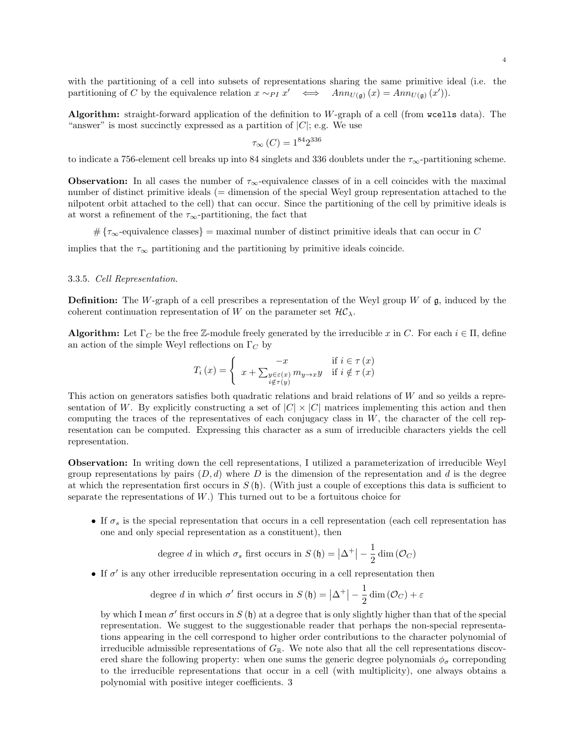with the partitioning of a cell into subsets of representations sharing the same primitive ideal (i.e. the partitioning of C by the equivalence relation  $x \sim_{PI} x' \iff Ann_{U(\mathfrak{g})}(x) = Ann_{U(\mathfrak{g})}(x')).$ 

Algorithm: straight-forward application of the definition to W-graph of a cell (from wcells data). The "answer" is most succinctly expressed as a partition of  $|C|$ ; e.g. We use

$$
\tau_{\infty} (C) = 1^{84} 2^{336}
$$

to indicate a 756-element cell breaks up into 84 singlets and 336 doublets under the  $\tau_{\infty}$ -partitioning scheme.

**Observation:** In all cases the number of  $\tau_{\infty}$ -equivalence classes of in a cell coincides with the maximal number of distinct primitive ideals (= dimension of the special Weyl group representation attached to the nilpotent orbit attached to the cell) that can occur. Since the partitioning of the cell by primitive ideals is at worst a refinement of the  $\tau_{\infty}$ -partitioning, the fact that

# ${\tau_{\infty}}$ -equivalence classes} = maximal number of distinct primitive ideals that can occur in C

implies that the  $\tau_{\infty}$  partitioning and the partitioning by primitive ideals coincide.

### 3.3.5. Cell Representation.

**Definition:** The W-graph of a cell prescribes a representation of the Weyl group W of  $\mathfrak{g}$ , induced by the coherent continuation representation of W on the parameter set  $\mathcal{HC}_\lambda$ .

**Algorithm:** Let  $\Gamma_C$  be the free Z-module freely generated by the irreducible x in C. For each  $i \in \Pi$ , define an action of the simple Weyl reflections on  $\Gamma_C$  by

$$
T_i(x) = \begin{cases} -x & \text{if } i \in \tau(x) \\ x + \sum_{\substack{y \in \varepsilon(x) \\ i \notin \tau(y)}} m_{y \to x} y & \text{if } i \notin \tau(x) \end{cases}
$$

This action on generators satisfies both quadratic relations and braid relations of W and so yeilds a representation of W. By explicitly constructing a set of  $|C| \times |C|$  matrices implementing this action and then computing the traces of the representatives of each conjugacy class in  $W$ , the character of the cell representation can be computed. Expressing this character as a sum of irreducible characters yields the cell representation.

Observation: In writing down the cell representations, I utilized a parameterization of irreducible Weyl group representations by pairs  $(D, d)$  where D is the dimension of the representation and d is the degree at which the representation first occurs in  $S(\mathfrak{h})$ . (With just a couple of exceptions this data is sufficient to separate the representations of  $W$ .) This turned out to be a fortuitous choice for

• If  $\sigma_s$  is the special representation that occurs in a cell representation (each cell representation has one and only special representation as a constituent), then

degree d in which 
$$
\sigma_s
$$
 first occurs in  $S(\mathfrak{h}) = |\Delta^+| - \frac{1}{2} \dim(\mathcal{O}_C)$ 

• If  $\sigma'$  is any other irreducible representation occuring in a cell representation then

degree d in which 
$$
\sigma'
$$
 first occurs in  $S(\mathfrak{h}) = |\Delta^+| - \frac{1}{2} \dim(\mathcal{O}_C) + \varepsilon$ 

by which I mean  $\sigma'$  first occurs in  $S(\mathfrak{h})$  at a degree that is only slightly higher than that of the special representation. We suggest to the suggestionable reader that perhaps the non-special representations appearing in the cell correspond to higher order contributions to the character polynomial of irreducible admissible representations of  $G_{\mathbb{R}}$ . We note also that all the cell representations discovered share the following property: when one sums the generic degree polynomials  $\phi_{\sigma}$  correponding to the irreducible representations that occur in a cell (with multiplicity), one always obtains a polynomial with positive integer coefficients. 3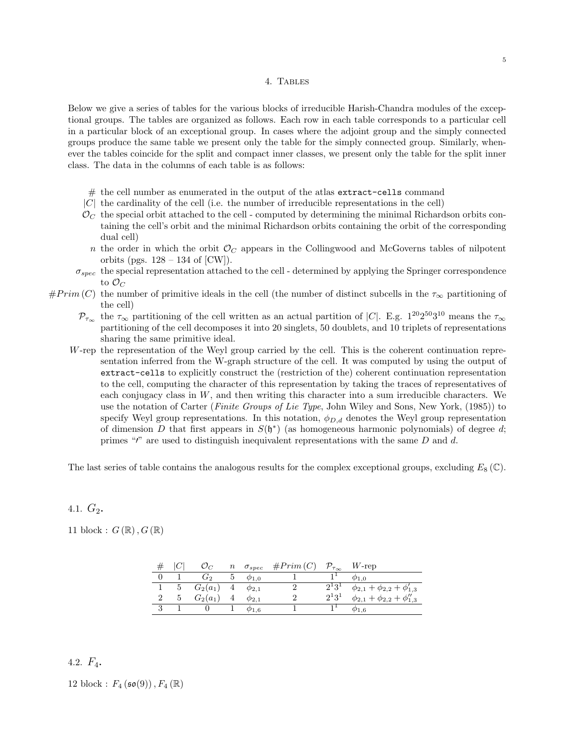#### 4. Tables

Below we give a series of tables for the various blocks of irreducible Harish-Chandra modules of the exceptional groups. The tables are organized as follows. Each row in each table corresponds to a particular cell in a particular block of an exceptional group. In cases where the adjoint group and the simply connected groups produce the same table we present only the table for the simply connected group. Similarly, whenever the tables coincide for the split and compact inner classes, we present only the table for the split inner class. The data in the columns of each table is as follows:

- # the cell number as enumerated in the output of the atlas extract-cells command
- |C| the cardinality of the cell (i.e. the number of irreducible representations in the cell)
- $\mathcal{O}_C$  the special orbit attached to the cell computed by determining the minimal Richardson orbits containing the cell's orbit and the minimal Richardson orbits containing the orbit of the corresponding dual cell)
- n the order in which the orbit  $\mathcal{O}_C$  appears in the Collingwood and McGoverns tables of nilpotent orbits (pgs.  $128 - 134$  of [CW]).
- $\sigma_{spec}$  the special representation attached to the cell determined by applying the Springer correspondence to  $\mathcal{O}_C$
- $#Prim (C)$  the number of primitive ideals in the cell (the number of distinct subcells in the  $\tau_{\infty}$  partitioning of the cell)
	- $\mathcal{P}_{\tau_{\infty}}$  the  $\tau_{\infty}$  partitioning of the cell written as an actual partition of |C|. E.g.  $1^{20}2^{50}3^{10}$  means the  $\tau_{\infty}$ partitioning of the cell decomposes it into 20 singlets, 50 doublets, and 10 triplets of representations sharing the same primitive ideal.
	- W-rep the representation of the Weyl group carried by the cell. This is the coherent continuation representation inferred from the W-graph structure of the cell. It was computed by using the output of extract-cells to explicitly construct the (restriction of the) coherent continuation representation to the cell, computing the character of this representation by taking the traces of representatives of each conjugacy class in  $W$ , and then writing this character into a sum irreducible characters. We use the notation of Carter (Finite Groups of Lie Type, John Wiley and Sons, New York, (1985)) to specify Weyl group representations. In this notation,  $\phi_{D,d}$  denotes the Weyl group representation of dimension D that first appears in  $S(\mathfrak{h}^*)$  (as homogeneous harmonic polynomials) of degree d; primes " $'$ " are used to distinguish inequivalent representations with the same  $D$  and  $d$ .

The last series of table contains the analogous results for the complex exceptional groups, excluding  $E_8(\mathbb{C})$ .

## 4.1.  $G_2$ .

11 block :  $G(\mathbb{R}), G(\mathbb{R})$ 

|                | $\mathcal{O}_C$             |       | $n \sigma_{spec}$ | $\#Prim(C) \quad \mathcal{P}_{\tau_{\infty}}$ |              | $W$ -rep                                 |
|----------------|-----------------------------|-------|-------------------|-----------------------------------------------|--------------|------------------------------------------|
|                | G2                          | $5 -$ | $\phi_{1,0}$      |                                               |              | $\phi_{1,0}$                             |
|                | 5 $G_2(a_1)$ 4 $\phi_{2,1}$ |       |                   |                                               | $2^{1}3^{1}$ | $\phi_{2,1} + \phi_{2,2} + \phi'_{1,3}$  |
| 5 <sup>5</sup> | $G_2(a_1)$                  |       | $\phi_{2,1}$      |                                               | $2^13^1$     | $\phi_{2,1} + \phi_{2,2} + \phi_{1,3}''$ |
|                |                             |       | $\varphi_{1.6}$   |                                               |              | $\varphi_{1.6}$                          |

## 4.2.  $F_4$ .

12 block :  $F_4 (\mathfrak{so}(9))$ ,  $F_4 (\mathbb{R})$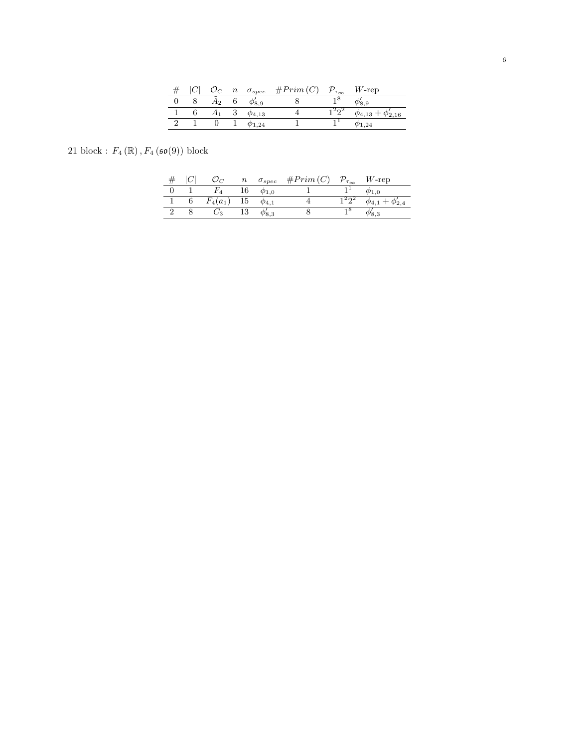|  |       |                 | $n \quad \sigma_{spec} \quad \#Prim(C)$ | $\mathcal{P}_{\tau_\infty}$ | $W$ -rep                     |
|--|-------|-----------------|-----------------------------------------|-----------------------------|------------------------------|
|  | $A_2$ | $\varphi_{8.9}$ |                                         |                             |                              |
|  |       | $\phi_{4,13}$   |                                         | 12ດ2                        | $\phi_{4,13} + \phi'_{2,16}$ |
|  |       | $\phi$ 1.24     |                                         |                             | $\phi$ 1,24                  |

21 block :  $F_4(\mathbb{R})$ ,  $F_4(\mathfrak{so}(9))$  block

|  |            |    | $n \sigma_{spec}$ | #Prim(C) | $\mathcal{D}_{\tau_{\infty}}$ | $W$ -rep        |
|--|------------|----|-------------------|----------|-------------------------------|-----------------|
|  |            |    | $\varphi_{1.0}$   |          |                               |                 |
|  | $F_4(a_1)$ | 15 | $\varphi_{4.1}$   |          |                               | $\varphi_{4,1}$ |
|  | しっ         |    |                   |          |                               |                 |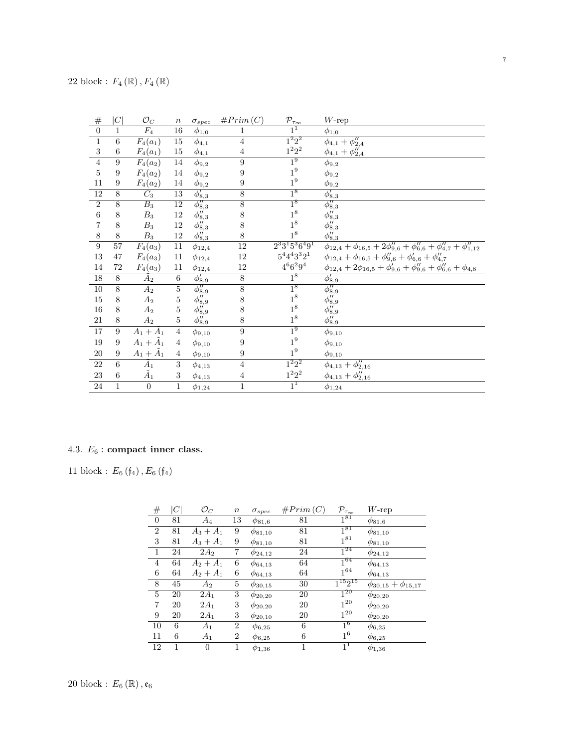| $\#$             | C  | $\mathcal{O}_C$   | $\,n$           | $\sigma_{spec}$           | #Prim(C)       | $\mathcal{P}_{\tau_\infty}$ | $W$ -rep                                                                                  |
|------------------|----|-------------------|-----------------|---------------------------|----------------|-----------------------------|-------------------------------------------------------------------------------------------|
| $\overline{0}$   | 1  | $\overline{F_4}$  | 16              | $\phi_{1,0}$              | 1              | $1^1$                       | $\phi_{1,0}$                                                                              |
| $\mathbf{1}$     | 6  | $F_4(a_1)$        | $\overline{15}$ | $\phi_{4,1}$              | $\overline{4}$ | $1^2 2^2$                   | $\phi_{4,1} + \phi_{2,4}''$                                                               |
| $\boldsymbol{3}$ | 6  | $F_4(a_1)$        | 15              | $\phi_{4,1}$              | $\overline{4}$ | $1^2 2^2$                   | $\phi_{4,1} + \phi_{2,4}''$                                                               |
| $\overline{4}$   | 9  | $F_4(a_2)$        | 14              | $\phi_{9,2}$              | 9              | $1^9$                       | $\phi_{9,2}$                                                                              |
| $\overline{5}$   | 9  | $F_4(a_2)$        | 14              | $\phi_{9,2}$              | 9              | $1^9\,$                     | $\phi_{9,2}$                                                                              |
| 11               | 9  | $F_4(a_2)$        | 14              | $\phi_{9,2}$              | 9              | 1 <sup>9</sup>              | $\phi_{9,2}$                                                                              |
| $\overline{12}$  | 8  | $C_3$             | $\overline{13}$ | $\phi'_{8,3}$             | $\overline{8}$ | $1^8$                       | $\phi'_{8,3}$                                                                             |
| $\overline{2}$   | 8  | $B_3$             | 12              | $\phi_{8,3}''$            | $\overline{8}$ | $1^8$                       | $\overline{\phi''_{8,3}}$                                                                 |
| $\,6$            | 8  | $B_3$             | $12\,$          | $\phi_{8,3}''$            | $8\,$          | $1^8\,$                     | $\phi_{8,3}''$                                                                            |
| 7                | 8  | $B_3$             | 12              | $\phi_{8,3}''$            | 8              | $1^8$                       | $\phi_{8,3}''$                                                                            |
| $8\,$            | 8  | $B_3$             | $12\,$          | $\phi_{8,3}''$            | 8              | $1^8\,$                     | $\phi_{8,3}''$                                                                            |
| $\boldsymbol{9}$ | 57 | $F_4(a_3)$        | 11              | $\phi_{12,4}$             | 12             | $2^33^15^36^49^1$           | $\phi_{12,4} + \phi_{16,5} + 2\phi_{9,6}'' + \phi_{6,6}'' + \phi_{4,7}'' + \phi_{1,12}''$ |
| 13               | 47 | $F_4(a_3)$        | 11              | $\phi_{12,4}$             | 12             | $5^4 4^4 3^3 2^1$           | $\phi_{12,4} + \phi_{16,5} + \phi_{9,6}'' + \phi_{6,6}'' + \phi_{4,7}''$                  |
| 14               | 72 | $F_4(a_3)$        | $11\,$          | $\phi_{12,4}$             | 12             | $4^66^29^4$                 | $\phi_{12,4} + 2\phi_{16,5} + \phi'_{9,6} + \phi''_{9,6} + \phi''_{6,6} + \phi_{4,8}$     |
| 18               | 8  | A <sub>2</sub>    | 6               | $\phi_{8,9}'$             | $8\,$          | 1 <sup>8</sup>              | $\phi'_{8,9}$                                                                             |
| 10               | 8  | $A_2$             | $\bf 5$         | $\overline{\phi_{8,9}''}$ | $\overline{8}$ | $1^8$                       | $\phi_{8,9}''$                                                                            |
| $15\,$           | 8  | $A_2$             | 5               | $\phi_{8,9}''$            | $8\,$          | $1^8\,$                     | $\phi_{8,9}''$                                                                            |
| 16               | 8  | $A_2$             | 5               | $\phi_{8,9}''$            | 8              | 1 <sup>8</sup>              | $\phi_{8,9}''$                                                                            |
| 21               | 8  | $A_2$             | 5               | $\phi_{8,9}''$            | $8\,$          | $1^8\,$                     | $\phi_{8,9}''$                                                                            |
| 17               | 9  | $A_1 + \bar{A}_1$ | $\overline{4}$  | $\phi_{9,10}$             | 9              | 1 <sup>9</sup>              | $\phi_{9,10}$                                                                             |
| 19               | 9  | $A_1+\tilde{A}_1$ | $\overline{4}$  | $\phi_{9,10}$             | 9              | $1^9\,$                     | $\phi_{9,10}$                                                                             |
| 20               | 9  | $A_1+\tilde{A}_1$ | $\overline{4}$  | $\phi_{9,10}$             | 9              | $1^9\,$                     | $\phi_{9,10}$                                                                             |
| 22               | 6  | $\tilde{A}_1$     | 3               | $\phi_{4,13}$             | $\overline{4}$ | $1^2 2^2$                   | $\phi_{4,13} + \phi_{2,16}''$                                                             |
| 23               | 6  | $\tilde{A}_1$     | 3               | $\phi_{4,\underline{13}}$ | $\overline{4}$ | $1^2 2^2$                   | $\phi_{4,13} + \phi_{2,16}''$                                                             |
| 24               | 1  | $\boldsymbol{0}$  | $\mathbf{1}$    | $\phi_{1,24}$             | 1              | $1^1$                       | $\phi_{1,24}$                                                                             |

# 4.3.  $\mathcal{E}_6$  : compact inner class.

11 block :  $E_{6}\left( \frak{f}_{4}\right) ,E_{6}\left( \frak{f}_{4}\right)$ 

| $\#$           | $C \vert$ | $\mathcal{O}_C$ | $\it n$ | $\sigma_{spec}$ | #Prim(C)     | $\mathcal{P}_{\tau_{\infty}}$ | $W$ -rep                    |
|----------------|-----------|-----------------|---------|-----------------|--------------|-------------------------------|-----------------------------|
| $\overline{0}$ | 81        | $A_4$           | 13      | $\phi_{81,6}$   | 81           | $1^{81}$                      | $\phi_{81,6}$               |
| $\overline{2}$ | 81        | $A_3 + A_1$     | 9       | $\phi_{81,10}$  | 81           | $1^{81}$                      | $\phi_{81,10}$              |
| 3              | 81        | $A_3 + A_1$     | 9       | $\phi_{81,10}$  | 81           | $1^{81}$                      | $\phi_{81,10}$              |
| 1              | 24        | $2A_2$          | 7       | $\phi_{24,12}$  | 24           | $1^{24}$                      | $\phi_{24,12}$              |
| $\overline{4}$ | 64        | $A_2 + A_1$     | 6       | $\phi_{64,13}$  | 64           | $1^{64}$                      | $\phi_{64,13}$              |
| 6              | 64        | $A_2 + A_1$     | 6       | $\phi_{64,13}$  | 64           | $1^{64}$                      | $\phi_{64,13}$              |
| 8              | 45        | $A_2$           | 5       | $\phi_{30,15}$  | 30           | $1^{15}2^{15}$                | $\phi_{30,15}+\phi_{15,17}$ |
| 5              | 20        | $2A_1$          | 3       | $\phi_{20,20}$  | 20           | $1^{20}$                      | $\phi_{20,20}$              |
| $\overline{7}$ | 20        | $2A_1$          | 3       | $\phi_{20,20}$  | 20           | $1^{20}$                      | $\phi_{20,20}$              |
| 9              | 20        | $2A_1$          | 3       | $\phi_{20,10}$  | 20           | $1^{20}$                      | $\phi_{20,20}$              |
| 10             | 6         | $A_1$           | 2       | $\phi_{6,25}$   | 6            | 1 <sup>6</sup>                | $\phi_{6,25}$               |
| 11             | 6         | $A_1$           | 2       | $\phi_{6,25}$   | 6            | $1^6$                         | $\phi_{6,25}$               |
| 12             | 1         | 0               | 1       | $\phi_{1,36}$   | $\mathbf{1}$ | 1 <sup>1</sup>                | $\phi_{1,36}$               |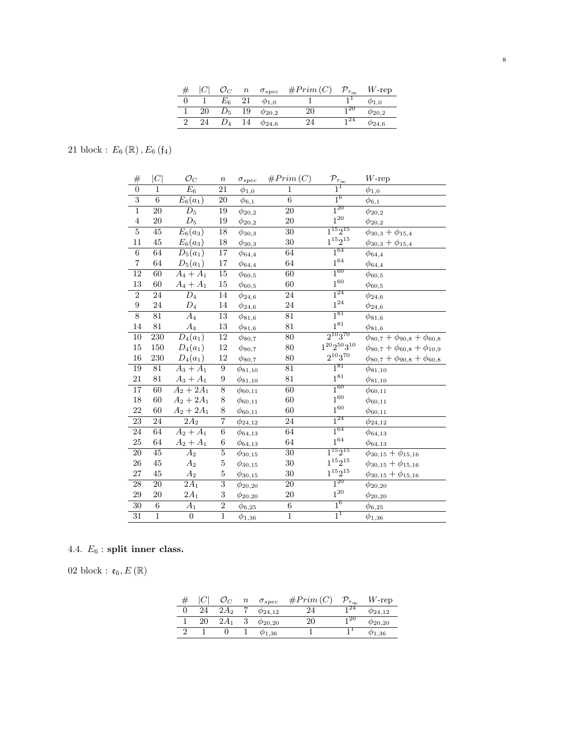|    |             | $\it n$ | $\sigma_{spec}$ | #Prim(C) | $\mathcal{P}_{\tau_\infty}$ | $W$ -rep         |
|----|-------------|---------|-----------------|----------|-----------------------------|------------------|
|    | $E_{\rm 6}$ |         | $\varphi_{1,0}$ |          |                             | $\varphi_{1,0}$  |
| 20 | $D_5$       | 19      | $\phi_{20,2}$   | 20       | 20                          | $\phi_{20,2}$    |
| 24 |             | 14      | $\phi_{24,6}$   | 24       |                             | $\varphi_{24,6}$ |

21 block :  $E_{6}\left( \mathbb{R}\right) ,E_{6}\left( \mathfrak{f}_{4}\right)$ 

| #                | C               | $\mathcal{O}_C$       | $\, n$           | $\sigma_{spec}$ | #Prim(C)        | $\mathcal{P}_{\underline{\tau_{\infty}}}$ | $W$ -rep                                  |
|------------------|-----------------|-----------------------|------------------|-----------------|-----------------|-------------------------------------------|-------------------------------------------|
| $\overline{0}$   | 1               | $E_6$                 | 21               | $\phi_{1,0}$    | $\overline{1}$  | $\overline{1}^{\overline{1}}$             | $\phi_{1,0}$                              |
| $\overline{3}$   | $\overline{6}$  | $E_6(a_1)$            | $20\,$           | $\phi_{6,1}$    | $\overline{6}$  | $1^6$                                     | $\phi_{6,1}$                              |
| $\overline{1}$   | 20              | $D_5$                 | 19               | $\phi_{20,2}$   | $\overline{20}$ | $1^{20}$                                  | $\phi_{20,2}$                             |
| $\,4\,$          | 20              | $\mathcal{D}_5$       | 19               | $\phi_{20,2}$   | $20\,$          | $1^{20}$                                  | $\phi_{20,2}$                             |
| $\overline{5}$   | 45              | $E_6(a_3)$            | 18               | $\phi_{30,3}$   | $\overline{30}$ | $1^{15}2^{15}$                            | $\phi_{30,3}+\phi_{15,4}$                 |
| $11\,$           | 45              | $E_6(a_3)$            | 18               | $\phi_{30,3}$   | 30              | $1^{15}2^{15}\,$                          | $\phi_{30,3}+\phi_{15,4}$                 |
| $\overline{6}$   | 64              | $\overline{D_5(a_1)}$ | $\overline{17}$  | $\phi_{64,4}$   | 64              | $1^{64}$                                  | $\phi_{64,4}$                             |
| $\,7$            | $64\,$          | $D_5(a_1)$            | $17\,$           | $\phi_{64,4}$   | 64              | $1^{64}\,$                                | $\phi_{64,\underline{4}}$                 |
| 12               | 60              | $A_4+A_1$             | $15\,$           | $\phi_{60,5}$   | 60              | $1^{60}$                                  | $\phi_{60,5}$                             |
| 13               | 60              | $A_4 + A_1$           | 15               | $\phi_{60,5}$   | 60              | $1^{60}$                                  | $\phi_{60,5}$                             |
| $\overline{2}$   | 24              | $\overline{D_4}$      | 14               | $\phi_{24,6}$   | $\overline{24}$ | $1^{24}$                                  | $\phi_{24,6}$                             |
| $\boldsymbol{9}$ | 24              | $\mathcal{D}_4$       | 14               | $\phi_{24,6}$   | $24\,$          | $1^{\mathrm{24}}$                         | $\phi_{24,6}$                             |
| $\overline{8}$   | 81              | $\overline{A_4}$      | $\overline{13}$  | $\phi_{81,6}$   | 81              | $1^{81}$                                  | $\phi_{81,6}$                             |
| 14               | 81              | $A_4$                 | $13\,$           | $\phi_{81,6}$   | 81              | $1^{81}$                                  | $\phi_{81,6}$                             |
| $\overline{10}$  | 230             | $\overline{D_4(a_1)}$ | <sup>12</sup>    | $\phi_{80,7}$   | $\overline{80}$ | $2^{10}3^{70}$                            | $\phi_{80,7} + \phi_{90,8} + \phi_{60,8}$ |
| 15               | 150             | $D_4(a_1)$            | $12\,$           | $\phi_{80,7}$   | 80              | $1^{20}2^{50}3^{10}\,$                    | $\phi_{80,7} + \phi_{60,8} + \phi_{10,9}$ |
| 16               | 230             | $D_4(a_1)$            | $12\,$           | $\phi_{80,7}$   | 80              | $2^{10}3^{70}\,$                          | $\phi_{80,7} + \phi_{90,8} + \phi_{60,8}$ |
| 19               | $81\,$          | $A_3 + A_1$           | $\boldsymbol{9}$ | $\phi_{81,10}$  | $81\,$          | $1^{81}$                                  | $\phi_{81,10}$                            |
| 21               | 81              | $A_3 + A_1$           | $\boldsymbol{9}$ | $\phi_{81,10}$  | 81              | $1^{81}\,$                                | $\phi_{81,10}$                            |
| 17               | 60              | $A_2 + 2A_1$          | $\overline{8}$   | $\phi_{60,11}$  | 60              | $1^{60}$                                  | $\phi_{60,11}$                            |
| 18               | 60              | $A_2 + 2A_1$          | 8                | $\phi_{60,11}$  | 60              | $1^{60}$                                  | $\phi_{60,11}$                            |
| 22               | 60              | $A_2 + 2A_1$          | 8                | $\phi_{60,11}$  | 60              | $1^{60}\,$                                | $\phi_{60,11}$                            |
| $\overline{23}$  | 24              | $\overline{2A_2}$     | $\overline{7}$   | $\phi_{24,12}$  | 24              | $1^{24}$                                  | $\phi_{24,12}$                            |
| 24               | 64              | $A_2 + A_1$           | $\,6$            | $\phi_{64,13}$  | 64              | $1^{64}$                                  | $\phi_{64,13}$                            |
| $25\,$           | 64              | $A_2 + A_1$           | 6                | $\phi_{64,13}$  | 64              | $1^{64}\,$                                | $\phi_{64,13}$                            |
| $\overline{20}$  | 45              | $\overline{A_2}$      | $\overline{5}$   | $\phi_{30,15}$  | $\overline{30}$ | $1^{15}2^{15}$                            | $\phi_{30,15}+\phi_{15,16}$               |
| 26               | 45              | A <sub>2</sub>        | $\bf 5$          | $\phi_{30,15}$  | 30              | $1^{15}2^{15}\,$                          | $\phi_{30,15}+\phi_{15,16}$               |
| $27\,$           | 45              | $A_2$                 | $\bf 5$          | $\phi_{30,15}$  | 30              | $1^{15}2^{15}\,$                          | $\phi_{30,15}+\phi_{15,16}$               |
| $\overline{28}$  | $\overline{20}$ | $\overline{2A_1}$     | $\overline{3}$   | $\phi_{20,20}$  | $20\,$          | $1^{20}$                                  | $\phi_{20,20}$                            |
| 29               | 20              | $2A_1$                | $\,3$            | $\phi_{20,20}$  | 20              | $1^{\mathrm{20}}$                         | $\phi_{20,20}$                            |
| $\overline{30}$  | $\overline{6}$  | $\overline{A_1}$      | $\overline{2}$   | $\phi_{6,25}$   | $\overline{6}$  | $1^6$                                     | $\phi_{6,25}$                             |
| $\overline{31}$  | $\mathbf{1}$    | $\boldsymbol{0}$      | $\overline{1}$   | $\phi_{1,36}$   | $\overline{1}$  | $1^1$                                     | $\phi_{1,36}$                             |

# 4.4.  $E_6$  : split inner class.

02 block : $\mathfrak{e}_6, E\left(\mathbb{R}\right)$ 

|    |        | $\,n$ | $\sigma_{spec}$  | #Prim(C) | $\mathcal{D}_{\tau_{\infty}}$ | $W$ -rep         |
|----|--------|-------|------------------|----------|-------------------------------|------------------|
| 24 | $2A_2$ |       | $\phi_{24.12}$   | 24       | 24 ا                          | $\phi_{24.12}$   |
| 20 | $2A_1$ |       | $\phi_{20,20}$   | 20       | 1 20                          | $\phi_{20,20}$   |
|    |        |       | $\varphi_{1,36}$ |          |                               | $\varphi_{1,36}$ |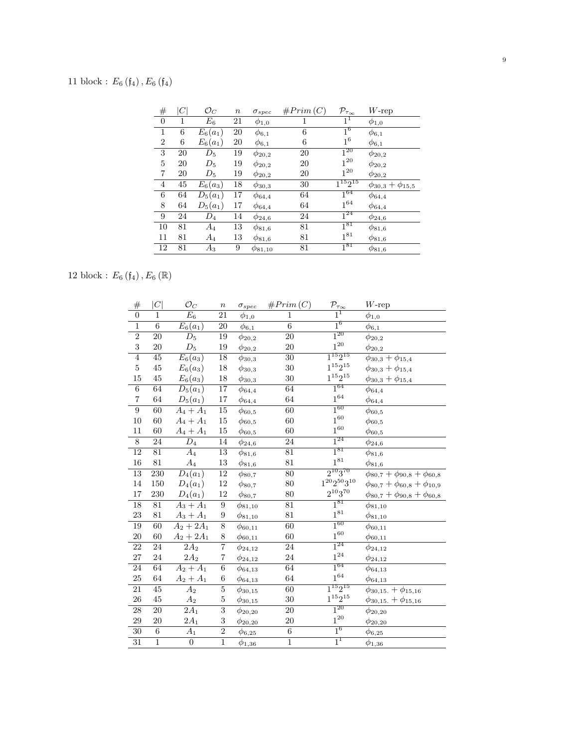# 11 block :  $E_6$  ( $\mathfrak{f}_4$ ),  $E_6$  ( $\mathfrak{f}_4$ )

| $^{\#}$        | $\mathcal C$ | $\mathcal{O}_C$    | $\it n$ | $\sigma_{spec}$ | #Prim(C) | $\mathcal{P}_{\tau_{\infty}}$ | $W$ -rep                    |
|----------------|--------------|--------------------|---------|-----------------|----------|-------------------------------|-----------------------------|
| $\overline{0}$ | 1            | $\scriptstyle E_6$ | 21      | $\phi_{1,0}$    | 1        | 1 <sup>1</sup>                | $\phi_{1,0}$                |
| 1              | 6            | $E_6(a_1)$         | 20      | $\phi_{6,1}$    | 6        | $1^6$                         | $\phi_{6,1}$                |
| $\overline{2}$ | 6            | $E_6(a_1)$         | 20      | $\phi_{6,1}$    | 6        | $1^6$                         | $\phi_{6,1}$                |
| 3              | 20           | $D_5$              | 19      | $\phi_{20,2}$   | 20       | $1^{20}$                      | $\phi_{20,2}$               |
| 5              | 20           | $D_5$              | 19      | $\phi_{20,2}$   | 20       | $1^{20}$                      | $\phi_{20,2}$               |
| 7              | 20           | $D_5$              | 19      | $\phi_{20,2}$   | 20       | $1^{20}$                      | $\phi_{20,2}$               |
| $\overline{4}$ | 45           | $E_6(a_3)$         | 18      | $\phi_{30,3}$   | 30       | $\overline{1^{15}2^{15}}$     | $\phi_{30,3} + \phi_{15,5}$ |
| 6              | 64           | $D_5(a_1)$         | 17      | $\phi_{64,4}$   | 64       | $1^{64}$                      | $\phi_{64,4}$               |
| 8              | 64           | $D_5(a_1)$         | 17      | $\phi_{64,4}$   | 64       | $1^{64}$                      | $\phi_{64,4}$               |
| 9              | 24           | $D_4$              | 14      | $\phi_{24,6}$   | 24       | $1^{24}$                      | $\phi_{24,6}$               |
| 10             | 81           | $\scriptstyle A_4$ | 13      | $\phi_{81,6}$   | 81       | $1^{81}$                      | $\phi_{81,6}$               |
| 11             | 81           | $A_4$              | 13      | $\phi_{81,6}$   | 81       | $1^{81}$                      | $\phi_{81,6}$               |
| 12             | 81           | $A_3$              | 9       | $\phi_{81,10}$  | 81       | $1^{81}$                      | $\phi_{81,6}$               |

12 block :  $E_{6}\left( \mathfrak{f}_{4}\right) ,E_{6}\left( \mathbb{R}\right)$ 

| $\#$            | C               | $\mathcal{O}_C$   | $\, n$                     | $\sigma_{spec}$          | #Prim(C)        | $\mathcal{P}_{\tau_{\underline{\infty}}}$ | $W\text{-rep}$                            |
|-----------------|-----------------|-------------------|----------------------------|--------------------------|-----------------|-------------------------------------------|-------------------------------------------|
| $\overline{0}$  | $\mathbf{1}$    | $E_6$             | 21                         | $\phi_{1,\underline{0}}$ | $\mathbf{1}$    | $\overline{1^1}$                          | $\phi_{1,0}$                              |
| $\overline{1}$  | $\overline{6}$  | $E_6(a_1)$        | $20\,$                     | $\phi_{6,\underline{1}}$ | $\overline{6}$  | 1 <sup>6</sup>                            | $\phi_{6,1}$                              |
| $\overline{2}$  | 20              | $D_5$             | 19                         | $\phi_{20,2}$            | $\overline{20}$ | $1^{20}$                                  | $\phi_{20,2}$                             |
| $\sqrt{3}$      | 20              | $D_5$             | 19                         | $\phi_{20,2}$            | <b>20</b>       | $1^{20}\,$                                | $\phi_{20,2}$                             |
| $\overline{4}$  | $\overline{45}$ | $E_6(a_3)$        | 18                         | $\phi_{30,3}$            | 30              | $1^{15}2^{15}$                            | $\phi_{30,3} + \phi_{15,4}$               |
| $\bf 5$         | $45\,$          | $E_6(a_3)$        | $18\,$                     | $\phi_{30,3}$            | 30              | $1^{15}2^{15}\,$                          | $\phi_{30,3} + \phi_{15,4}$               |
| 15              | $\rm 45$        | $E_6(a_3)$        | $18\,$                     | $\phi_{30,3}$            | 30              | $1^{15}2^{15}\,$                          | $\phi_{30,3} + \phi_{15,4}$               |
| $\,6$           | 64              | $D_5(a_1)$        | 17                         | $\phi_{64,4}$            | 64              | $\overline{1^{64}}$                       | $\phi_{64,4}$                             |
| $\,7$           | $64\,$          | $D_5(a_1)$        | $17\,$                     | $\phi_{64,4}$            | 64              | $1^{64}\,$                                | $\phi_{64,4}$                             |
| $\overline{9}$  | 60              | $A_4 + A_1$       | $\overline{15}$            | $\phi_{60,5}$            | $\overline{60}$ | $1^{60}$                                  | $\phi_{60,5}$                             |
| 10              | $60\,$          | $A_4 + A_1$       | $15\,$                     | $\phi_{60,5}$            | 60              | $1^{60}$                                  | $\phi_{60,5}$                             |
| 11              | 60              | $A_4 + A_1$       | 15                         | $\phi_{60,5}$            | 60              | $1^{60}\,$                                | $\phi_{60,5}$                             |
| $\overline{8}$  | 24              | $\overline{D_4}$  | $\overline{14}$            | $\phi_{24,6}$            | $24\,$          | $1^{24}$                                  | $\phi_{24,6}$                             |
| $\overline{12}$ | $\overline{81}$ | $A_4$             | $\overline{13}$            | $\phi_{81,6}$            | $\overline{81}$ | $1^{81}$                                  | $\phi_{81,6}$                             |
| 16              | 81              | $A_4$             | $13\,$                     | $\phi_{81,6}$            | 81              | $1^{81}$                                  | $\phi_{81,6}$                             |
| 13              | 230             | $D_4(a_1)$        | $\overline{1}\overline{2}$ | $\phi_{80,7}$            | 80              | $2^{10}3^{70}$                            | $\phi_{80,7} + \phi_{90,8} + \phi_{60,8}$ |
| 14              | 150             | $D_4(a_1)$        | $12\,$                     | $\phi_{80,7}$            | 80              | $1^{20}2^{50}3^{10}$                      | $\phi_{80,7} + \phi_{60,8} + \phi_{10,9}$ |
| $17\,$          | 230             | $D_4(a_1)$        | $12\,$                     | $\phi_{80,7}$            | 80              | $2^{10}3^{70}\,$                          | $\phi_{80,7} + \phi_{90,8} + \phi_{60,8}$ |
| 18              | 81              | $A_3 + A_1$       | $\boldsymbol{9}$           | $\phi_{81,10}$           | 81              | $1^{81}$                                  | $\phi_{81,10}$                            |
| 23              | 81              | $A_3 + A_1$       | 9                          | $\phi_{81,10}$           | 81              | $1^{81}\,$                                | $\phi_{81,10}$                            |
| 19              | $\overline{60}$ | $A_2 + 2A_1$      | $\overline{8}$             | $\phi_{60,11}$           | $\overline{60}$ | $1^{60}$                                  | $\phi_{60,11}$                            |
| $20\,$          | $60\,$          | $A_2 + 2A_1$      | $8\,$                      | $\phi_{60,11}$           | 60              | $1^{60}\,$                                | $\phi_{60,\underline{11}}$                |
| 22              | 24              | $\overline{2A_2}$ | $\overline{7}$             | $\phi_{24,12}$           | $\overline{24}$ | $1^{24}$                                  | $\phi_{24,12}$                            |
| 27              | $\sqrt{24}$     | 2A <sub>2</sub>   | 7                          | $\phi_{24,12}$           | $24\,$          | $1^{24}$                                  | $\phi_{24,12}$                            |
| $\overline{24}$ | 64              | $A_2 + A_1$       | $\overline{6}$             | $\phi_{64,13}$           | 64              | $1^{64}$                                  | $\phi_{64,13}$                            |
| $25\,$          | $64\,$          | $A_2 + A_1$       | $\,6$                      | $\phi_{64,13}$           | 64              | $1^{64}$                                  | $\phi_{64,13}$                            |
| 21              | 45              | $\overline{A_2}$  | $\overline{5}$             | $\phi_{30,15}$           | 60              | $1^{15}2^{15}$                            | $\phi_{30,15.} + \phi_{15,16}$            |
| ${\bf 26}$      | $45\,$          | A <sub>2</sub>    | $\bf 5$                    | $\phi_{30,15}$           | 30              | $1^{15}2^{15}\,$                          | $\phi_{30,15.} + \phi_{15,16}$            |
| 28              | $20\,$          | $\overline{2A_1}$ | $\overline{3}$             | $\phi_{20,20}$           | 20              | $1^{20}$                                  | $\phi_{20,20}$                            |
| $\,29$          | 20              | $2A_1$            | $\,3$                      | $\phi_{20,20}$           | <b>20</b>       | $1^{\mathrm{20}}$                         | $\phi_{20,20}$                            |
| 30              | $\,6$           | $A_1$             | $\overline{2}$             | $\phi_{6,25}$            | $\,6\,$         | $1^6$                                     | $\phi_{6,25}$                             |
| $\overline{31}$ | $\overline{1}$  | $\boldsymbol{0}$  | $\overline{1}$             | $\phi_{1,36}$            | $\overline{1}$  | $\overline{1}^1$                          | $\phi_{1,36}$                             |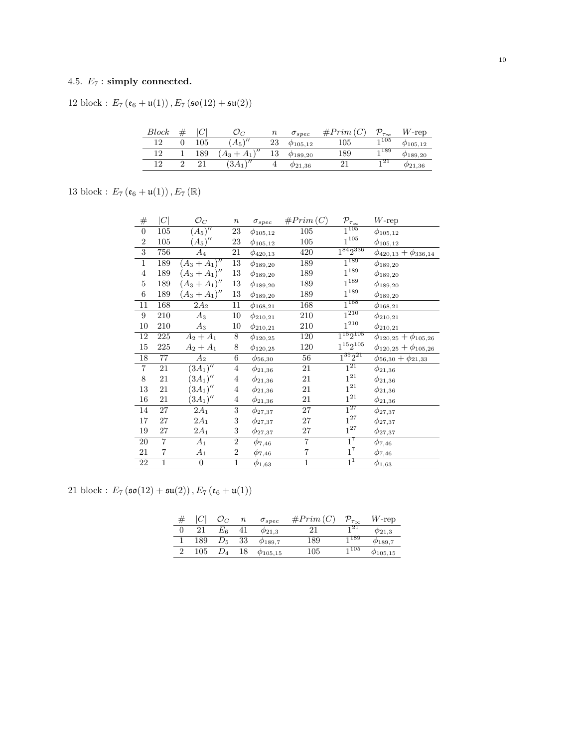## 4.5.  $E_7$ : simply connected.

12 block :  $E_7\left(\mathfrak{e}_6+\mathfrak{u}(1)\right), E_7\left(\mathfrak{so}(12)+\mathfrak{su}(2)\right)$ 

| <b>Block</b> | ╰       |                      | $\it n$ | $\sigma_{spec}$    | #Prim   | $\tau_{\infty}$ | $W$ -rep           |
|--------------|---------|----------------------|---------|--------------------|---------|-----------------|--------------------|
| 12           | $105\,$ | \//<br>$A_5$         | 23      | $\varphi_{105,12}$ | $105\,$ | 1105            | $\varphi_{105,12}$ |
| 12           | 189     | $\sqrt{2}$<br>А3     | 13      | $\varphi_{189,20}$ | 189     | 1189            | $\varphi_{189,20}$ |
| 19.          |         | $\sqrt{2}$<br>$3A_1$ | 仕       | $\varphi_{21,36}$  |         | -121            | $\varphi_{21,36}$  |

13 block :  $E_{7}\left(\mathfrak{e}_{6}+\mathfrak{u}(1)\right), E_{7}\left(\mathbb{R}\right)$ 

| $\#$             | C              | $\mathcal{O}_C$       | $\, n$           | $\sigma_{spec}$ | #Prim(C)                | $\mathcal{P}_{\tau_{\underline{\infty}}}$ | $W$ -rep                        |
|------------------|----------------|-----------------------|------------------|-----------------|-------------------------|-------------------------------------------|---------------------------------|
| $\boldsymbol{0}$ | 105            | $(A_5)''$             | $23\,$           | $\phi_{105,12}$ | $105\,$                 | $1^{105}$                                 | $\phi_{105,12}$                 |
| $\,2$            | 105            | $(A_5)''$             | 23               | $\phi_{105,12}$ | 105                     | $1^{\mathrm{105}}$                        | $\phi_{105,12}$                 |
| $\overline{3}$   | 756            | $A_4$                 | 21               | $\phi_{420,13}$ | 420                     | $1^{84}2^{336}$                           | $\phi_{420,13} + \phi_{336,14}$ |
| $\overline{1}$   | 189            | $(A_3 + A_1)''$       | 13               | $\phi_{189,20}$ | 189                     | $1^{189}$                                 | $\phi_{189,20}$                 |
| $\,4\,$          | 189            | $(A_3 + A_1)''$       | $13\,$           | $\phi_{189,20}$ | 189                     | $1^{189}\,$                               | $\phi_{189,20}$                 |
| 5                | 189            | $(A_3 + A_1)''$       | $13\,$           | $\phi_{189,20}$ | 189                     | $1^{189}$                                 | $\phi_{189,20}$                 |
| $\,6$            | 189            | $(A_3 + A_1)''$       | $13\,$           | $\phi_{189,20}$ | 189                     | $1^{189}$                                 | $\phi_{189,20}$                 |
| 11               | 168            | $2A_2$                | 11               | $\phi_{168,21}$ | 168                     | $1^{168}$                                 | $\phi_{168,21}$                 |
| $\boldsymbol{9}$ | 210            | $A_3$                 | 10               | $\phi_{210,21}$ | 210                     | $1^{210}$                                 | $\phi_{210,21}$                 |
| 10               | 210            | $A_3$                 | 10               | $\phi_{210,21}$ | 210                     | $1^{210}$                                 | $\phi_{210,21}$                 |
| 12               | 225            | $A_2 + A_1$           | 8                | $\phi_{120,25}$ | 120                     | $1^{15}2^{105}$                           | $\phi_{120,25} + \phi_{105,26}$ |
| $15\,$           | 225            | $A_2 + A_1$           | 8                | $\phi_{120,25}$ | $120\,$                 | $1^{15}2^{105}$                           | $\phi_{120,25}+\phi_{105,26}$   |
| 18               | 77             | $A_2$                 | 6                | $\phi_{56,30}$  | 56                      | $1^{35}2^{21}$                            | $\phi_{56,30} + \phi_{21,33}$   |
| $\overline{7}$   | 21             | $\overline{(3A_1)''}$ | $\overline{4}$   | $\phi_{21,36}$  | 21                      | $1^{21}$                                  | $\phi_{21,36}$                  |
| $8\,$            | 21             | $(3A_1)''$            | $\overline{4}$   | $\phi_{21,36}$  | 21                      | $1^{21}$                                  | $\phi_{21,36}$                  |
| 13               | 21             | $(3A_1)''$            | $\overline{4}$   | $\phi_{21,36}$  | 21                      | $1^{21}$                                  | $\phi_{21,36}$                  |
| 16               | 21             | $(3A_1)''$            | $\overline{4}$   | $\phi_{21,36}$  | 21                      | $1^{21}$                                  | $\phi_{21,36}$                  |
| 14               | 27             | $2A_1$                | 3                | $\phi_{27,37}$  | 27                      | $1^{27}$                                  | $\phi_{27,37}$                  |
| 17               | $27\,$         | $2A_1$                | 3                | $\phi_{27,37}$  | 27                      | $1^{27}$                                  | $\phi_{27,37}$                  |
| 19               | 27             | $2A_1$                | 3                | $\phi_{27,37}$  | 27                      | $1^{27}$                                  | $\phi_{27,37}$                  |
| 20               | $\overline{7}$ | $A_1$                 | $\boldsymbol{2}$ | $\phi_{7,46}$   | $\overline{\mathbf{7}}$ | $1^7$                                     | $\phi_{7,46}$                   |
| 21               | $\overline{7}$ | $A_1$                 | $\overline{2}$   | $\phi_{7,46}$   | $\overline{7}$          | $1^7$                                     | $\phi_{7,46}$                   |
| $22\,$           | $\mathbf{1}$   | $\boldsymbol{0}$      | $\mathbf{1}$     | $\phi_{1,63}$   | $\mathbf{1}$            | 1 <sup>1</sup>                            | $\phi_{1,63}$                   |

21 block :  $E_7(\mathfrak{so}(12) + \mathfrak{su}(2)), E_7(\mathfrak{e}_6 + \mathfrak{u}(1))$ 

|     |         | $\it n$ | $\sigma_{spec}$          | #Prim(C) | $\mathcal{P}_{\tau_\infty}$ | $W$ -rep         |
|-----|---------|---------|--------------------------|----------|-----------------------------|------------------|
| 21  | $E_{6}$ |         | $\varphi_{21,3}$         |          | 121                         | $\varphi_{21,3}$ |
| 189 | $D_{5}$ | 33      | $\phi_{189.7}$           | 189      | 1189                        | $\phi_{189,7}$   |
| 105 |         | 18      | $\phi$ <sub>105,15</sub> | 105      | <sub>1</sub> 105            | $\varphi$ 105,15 |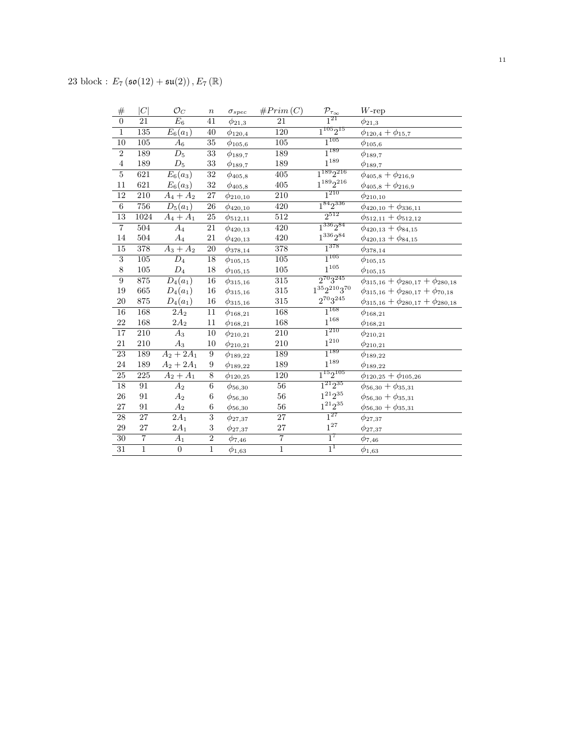| $\#$            | C              | $\mathcal{O}_C$        | $\, n$          | $\sigma_{spec}$   | #Prim(C)         | $\mathcal{P}_{\tau_{\underline{\infty}}}$ | $W$ -rep                                        |
|-----------------|----------------|------------------------|-----------------|-------------------|------------------|-------------------------------------------|-------------------------------------------------|
| $\overline{0}$  | 21             | $E_6$                  | 41              | $\phi_{21,3}$     | 21               | $\overline{1^{21}}$                       | $\phi_{21,3}$                                   |
| $\overline{1}$  | 135            | $E_6(a_1)$             | 40              | $\phi_{120,4}$    | 120              | $1^{105}2^{15}$                           | $\phi_{120,4} + \phi_{15,7}$                    |
| 10              | 105            | $\scriptstyle A_6$     | 35              | $\phi_{105,6}$    | $105\,$          | $1^{105}$                                 | $\phi_{105,6}$                                  |
| $\overline{2}$  | 189            | $D_5$                  | $\overline{33}$ | $\phi_{189,7}$    | 189              | $1^{189}$                                 | $\phi_{189,7}$                                  |
| $\overline{4}$  | 189            | $D_5$                  | $33\,$          | $\phi_{189,7}$    | 189              | $1^{189}\,$                               | $\phi_{189,7}$                                  |
| $\overline{5}$  | 621            | $\overline{E}_6(a_3)$  | 32              | $\phi_{405,8}$    | 405              | $1^{189}2^{216}$                          | $\phi_{405,8} + \phi_{216,9}$                   |
| 11              | 621            | $E_6(a_3)$             | 32              | $\phi_{405,8}$    | 405              | $1^{189}2^{216}$                          | $\phi_{405,8}+\phi_{216,9}$                     |
| <sup>12</sup>   | 210            | $\overline{A}_4 + A_2$ | $\overline{27}$ | $\phi_{210,10}$   | 210              | $1^{210}$                                 | $\phi_{210,10}$                                 |
| $\overline{6}$  | 756            | $D_5(a_1)$             | $26\,$          | $\phi_{420,10}$   | 420              | $1^{84}2^{336}$                           | $\phi_{420,10} + \phi_{336,11}$                 |
| 13              | 1024           | $A_4 + A_1$            | $\overline{25}$ | $\phi_{512,11}$   | $\overline{512}$ | $2^{512}$                                 | $\phi_{512,11} + \phi_{512,12}$                 |
| $\overline{7}$  | 504            | $\overline{A_4}$       | 21              | $\phi_{420,13}$   | 420              | $1^{336}2^{84}$                           | $\phi_{420,13} + \phi_{84,15}$                  |
| 14              | 504            | $A_4$                  | 21              | $\phi_{420,13}$   | 420              | $1^{336}2^{84}\,$                         | $\phi_{420,13} + \phi_{84,15}$                  |
| $\overline{15}$ | 378            | $A_3 + A_2$            | 20              | $\phi_{378,14}$   | 378              | $1^{378}$                                 | $\phi_{378,14}$                                 |
| $\overline{3}$  | 105            | $D_4$                  | 18              | $\phi_{105,15}$   | $105\,$          | $1^{105}$                                 | $\phi_{105,15}$                                 |
| $8\,$           | $105\,$        | $D_4$                  | 18              | $\phi_{105,15}$   | $105\,$          | $1^{\mathrm{105}}$                        | $\phi_{105,15}$                                 |
| $\overline{9}$  | 875            | $D_4(a_1)$             | $\overline{16}$ | $\phi_{315,16}$   | $\overline{315}$ | $2^{70}3^{245}$                           | $\phi_{315,16} + \phi_{280,17} + \phi_{280,18}$ |
| 19              | 665            | $D_4(a_1)$             | 16              | $\phi_{315,16}$   | $315\,$          | $1^{35}2^{210}3^{70}$                     | $\phi_{315,16} + \phi_{280,17} + \phi_{70,18}$  |
| $20\,$          | $875\,$        | $D_4(a_1)$             | $16\,$          | $\phi_{{315,16}}$ | $315\,$          | $2^{70}3^{245}$                           | $\phi_{315,16} + \phi_{280,17} + \phi_{280,18}$ |
| $\overline{16}$ | 168            | $\overline{2A_2}$      | 11              | $\phi_{168,21}$   | 168              | $1^{168}$                                 | $\phi_{168,21}$                                 |
| 22              | 168            | $2A_2$                 | 11              | $\phi_{168,21}$   | 168              | $1^{168}\,$                               | $\phi_{168,21}$                                 |
| $\overline{17}$ | 210            | $A_3$                  | 10              | $\phi_{210,21}$   | $\overline{210}$ | $1^{210}$                                 | $\phi_{210,21}$                                 |
| 21              | $210\,$        | $A_3$                  | 10              | $\phi_{210,21}$   | $210\,$          | $\mathbf{1}^{210}$                        | $\phi_{210,21}$                                 |
| 23              | 189            | $A_2 + 2A_1$           | 9               | $\phi_{189,22}$   | 189              | $1^{189}$                                 | $\phi_{189,22}$                                 |
| 24              | 189            | $A_2 + 2A_1$           | 9               | $\phi_{189,22}$   | 189              | $1^{189}\,$                               | $\phi_{189,22}$                                 |
| $\overline{25}$ | $225\,$        | $A_2 + A_1$            | $\overline{8}$  | $\phi_{120,25}$   | 120              | $1^{15}2^{105}$                           | $\phi_{120,25} + \phi_{105,26}$                 |
| 18              | 91             | $\overline{A_2}$       | $\,6$           | $\phi_{56,30}$    | 56               | $1^{21}2^{35}$                            | $\phi_{56,30}+\phi_{35,31}$                     |
| ${\bf 26}$      | 91             | $A_2$                  | 6               | $\phi_{56,30}$    | 56               | $1^{21}2^{35}\,$                          | $\phi_{56,30} + \phi_{35,31}$                   |
| 27              | 91             | $A_2$                  | 6               | $\phi_{56,30}$    | $56\,$           | $1^{21}2^{35}\,$                          | $\phi_{56,30} + \phi_{35,31}$                   |
| 28              | 27             | $\overline{2}A_1$      | $\overline{3}$  | $\phi_{27,37}$    | $\overline{27}$  | $1^{27}$                                  | $\phi_{27,37}$                                  |
| 29              | 27             | $2{\cal A}_1$          | $\sqrt{3}$      | $\phi_{27,37}$    | 27               | $1^{27}$                                  | $\phi_{27,37}$                                  |
| $\overline{30}$ | $\overline{7}$ | $A_1$                  | $\overline{2}$  | $\phi_{7,46}$     | $\overline{7}$   | $1^7$                                     | $\phi_{7,46}$                                   |
| $\overline{31}$ | $\overline{1}$ | $\boldsymbol{0}$       | $\overline{1}$  | $\phi_{1,63}$     | $\overline{1}$   | $1^1$                                     | $\phi_{1,63}$                                   |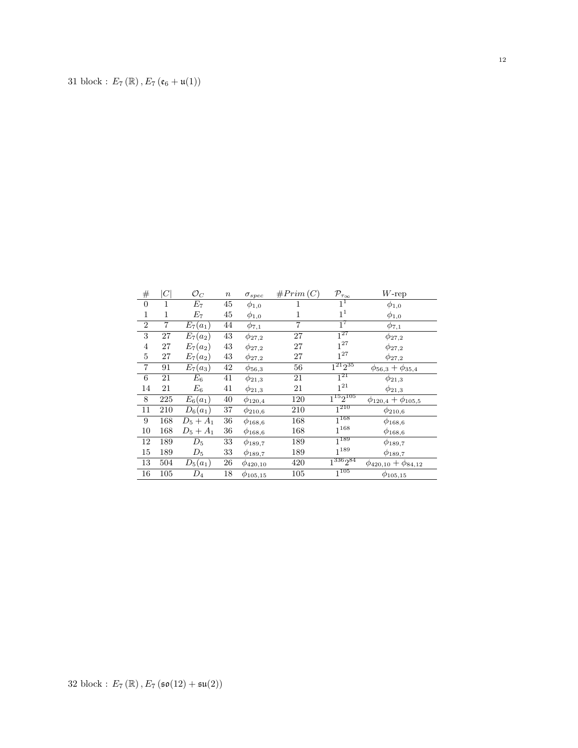| $^{\#}$        | $\,C$          | $\mathcal{O}_C$ | $\, n$ | $\sigma_{spec}$ | #Prim(C)       | $\mathcal{P}_{\tau_{\underline{\infty}}}$ | $W$ -rep                       |
|----------------|----------------|-----------------|--------|-----------------|----------------|-------------------------------------------|--------------------------------|
| $\theta$       | 1              | $E_7$           | $45\,$ | $\phi_{1,0}$    | 1              | $1^1$                                     | $\phi_{1,0}$                   |
| $\mathbf{1}$   | 1              | $E_7$           | 45     | $\phi_{1,0}$    | 1              | 1 <sup>1</sup>                            | $\phi_{1,0}$                   |
| $\overline{2}$ | $\overline{7}$ | $E_7(a_1)$      | 44     | $\phi_{7,1}$    | $\overline{7}$ | $1^7$                                     | $\phi_{7,1}$                   |
| 3              | 27             | $E_7(a_2)$      | 43     | $\phi_{27,2}$   | 27             | $1^{27}$                                  | $\phi_{27,2}$                  |
| $\overline{4}$ | 27             | $E_7(a_2)$      | 43     | $\phi_{27,2}$   | 27             | $1^{27}$                                  | $\phi_{27,2}$                  |
| $\bf 5$        | 27             | $E_7(a_2)$      | 43     | $\phi_{27,2}$   | 27             | $1^{27}$                                  | $\phi_{27,2}$                  |
| $\,7$          | 91             | $E_7(a_3)$      | 42     | $\phi_{56,3}$   | 56             | $1^{21}2^{35}$                            | $\phi_{56,3}+\phi_{35,4}$      |
| 6              | 21             | $E_{\rm 6}$     | 41     | $\phi_{21,3}$   | 21             | $1^{21}$                                  | $\phi_{21,3}$                  |
| 14             | 21             | $E_6$           | 41     | $\phi_{21,3}$   | 21             | $1^{21}\,$                                | $\phi_{21,3}$                  |
| 8              | 225            | $E_6(a_1)$      | 40     | $\phi_{120,4}$  | 120            | $1^{15}2^{105}$                           | $\phi_{120,4} + \phi_{105,5}$  |
| 11             | 210            | $D_6(a_1)$      | $37\,$ | $\phi_{210,6}$  | 210            | $\overline{1^{210}}$                      | $\phi_{210,6}$                 |
| 9              | 168            | $D_5 + A_1$     | 36     | $\phi_{168,6}$  | 168            | $\overline{1^{168}}$                      | $\phi_{168,6}$                 |
| 10             | 168            | $D_5 + A_1$     | 36     | $\phi_{168,6}$  | 168            | $1^{168}$                                 | $\phi_{168,6}$                 |
| 12             | 189            | $D_5$           | 33     | $\phi_{189,7}$  | 189            | $1^{189}$                                 | $\phi_{189,7}$                 |
| 15             | 189            | $D_5$           | 33     | $\phi_{189,7}$  | 189            | $1^{189}$                                 | $\phi_{189,7}$                 |
| 13             | 504            | $D_5(a_1)$      | 26     | $\phi_{420,10}$ | 420            | $1^{336}2^{84}$                           | $\phi_{420,10} + \phi_{84,12}$ |
| 16             | 105            | $D_4$           | 18     | $\phi_{105,15}$ | 105            | $\overline{1^{105}}$                      | $\phi_{105,15}$                |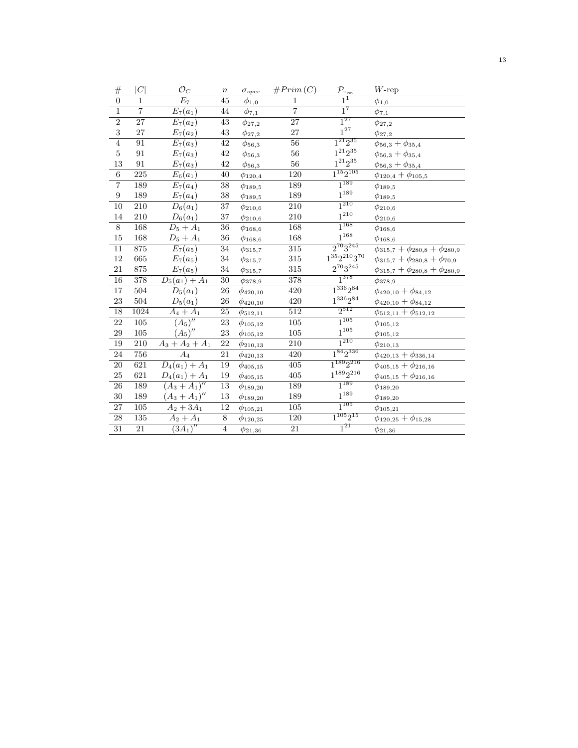| $\#$                    | C                | $\mathcal{O}_C$            | $\boldsymbol{n}$ | $\sigma_{spec}$          | #Prim(C)         | $\mathcal{P}_{\underline{\tau_{\infty}}}$ | $W\text{-rep}$                               |
|-------------------------|------------------|----------------------------|------------------|--------------------------|------------------|-------------------------------------------|----------------------------------------------|
| $\overline{0}$          | $\mathbf{1}$     | $\overline{E_7}$           | 45               | $\phi_{1,\underline{0}}$ | $\mathbf 1$      | $\overline{1}^1$                          | $\phi_{1,\underline{0}}$                     |
| $\overline{1}$          | $\overline{7}$   | $E_7(a_1)$                 | 44               | $\phi_{7,1}$             | $\overline{7}$   | $1^7$                                     | $\phi_{7,1}$                                 |
| $\overline{2}$          | 27               | $E_7(a_2)$                 | 43               | $\phi_{27,2}$            | $\overline{27}$  | $1^{27}$                                  | $\phi_{27,2}$                                |
| $\overline{\mathbf{3}}$ | 27               | $E_7(a_2)$                 | 43               | $\phi_{27,2}$            | 27               | $1^{27}$                                  | $\phi_{27,2}$                                |
| $\overline{4}$          | 91               | $\overline{E}_7(a_3)$      | 42               | $\phi_{56,3}$            | $\overline{56}$  | $1^{21}2^{35}$                            | $\phi_{56,3}+\phi_{35,4}$                    |
| $\bf 5$                 | 91               | $E_7(a_3)$                 | $42\,$           | $\phi_{56,3}$            | $56\,$           | $1^{21}2^{35}\,$                          | $\phi_{56,3} + \phi_{35,4}$                  |
| $13\,$                  | $\rm 91$         | $E_7(a_3)$                 | $42\,$           | $\phi_{56,3}$            | $56\,$           | $1^{21}2^{35}\,$                          | $\phi_{56,3}+\phi_{35,4}$                    |
| $\overline{6}$          | 225              | $\overline{E_6}(a_1)$      | $\overline{40}$  | $\phi_{120,4}$           | 120              | $1^{15}2^{105}$                           | $\phi_{120,4} + \phi_{105,5}$                |
| $\overline{7}$          | 189              | $\overline{E}_7(a_4)$      | $\overline{38}$  | $\phi_{189,5}$           | 189              | $1^{189}$                                 | $\phi_{189,5}$                               |
| $\boldsymbol{9}$        | 189              | $E_7(a_4)$                 | $38\,$           | $\phi_{189,5}$           | 189              | $1^{189}\,$                               | $\phi_{189,5}$                               |
| 10                      | 210              | $D_6(a_1)$                 | 37               | $\phi_{210,6}$           | 210              | $1^{210}$                                 | $\phi_{210,6}$                               |
| 14                      | 210              | $D_6(a_1)$                 | 37               | $\phi_{210,6}$           | 210              | $1^{\mathrm{210}}$                        | $\phi_{210,6}$                               |
| $\overline{8}$          | 168              | $\overline{D}_5 + A_1$     | $\overline{36}$  | $\phi_{168,6}$           | 168              | $1^{168}$                                 | $\phi_{168,6}$                               |
| $15\,$                  | 168              | $D_5 + A_1$                | 36               | $\phi_{168,6}$           | 168              | $1^{168}\,$                               | $\phi_{168,6}$                               |
| $\overline{11}$         | 875              | $E_7(a_5)$                 | 34               | $\phi_{315,7}$           | $\overline{315}$ | $2^{70}3^{245}$                           | $\phi_{315,7} + \phi_{280,8} + \phi_{280,9}$ |
| 12                      | 665              | $E_7(a_5)$                 | 34               | $\phi_{315,7}$           | 315              | $1^{35}2^{210}3^{70}\,$                   | $\phi_{315,7} + \phi_{280,8} + \phi_{70,9}$  |
| $21\,$                  | 875              | $E_7(a_5)$                 | $34\,$           | $\phi_{{315},7}$         | 315              | $2^{70}3^{245}\,$                         | $\phi_{315,7} + \phi_{280,8} + \phi_{280,9}$ |
| 16                      | $\overline{378}$ | $D_5(a_1)+\overline{A_1}$  | $\overline{30}$  | $\phi_{378,9}$           | 378              | $1^{378}$                                 | $\phi_{378,9}$                               |
| 17                      | 504              | $D_5(a_1)$                 | 26               | $\phi_{420,10}$          | 420              | $1^{336}2^{84}$                           | $\phi_{420,10} + \phi_{84,12}$               |
| 23                      | 504              | $D_5(a_1)$                 | $26\,$           | $\phi_{420,10}$          | 420              | $1^{336}2^{84}\,$                         | $\phi_{420,10} + \phi_{84,12}$               |
| $\overline{18}$         | 1024             | $A_4 + A_1$                | $\overline{25}$  | $\phi_{512,11}$          | $\overline{512}$ | $2^{512}$                                 | $\phi_{512,11} + \phi_{512,12}$              |
| 22                      | 105              | $(A_5)''$                  | 23               | $\phi_{105,12}$          | $\overline{105}$ | $1^{105}$                                 | $\phi_{105,12}$                              |
| 29                      | 105              | $(A_5)''$                  | 23               | $\phi_{105,12}$          | $105\,$          | $1^{\mathrm{105}}$                        | $\phi_{105,12}$                              |
| 19                      | 210              | $A_3 + A_2 + A_1$          | $\overline{22}$  | $\phi_{210,13}$          | $\overline{210}$ | $1^{210}$                                 | $\phi_{210,13}$                              |
| 24                      | 756              | $A_4$                      | 21               | $\phi_{420,13}$          | 420              | $1^{84}2^{336}$                           | $\phi_{420,13} + \phi_{336,14}$              |
| $\overline{20}$         | 621              | $\overline{D_4(a_1)+A_1}$  | 19               | $\phi_{405,15}$          | 405              | $1^{189}2^{216}$                          | $\phi_{405,15}+\phi_{216,16}$                |
| 25                      | 621              | $D_4(a_1) + A_1$           | 19               | $\phi_{405,15}$          | 405              | $1^{189}2^{216}$                          | $\phi_{405,15}+\phi_{216,16}$                |
| $\overline{26}$         | 189              | $\overline{(A_3 + A_1)''}$ | 13               | $\phi_{189,20}$          | 189              | $1^{189}$                                 | $\phi_{189,20}$                              |
| 30                      | 189              | $(A_3 + A_1)''$            | 13               | $\phi_{189,20}$          | 189              | $1^{189}\,$                               | $\phi_{189,20}$                              |
| 27                      | 105              | $A_2 + 3A_1$               | 12               | $\phi_{105,21}$          | 105              | $1^{105}$                                 | $\phi_{105,21}$                              |
| $\overline{28}$         | 135              | $A_2 + \overline{A_1}$     | $\overline{8}$   | $\phi_{120,25}$          | 120              | $1^{105}2^{15}$                           | $\phi_{120,25}+\phi_{15,28}$                 |
| $\overline{31}$         | $\overline{21}$  | $\overline{(3A_1)''}$      | $\overline{4}$   | $\phi_{21,36}$           | $\overline{21}$  | $1^{21}$                                  | $\phi_{21,36}$                               |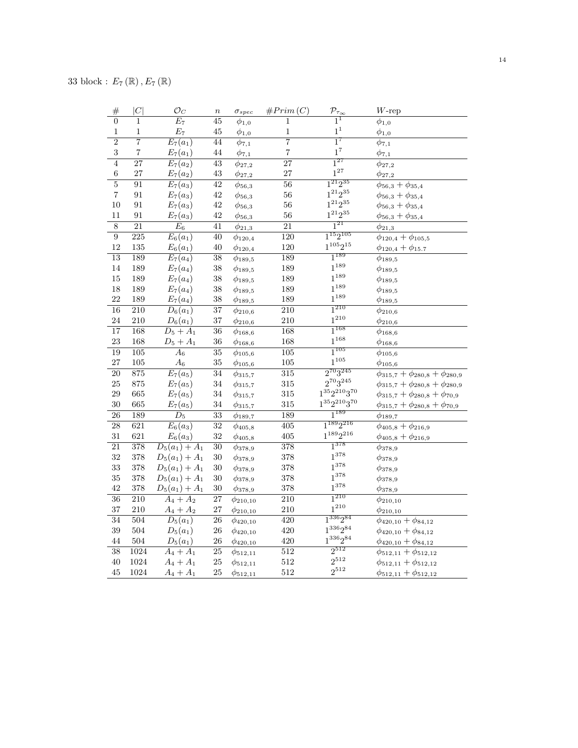| #               | C                | $\mathcal{O}_C$       | $\boldsymbol{n}$ | $\sigma_{spec}$ | #Prim(C)                | $\mathcal{P}_{\tau_{\underline{\infty}}}$ | $W$ -rep                                     |
|-----------------|------------------|-----------------------|------------------|-----------------|-------------------------|-------------------------------------------|----------------------------------------------|
| $\overline{0}$  | $\overline{1}$   | $\overline{E_7}$      | $\overline{45}$  | $\phi_{1,0}$    | $\mathbf{1}$            | $\overline{1}^{\overline{1}}$             | $\phi_{1,0}$                                 |
| $\,1\,$         | $\mathbf 1$      | $\mathcal{E}_7$       | $45\,$           | $\phi_{1,0}$    | $\mathbf{1}$            | $\mathbf{1}^1$                            | $\phi_{1,0}$                                 |
| $\overline{2}$  | $\overline{7}$   | $E_7(a_1)$            | 44               | $\phi_{7,1}$    | $\overline{7}$          | $1^7$                                     | $\phi_{7,1}$                                 |
| 3               | $\overline{7}$   | $E_7(a_1)$            | $\sqrt{44}$      | $\phi_{7,1}$    | $\overline{\mathbf{7}}$ | $1^7\,$                                   | $\phi_{7,1}$                                 |
| $\overline{4}$  | $\overline{27}$  | $E_7(a_2)$            | $\overline{43}$  | $\phi_{27,2}$   | $\overline{27}$         | $1^{27}$                                  | $\phi_{27,2}$                                |
| $\,6$           | 27               | $E_7(a_2)$            | $43\,$           | $\phi_{27,2}$   | 27                      | $1^{27}$                                  | $\phi_{27,2}$                                |
| $\overline{5}$  | $\overline{91}$  | $\overline{E_7}(a_3)$ | $\overline{42}$  | $\phi_{56,3}$   | $\overline{56}$         | $1^{21}2^{35}$                            | $\phi_{56,3} + \phi_{35,4}$                  |
| $\,7$           | 91               | $E_7(a_3)$            | $42\,$           | $\phi_{56,3}$   | 56                      | $1^{21}2^{35}$                            | $\phi_{56,3} + \phi_{35,4}$                  |
| 10              | 91               | $E_7(a_3)$            | $42\,$           | $\phi_{56,3}$   | 56                      | $1^{21}2^{35}$                            | $\phi_{56,3}+\phi_{35,4}$                    |
| 11              | 91               | $E_7(a_3)$            | $42\,$           | $\phi_{56,3}$   | 56                      | $1^{21}2^{35}\,$                          | $\phi_{56,3}+\phi_{35,4}$                    |
| $8\,$           | 21               | $\mathcal{E}_6$       | 41               | $\phi_{21,3}$   | 21                      | $1^{21}$                                  | $\phi_{21,3}$                                |
| $\overline{9}$  | 225              | $E_6(a_1)$            | 40               | $\phi_{120,4}$  | 120                     | $1^{15}2^{105}$                           | $\phi_{120,4} + \phi_{105,5}$                |
| 12              | 135              | $E_6(a_1)$            | 40               | $\phi_{120,4}$  | 120                     | $1^{105}2^{15}$                           | $\phi_{120,4} + \phi_{15.7}$                 |
| $\overline{13}$ | 189              | $E_7(a_4)$            | $\overline{38}$  | $\phi_{189,5}$  | 189                     | $1^{189}$                                 | $\phi_{189,5}$                               |
| 14              | 189              | $E_7(a_4)$            | $38\,$           | $\phi_{189,5}$  | 189                     | $1^{189}$                                 | $\phi_{189,5}$                               |
| 15              | 189              | $E_7(a_4)$            | 38               | $\phi_{189,5}$  | 189                     | $1^{189}$                                 | $\phi_{189,5}$                               |
| 18              | 189              | $E_7(a_4)$            | $38\,$           | $\phi_{189,5}$  | 189                     | $1^{189}$                                 | $\phi_{189,5}$                               |
| 22              | 189              | $E_7(a_4)$            | $38\,$           | $\phi_{189,5}$  | 189                     | $1^{189}$                                 | $\phi_{189,5}$                               |
| $\overline{16}$ | $\overline{210}$ | $D_6(a_1)$            | $\overline{37}$  | $\phi_{210,6}$  | $\overline{210}$        | $1^{210}$                                 | $\phi_{210,6}$                               |
| 24              | 210              | $D_6(a_1)$            | $37\,$           | $\phi_{210,6}$  | 210                     | $1^{210}$                                 | $\phi_{210,6}$                               |
| $\overline{17}$ | 168              | $D_5 + A_1$           | $\overline{36}$  | $\phi_{168,6}$  | 168                     | $1^{168}$                                 | $\phi_{168,6}$                               |
| 23              | 168              | $D_5 + A_1$           | $36\,$           | $\phi_{168,6}$  | 168                     | $1^{168}$                                 | $\phi_{168,6}$                               |
| 19              | $\overline{105}$ | $\overline{A_6}$      | $\overline{35}$  | $\phi_{105,6}$  | $\overline{105}$        | $1^{105}$                                 | $\phi_{105,6}$                               |
| 27              | 105              | $\mathcal{A}_6$       | $35\,$           | $\phi_{105,6}$  | 105                     | $1^{105}$                                 | $\phi_{105,6}$                               |
| $\overline{20}$ | 875              | $\overline{E_7(a_5)}$ | $\overline{34}$  | $\phi_{315,7}$  | $\overline{315}$        | $2^{70}3^{245}$                           | $\phi_{315,7} + \phi_{280,8} + \phi_{280,9}$ |
| $25\,$          | $875\,$          | $E_7(a_5)$            | $34\,$           | $\phi_{315,7}$  | 315                     | $2^{70}3^{245}$                           | $\phi_{315,7} + \phi_{280,8} + \phi_{280,9}$ |
| 29              | 665              | $E_7(a_5)$            | $34\,$           | $\phi_{315,7}$  | 315                     | $1^{35}2^{210}3^{70}\,$                   | $\phi_{315,7} + \phi_{280,8} + \phi_{70,9}$  |
| 30              | 665              | $E_7(a_5)$            | $34\,$           | $\phi_{315,7}$  | 315                     | $1^{35}2^{210}3^{70}\,$                   | $\phi_{315,7} + \phi_{280,8} + \phi_{70,9}$  |
| $\overline{26}$ | 189              | $\overline{D_5}$      | $\overline{33}$  | $\phi_{189,7}$  | 189                     | $1^{189}$                                 | $\phi_{189,7}$                               |
| 28              | 621              | $E_6(a_3)$            | $\overline{32}$  | $\phi_{405,8}$  | $\overline{405}$        | $1^{189}2^{216}$                          | $\phi_{405,8} + \phi_{216,9}$                |
| 31              | 621              | $E_6(a_3)$            | $32\,$           | $\phi_{405,8}$  | 405                     | $1^{189}2^{216}$                          | $\phi_{405,8} + \phi_{216,9}$                |
| $\overline{21}$ | 378              | $D_5(a_1) + A_1$      | $\overline{30}$  | $\phi_{378,9}$  | $\overline{378}$        | $1^{378}$                                 | $\phi_{378,9}$                               |
| 32              | 378              | $D_5(a_1) + A_1$      | $30\,$           | $\phi_{378,9}$  | 378                     | $1^{378}$                                 | $\phi_{378,9}$                               |
| 33              | 378              | $D_5(a_1) + A_1$      | 30               | $\phi_{378,9}$  | 378                     | $1^{378}$                                 | $\phi_{378,9}$                               |
| 35              | 378              | $D_5(a_1) + A_1$      | $30\,$           | $\phi_{378,9}$  | 378                     | $1^{378}$                                 | $\phi_{378,9}$                               |
| 42              | 378              | $D_5(a_1) + A_1$      | 30               | $\phi_{378,9}$  | 378                     | $1^{378}$                                 | $\phi_{378,9}$                               |
| $\overline{36}$ | $\overline{210}$ | $A_4 + A_2$           | $\overline{27}$  | $\phi_{210,10}$ | $\overline{210}$        | $1^{210}$                                 | $\phi_{210,10}$                              |
| 37              | $210\,$          | $A_4 + A_2$           | $27\,$           | $\phi_{210,10}$ | 210                     | $1^{210}\,$                               | $\phi_{210,10}$                              |
| 34              | 504              | $D_5(a_1)$            | $\overline{26}$  | $\phi_{420,10}$ | 420                     | $1^{336}2^{84}$                           | $\phi_{420,10} + \phi_{84,12}$               |
| 39              | 504              | $D_5(a_1)$            | $26\,$           | $\phi_{420,10}$ | 420                     | $1^{336}2^{84}\,$                         | $\phi_{420,10} + \phi_{84,12}$               |
| 44              | $504\,$          | $D_5(a_1)$            | $26\,$           | $\phi_{420,10}$ | 420                     | $1^{336}2^{84}$                           | $\phi_{420,10} + \phi_{84,12}$               |
| $\overline{38}$ | 1024             | $A_4 + A_1$           | $\overline{25}$  | $\phi_{512,11}$ | $\overline{512}$        | $2^{512}$                                 | $\phi_{512,11} + \phi_{512,12}$              |
| 40              | 1024             | $A_4 + A_1$           | $25\,$           | $\phi_{512,11}$ | 512                     | $2^{512}$                                 | $\phi_{512,11} + \phi_{512,12}$              |
| 45              | 1024             | $A_4 + A_1$           | 25               | $\phi_{512,11}$ | 512                     | $2^{512}$                                 | $\phi_{512,11} + \phi_{512,12}$              |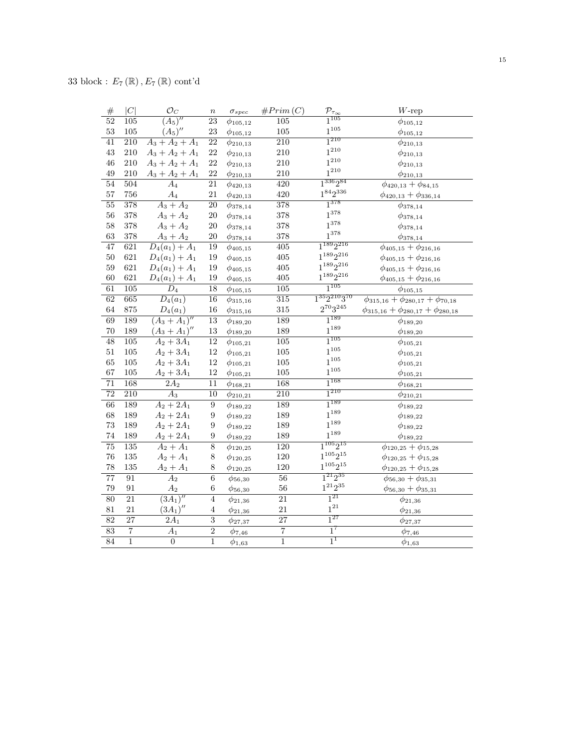| $\#$            | C                | $\mathcal{O}_C$            | $\boldsymbol{n}$ | $\sigma_{spec}$ | #Prim(C)         | $\frac{\mathcal{P}_{\tau_{\infty}}}{1^{105}}$ | $W\text{-rep}$                                  |
|-----------------|------------------|----------------------------|------------------|-----------------|------------------|-----------------------------------------------|-------------------------------------------------|
| $\overline{52}$ | 105              | $\overline{(A_5)''}$       | $\overline{23}$  | $\phi_{105,12}$ | $\overline{105}$ |                                               | $\phi_{105,12}$                                 |
| 53              | $105\,$          | $(A_5)''$                  | 23               | $\phi_{105,12}$ | $105\,$          | $1^{105}$                                     | $\phi_{105,12}$                                 |
| $\overline{41}$ | $\overline{210}$ | $A_3 + A_2 + A_1$          | 22               | $\phi_{210,13}$ | $\overline{210}$ | $1^{210}$                                     | $\phi_{210,13}$                                 |
| 43              | $210\,$          | $A_3 + A_2 + A_1$          | 22               | $\phi_{210,13}$ | 210              | $1^{210}$                                     | $\phi_{210,13}$                                 |
| 46              | 210              | $A_3 + A_2 + A_1$          | 22               | $\phi_{210,13}$ | 210              | $1^{210}$                                     | $\phi_{210,13}$                                 |
| 49              | 210              | $A_3 + A_2 + A_1$          | $22\,$           | $\phi_{210,13}$ | $210\,$          | $1^{210}$                                     | $\phi_{210,13}$                                 |
| $\overline{54}$ | 504              | $A_4$                      | 21               | $\phi_{420,13}$ | 420              | $1^{336}2^{84}$                               | $\phi_{420,13} + \phi_{84,15}$                  |
| 57              | 756              | $A_4$                      | $21\,$           | $\phi_{420,13}$ | 420              | $1^{84}2^{336}$                               | $\phi_{420,13} + \phi_{336,14}$                 |
| 55              | $\overline{378}$ | $A_3 + A_2$                | $\overline{20}$  | $\phi_{378,14}$ | $\overline{378}$ | $1^{378}$                                     | $\phi_{378,14}$                                 |
| 56              | 378              | $A_3 + A_2$                | $20\,$           | $\phi_{378,14}$ | $378\,$          | $1^{378}$                                     | $\phi_{378,14}$                                 |
| 58              | 378              | $A_3 + A_2$                | $20\,$           | $\phi_{378,14}$ | 378              | $1^{378}$                                     | $\phi_{378,14}$                                 |
| 63              | 378              | $A_3 + A_2$                | $20\,$           | $\phi_{378,14}$ | 378              | $1^{378}$                                     | $\phi_{378,14}$                                 |
| 47              | 621              | $D_4(a_1) + A_1$           | 19               | $\phi_{405,15}$ | $\overline{405}$ | $1^{189}2^{216}$                              | $\phi_{405,15}+\phi_{216,16}$                   |
| 50              | 621              | $D_4(a_1) + A_1$           | 19               | $\phi_{405,15}$ | $405\,$          | $1^{189}2^{216}$                              | $\phi_{405,15}+\phi_{216,16}$                   |
| 59              | 621              | $D_4(a_1) + A_1$           | 19               | $\phi_{405,15}$ | $405\,$          | $1^{189}2^{216}$                              | $\phi_{405,15}+\phi_{216,16}$                   |
| 60              | 621              | $D_4(a_1) + A_1$           | 19               | $\phi_{405,15}$ | 405              | $1^{189}2^{216}$                              | $\phi_{405,15}+\phi_{216,16}$                   |
| 61              | $\overline{105}$ | $D_4$                      | 18               | $\phi_{105,15}$ | $\overline{105}$ | $1^{105}$                                     | $\phi_{105,15}$                                 |
| $\overline{62}$ | 665              | $\overline{D_4(a_1)}$      | 16               | $\phi_{315,16}$ | $\overline{315}$ | $1^{35}2^{210}3^{70}$                         | $\phi_{315,16} + \phi_{280,17} + \phi_{70,18}$  |
| 64              | 875              | $D_4(a_1)$                 | 16               | $\phi_{315,16}$ | 315              | $2^{70}3^{245}$                               | $\phi_{315,16} + \phi_{280,17} + \phi_{280,18}$ |
| 69              | 189              | $(\overline{A_3 + A_1})''$ | $\overline{13}$  | $\phi_{189,20}$ | 189              | $1^{189}$                                     | $\phi_{189,20}$                                 |
| 70              | 189              | $(A_3 + A_1)''$            | $13\,$           | $\phi_{189,20}$ | 189              | $1^{189}\,$                                   | $\phi_{189,20}$                                 |
| $\overline{48}$ | $\overline{105}$ | $A_2 + 3A_1$               | 12               | $\phi_{105,21}$ | $\overline{105}$ | $1^{105}$                                     | $\phi_{105,21}$                                 |
| $51\,$          | $105\,$          | $A_2 + 3A_1$               | $12\,$           | $\phi_{105,21}$ | $105\,$          | $1^{105}$                                     | $\phi_{105,21}$                                 |
| 65              | 105              | $A_2 + 3A_1$               | $12\,$           | $\phi_{105,21}$ | $105\,$          | $1^{105}$                                     | $\phi_{105,21}$                                 |
| 67              | 105              | $A_2 + 3A_1$               | $12\,$           | $\phi_{105,21}$ | $105\,$          | $1^{105}$                                     | $\phi_{105,21}$                                 |
| $\overline{71}$ | 168              | $2A_2$                     | $\overline{11}$  | $\phi_{168,21}$ | 168              | $1^{168}$                                     | $\phi_{168,21}$                                 |
| $\overline{72}$ | 210              | $A_3$                      | $\overline{10}$  | $\phi_{210,21}$ | 210              | $1^{210}$                                     | $\phi_{210,21}$                                 |
| $\overline{66}$ | 189              | $A_2 + 2A_1$               | $\overline{9}$   | $\phi_{189,22}$ | 189              | $1^{189}$                                     | $\phi_{189,22}$                                 |
| 68              | 189              | $A_2 + 2A_1$               | 9                | $\phi_{189,22}$ | 189              | $1^{189}$                                     | $\phi_{189,22}$                                 |
| 73              | 189              | $A_2 + 2A_1$               | $\boldsymbol{9}$ | $\phi_{189,22}$ | 189              | $1^{189}$                                     | $\phi_{189,22}$                                 |
| 74              | 189              | $A_2 + 2A_1$               | $\boldsymbol{9}$ | $\phi_{189,22}$ | 189              | $1^{189}$                                     | $\phi_{189,22}$                                 |
| $\overline{75}$ | 135              | $A_2 + A_1$                | $\overline{8}$   | $\phi_{120,25}$ | $\overline{120}$ | $1^{105}2^{15}$                               | $\phi_{120,25}+\phi_{15,28}$                    |
| 76              | $135\,$          | $A_2 + A_1$                | 8                | $\phi_{120,25}$ | $120\,$          | $1^{105}2^{15}$                               | $\phi_{120,25}+\phi_{15,28}$                    |
| 78              | $135\,$          | $A_2 + A_1$                | 8                | $\phi_{120,25}$ | $120\,$          | $1^{105}2^{15}\,$                             | $\phi_{120,25} + \phi_{15,28}$                  |
| 77              | 91               | A <sub>2</sub>             | $\sqrt{6}$       | $\phi_{56,30}$  | 56               | $1^{21}2^{35}$                                | $\phi_{56,30} + \phi_{35,31}$                   |
| 79              | 91               | $\mathcal{A}_2$            | $\,6\,$          | $\phi_{56,30}$  | 56               | $1^{21}2^{35}\,$                              | $\phi_{56,30} + \phi_{35,31}$                   |
| $\overline{80}$ | $\overline{21}$  | $\overline{(3A_1)''}$      | $\overline{4}$   | $\phi_{21,36}$  | $\overline{21}$  | $1^{21}$                                      | $\phi_{21,36}$                                  |
| 81              | 21               | $(3A_1)''$                 | $\overline{4}$   | $\phi_{21,36}$  | $21\,$           | $1^{21}$                                      | $\phi_{21,36}$                                  |
| 82              | $\overline{27}$  | $2A_1$                     | $\overline{3}$   | $\phi_{27,37}$  | 27               | $1^{27}$                                      | $\phi_{27,37}$                                  |
| $\overline{83}$ | $\overline{7}$   | $\overline{A_1}$           | $\overline{2}$   | $\phi_{7,46}$   | $\overline{7}$   | $1^7$                                         | $\phi_{7,46}$                                   |
| $\overline{84}$ | $\overline{1}$   | $\overline{0}$             | $\overline{1}$   | $\phi_{1,63}$   | $\overline{1}$   | $\overline{1}^1$                              | $\phi_{1,63}$                                   |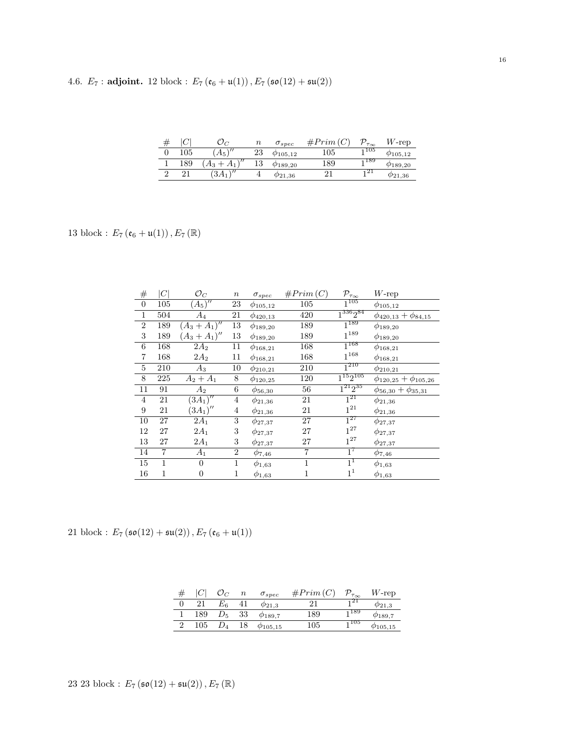|  | 4.6. $E_7$ : adjoint. 12 block: $E_7(e_6 + \mathfrak{u}(1)), E_7(\mathfrak{so}(12) + \mathfrak{su}(2))$ |  |  |  |  |  |
|--|---------------------------------------------------------------------------------------------------------|--|--|--|--|--|
|--|---------------------------------------------------------------------------------------------------------|--|--|--|--|--|

| 77 |     |                    | $\it n$ | $\sigma_{spec}$    | $#Prim$ ( | $\mathcal{D}_{\tau_{\infty}}$ | $W\text{-rep}$     |
|----|-----|--------------------|---------|--------------------|-----------|-------------------------------|--------------------|
|    | 105 | $A_5$ <sup>r</sup> | 23      | $\varphi_{105,12}$ | $105\,$   | $-105$                        | $\varphi_{105,12}$ |
|    | 189 | $\sqrt{2}$         | ΤO      | $\varphi_{189,20}$ | 189       | 1189                          | $\varphi_{189,20}$ |
|    |     |                    |         | $\varphi_{21,36}$  |           | 21                            | $\rho_{21,36}$     |
|    |     |                    |         |                    |           |                               |                    |

13 block :  $E_{7}\left(\mathfrak{e}_{6}+\mathfrak{u}(1)\right), E_{7}\left(\mathbb{R}\right)$ 

| $^{\#}$        | $\left C\right $ | $\mathcal{O}_C$  | $\,n$            | $\sigma_{spec}$ | #Prim(C)       | $\mathcal{P}_{\tau_{\infty}}$ | $W$ -rep                       |
|----------------|------------------|------------------|------------------|-----------------|----------------|-------------------------------|--------------------------------|
| $\overline{0}$ | 105              | $(A_5)''$        | 23               | $\phi_{105,12}$ | 105            | $\overline{1^{105}}$          | $\phi_{105,12}$                |
| $\mathbf{1}$   | 504              | $A_4$            | 21               | $\phi_{420,13}$ | 420            | $1^{336}2^{84}$               | $\phi_{420,13} + \phi_{84,15}$ |
| $\overline{2}$ | 189              | $(A_3 + A_1)''$  | 13               | $\phi_{189,20}$ | 189            | $1^{189}$                     | $\phi_{189,20}$                |
| 3              | 189              | $(A_3 + A_1)''$  | 13               | $\phi_{189,20}$ | 189            | $1^{189}$                     | $\phi_{189,20}$                |
| 6              | 168              | $2A_2$           | 11               | $\phi_{168,21}$ | 168            | $1^{168}$                     | $\phi_{168,21}$                |
| 7              | 168              | $2A_2$           | 11               | $\phi_{168,21}$ | 168            | $1^{168}$                     | $\phi_{168,21}$                |
| $\bf 5$        | 210              | $A_3$            | 10               | $\phi_{210,21}$ | 210            | $1^{210}$                     | $\phi_{210,21}$                |
| 8              | 225              | $A_2 + A_1$      | 8                | $\phi_{120,25}$ | 120            | $1^{15}2^{105}$               | $\phi_{120,25}+\phi_{105,26}$  |
| 11             | 91               | $A_2$            | 6                | $\phi_{56,30}$  | 56             | $\overline{1^{21}2^{35}}$     | $\phi_{56,30} + \phi_{35,31}$  |
| 4              | 21               | $(3A_1)''$       | 4                | $\phi_{21,36}$  | 21             | $1^{21}$                      | $\phi_{21,36}$                 |
| 9              | 21               | $(3A_1)''$       | 4                | $\phi_{21,36}$  | 21             | $1^{21}$                      | $\phi_{21,36}$                 |
| 10             | 27               | $2A_1$           | 3                | $\phi_{27,37}$  | 27             | $\overline{1^{27}}$           | $\phi_{27,37}$                 |
| 12             | 27               | $2A_1$           | 3                | $\phi_{27,37}$  | 27             | $1^{27}$                      | $\phi_{27,37}$                 |
| 13             | 27               | $2A_1$           | 3                | $\phi_{27,37}$  | 27             | $1^{27}$                      | $\phi_{27,37}$                 |
| 14             | 7                | $A_1$            | $\boldsymbol{2}$ | $\phi_{7,46}$   | $\overline{7}$ | $1^7$                         | $\phi_{7,46}$                  |
| 15             | $\mathbf{1}$     | $\overline{0}$   | $\mathbf{1}$     | $\phi_{1,63}$   | $\mathbf{1}$   | $1^1$                         | $\phi_{1,63}$                  |
| 16             | 1                | $\boldsymbol{0}$ | 1                | $\phi_{1,63}$   | 1              | 1 <sup>1</sup>                | $\phi_{1,63}$                  |

21 block :  $E_7\left(\mathfrak{so}(12)+\mathfrak{su}(2)\right), E_7\left(\mathfrak{e}_6+\mathfrak{u}(1)\right)$ 

| # |     |             | $\it n$ | $\sigma_{spec}$  | #Prim(C) | $\mathcal{D}_{\tau_{\infty}}$ | $W$ -rep           |
|---|-----|-------------|---------|------------------|----------|-------------------------------|--------------------|
|   | 21  | $E_{6}$     |         | $\varphi_{21,3}$ |          | 121                           | $\varphi_{21,3}$   |
|   | 189 | $D_{\rm 5}$ | 33      | $\phi_{189,7}$   | 189      | 1189                          | $\phi_{189.7}$     |
|   | 105 |             | 18      | $\phi_{105,15}$  | 105      | 1105                          | $\varphi_{105,15}$ |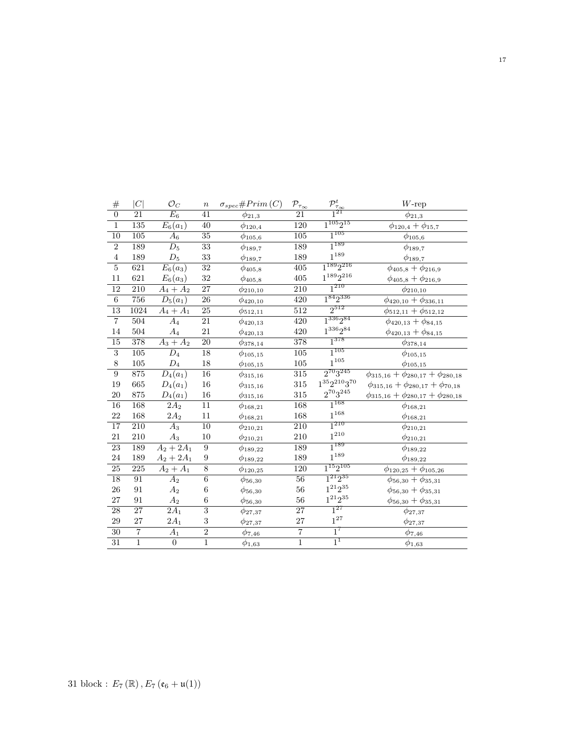| $\#$            | C                | $\mathcal{O}_C$       | $\boldsymbol{n}$          | $\sigma_{spec}$ #Prim(C) | $\mathcal{P}_{\tau_{\underline{\infty}}}$ | $\frac{\mathcal{P}_{\tau_{\infty}}^t}{1^{21}}$ | $W\text{-rep}$                                  |
|-----------------|------------------|-----------------------|---------------------------|--------------------------|-------------------------------------------|------------------------------------------------|-------------------------------------------------|
| $\overline{0}$  | 21               | $E_6$                 | 41                        | $\phi_{21,3}$            | 21                                        |                                                | $\phi_{21,3}$                                   |
| $\mathbf{1}$    | $\overline{135}$ | $E_6(a_1)$            | 40                        | $\phi_{120,4}$           | $\overline{120}$                          | $\overline{1^{105}2^{15}}$                     | $\phi_{120,4} + \phi_{15,7}$                    |
| 10              | $\overline{105}$ | $A_6$                 | $\overline{35}$           | $\phi_{105,6}$           | 105                                       | $1^{105}$                                      | $\phi_{105,6}$                                  |
| $\overline{2}$  | 189              | $D_5$                 | 33                        | $\phi_{189,7}$           | 189                                       | $1^{189}$                                      | $\phi_{189,7}$                                  |
| $\overline{4}$  | 189              | $D_5$                 | 33                        | $\phi_{189,7}$           | 189                                       | $1^{189}\,$                                    | $\phi_{189,7}$                                  |
| $\overline{5}$  | 621              | $E_6(a_3)$            | $\overline{32}$           | $\phi_{405,8}$           | $\overline{405}$                          | $1^{189}2^{216}$                               | $\phi_{405,8} + \phi_{216,9}$                   |
| 11              | 621              | $E_6(a_3)$            | $32\,$                    | $\phi_{405,8}$           | $405\,$                                   | $1^{189}2^{216}$                               | $\phi_{405,8} + \phi_{216,9}$                   |
| 12              | 210              | $A_4+A_2$             | 27                        | $\phi_{210,10}$          | 210                                       | $1^{210}$                                      | $\phi_{210,10}$                                 |
| $\overline{6}$  | 756              | $D_5(a_1)$            | $\overline{26}$           | $\phi_{420,10}$          | 420                                       | $1^{84}2^{336}$                                | $\phi_{420,10} + \phi_{336,11}$                 |
| $\overline{13}$ | 1024             | $A_4 + A_1$           | $\overline{25}$           | $\phi_{512,11}$          | $\overline{512}$                          | $2^{512}$                                      | $\phi_{512,11} + \phi_{512,12}$                 |
| $\,7$           | 504              | $A_4$                 | 21                        | $\phi_{420,13}$          | 420                                       | $1^{336}2^{84}$                                | $\phi_{420,13} + \phi_{84,15}$                  |
| 14              | 504              | $\mathcal{A}_4$       | 21                        | $\phi_{420,13}$          | 420                                       | $1^{336}2^{84}$                                | $\phi_{420,13} + \phi_{84,15}$                  |
| $\overline{15}$ | 378              | $A_3 + A_2$           | $\overline{20}$           | $\phi_{378,14}$          | 378                                       | $1^{378}$                                      | $\phi_{378,14}$                                 |
| $\overline{3}$  | $\overline{105}$ | $\overline{D}_4$      | $\overline{18}$           | $\phi_{105,15}$          | $105\,$                                   | $1^{105}$                                      | $\phi_{105,15}$                                 |
| $8\,$           | $105\,$          | $\mathcal{D}_4$       | $18\,$                    | $\phi_{105,15}$          | $105\,$                                   | $1^{105}\,$                                    | $\phi_{105,15}$                                 |
| $\overline{9}$  | 875              | $\overline{D_4(a_1)}$ | $\overline{16}$           | $\phi_{315,16}$          | $\overline{315}$                          | $2^{70}3^{245}$                                | $\phi_{315,16} + \phi_{280,17} + \phi_{280,18}$ |
| 19              | $665\,$          | $D_4(a_1)$            | $16\,$                    | $\phi_{315,16}$          | $315\,$                                   | $1^{35}2^{210}3^{70}\,$                        | $\phi_{315,16} + \phi_{280,17} + \phi_{70,18}$  |
| 20              | $875\,$          | $D_4(a_1)$            | $16\,$                    | $\phi_{315,16}$          | 315                                       | $2^{70}3^{245}\,$                              | $\phi_{315,16} + \phi_{280,17} + \phi_{280,18}$ |
| 16              | 168              | 2A <sub>2</sub>       | $11\,$                    | $\phi_{168,21}$          | 168                                       | $1^{168}$                                      | $\phi_{168,21}$                                 |
| 22              | 168              | $2{\cal A}_2$         | $11\,$                    | $\phi_{168,21}$          | 168                                       | $1^{168}\,$                                    | $\phi_{168,21}$                                 |
| 17              | $\overline{210}$ | $\overline{A_3}$      | $\overline{10}$           | $\phi_{210,21}$          | $\overline{210}$                          | $1^{210}$                                      | $\phi_{210,21}$                                 |
| 21              | $210\,$          | $A_3$                 | $10\,$                    | $\phi_{210,21}$          | $210\,$                                   | $1^{210}\,$                                    | $\phi_{210,21}$                                 |
| 23              | 189              | $A_2 + 2A_1$          | 9                         | $\phi_{189,22}$          | 189                                       | $1^{189}$                                      | $\phi_{189,22}$                                 |
| 24              | 189              | $A_2 + 2A_1$          | 9                         | $\phi_{189,22}$          | 189                                       | $1^{189}\,$                                    | $\phi_{189,22}$                                 |
| $\overline{25}$ | $\overline{225}$ | $A_2 + A_1$           | $\overline{8}$            | $\phi_{120,25}$          | 120                                       | $1^{15}2^{105}$                                | $\phi_{120,25} + \phi_{105,26}$                 |
| 18              | 91               | $A_2$                 | $\,6$                     | $\phi_{56,30}$           | $\overline{56}$                           | $1^{21}2^{35}$                                 | $\phi_{56,30} + \phi_{35,31}$                   |
| 26              | $\rm 91$         | A <sub>2</sub>        | $\,6$                     | $\phi_{56,30}$           | $56\,$                                    | $1^{21}2^{35}\,$                               | $\phi_{56,30} + \phi_{35,31}$                   |
| 27              | $\rm 91$         | A <sub>2</sub>        | $\,6$                     | $\phi_{56,30}$           | $56\,$                                    | $1^{21}2^{35}\,$                               | $\phi_{56,30} + \phi_{35,31}$                   |
| $\overline{28}$ | $\overline{27}$  | $\overline{2A_1}$     | $\overline{\overline{3}}$ | $\phi_{27,37}$           | $\overline{27}$                           | $1^{27}$                                       | $\phi_{27,37}$                                  |
| $\,29$          | 27               | $2{\cal A}_1$         | $\overline{\mathbf{3}}$   | $\phi_{27,37}$           | 27                                        | $1^{27}$                                       | $\phi_{27,37}$                                  |
| 30              | $\overline{7}$   | $A_1$                 | $\overline{2}$            | $\phi_{7,46}$            | $\overline{7}$                            | $1^7$                                          | $\phi_{7,46}$                                   |
| 31              | $\overline{1}$   | $\boldsymbol{0}$      | $\overline{1}$            | $\phi_{1,63}$            | $\overline{1}$                            | $1^1$                                          | $\phi_{1,63}$                                   |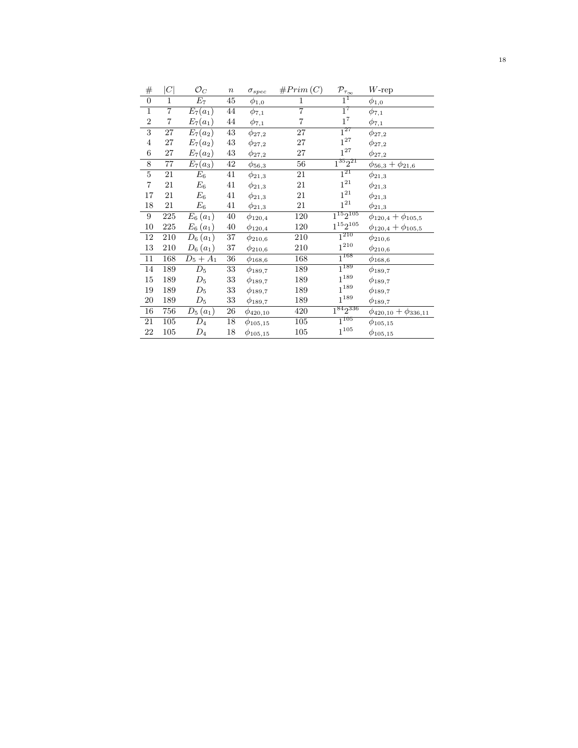| #                       | C              | $\mathcal{O}_C$  | $\boldsymbol{n}$ | $\sigma_{spec}$ | #Prim(C)       | $\mathcal{P}_{\tau_{\underline{\infty}}}$ | $W$ -rep                        |
|-------------------------|----------------|------------------|------------------|-----------------|----------------|-------------------------------------------|---------------------------------|
| $\overline{0}$          | 1              | $E_7$            | 45               | $\phi_{1,0}$    | 1              | $1^1$                                     | $\phi_{1,0}$                    |
| $\overline{1}$          | $\overline{7}$ | $E_7(a_1)$       | 44               | $\phi_{7,1}$    | $\overline{7}$ | $\overline{1^7}$                          | $\phi_{7,1}$                    |
| $\overline{2}$          | 7              | $E_7(a_1)$       | $\rm 44$         | $\phi_{7,1}$    | $\overline{7}$ | $1^7$                                     | $\phi_{7,1}$                    |
| 3                       | 27             | $E_7(a_2)$       | 43               | $\phi_{27,2}$   | 27             | $1^{27}$                                  | $\phi_{27,2}$                   |
| $\overline{4}$          | $27\,$         | $E_7(a_2)$       | $43\,$           | $\phi_{27,2}$   | 27             | $1^{27}$                                  | $\phi_{27,2}$                   |
| 6                       | $27\,$         | $E_7(a_2)$       | $\rm 43$         | $\phi_{27,2}$   | 27             | $1^{27}$                                  | $\phi_{27,2}$                   |
| 8                       | 77             | $E_7(a_3)$       | $42\,$           | $\phi_{56,3}$   | 56             | $1^{35}2^{21}$                            | $\phi_{56,3}+\phi_{21,6}$       |
| $\overline{5}$          | 21             | $\overline{E_6}$ | 41               | $\phi_{21,3}$   | 21             | $1^{21}$                                  | $\phi_{21,3}$                   |
| $\overline{\mathbf{7}}$ | 21             | $E_6$            | 41               | $\phi_{21,3}$   | 21             | $1^{21}\,$                                | $\phi_{21,3}$                   |
| 17                      | 21             | $E_6$            | 41               | $\phi_{21,3}$   | 21             | $1^{21}\,$                                | $\phi_{21,3}$                   |
| 18                      | 21             | $E_{\rm 6}$      | 41               | $\phi_{21,3}$   | 21             | $\mathbf{1}^{21}$                         | $\phi_{21,3}$                   |
| 9                       | 225            | $E_6(a_1)$       | $40\,$           | $\phi_{120,4}$  | 120            | $1^{15}2^{105}$                           | $\phi_{120,4} + \phi_{105,5}$   |
| $10\,$                  | $225\,$        | $E_6(a_1)$       | $40\,$           | $\phi_{120,4}$  | 120            | $1^{15}2^{105}$                           | $\phi_{120,4} + \phi_{105,5}$   |
| 12                      | 210            | $D_6(a_1)$       | $37\,$           | $\phi_{210,6}$  | 210            | $1^{210}$                                 | $\phi_{210,6}$                  |
| 13                      | 210            | $D_6(a_1)$       | $37\,$           | $\phi_{210,6}$  | 210            | $\mathbf{1}^{210}$                        | $\phi_{210,6}$                  |
| $11\,$                  | 168            | $D_5 + A_1$      | $36\,$           | $\phi_{168,6}$  | 168            | $\overline{1^{168}}$                      | $\phi_{168,6}$                  |
| 14                      | 189            | $D_5$            | 33               | $\phi_{189,7}$  | 189            | $1^{189}$                                 | $\phi_{189,7}$                  |
| $15\,$                  | 189            | $\mathcal{D}_5$  | $33\,$           | $\phi_{189,7}$  | 189            | $1^{189}$                                 | $\phi_{189,7}$                  |
| 19                      | 189            | $\mathcal{D}_5$  | $33\,$           | $\phi_{189,7}$  | 189            | $1^{189}$                                 | $\phi_{189,7}$                  |
| 20                      | 189            | $D_5$            | 33               | $\phi_{189,7}$  | 189            | $1^{189}$                                 | $\phi_{189,7}$                  |
| 16                      | 756            | $D_5(a_1)$       | $26\,$           | $\phi_{420,10}$ | 420            | $1^{84}2^{336}$                           | $\phi_{420,10} + \phi_{336,11}$ |
| 21                      | 105            | $D_4$            | $18\,$           | $\phi_{105,15}$ | $105\,$        | $1^{105}$                                 | $\phi_{105,15}$                 |
| 22                      | $105\,$        | $\mathcal{D}_4$  | 18               | $\phi_{105,15}$ | $105\,$        | $1^{\mathrm{105}}$                        | $\phi_{105,15}$                 |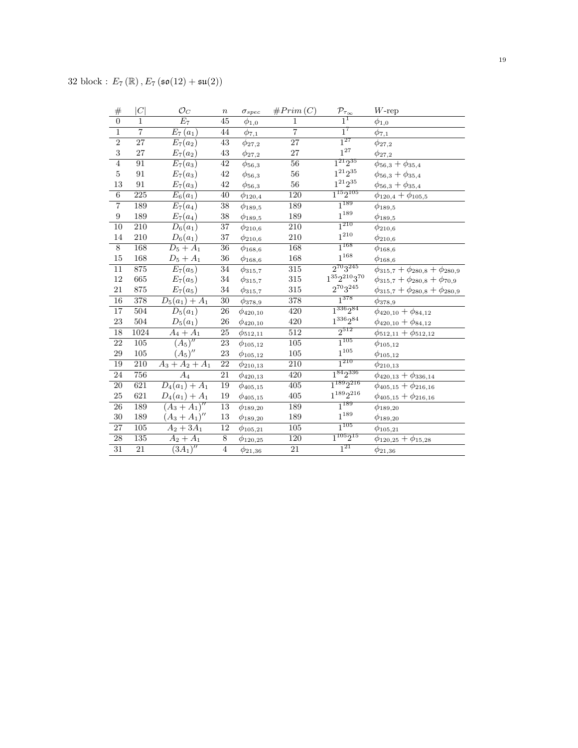| $\#$            | C                | $\mathcal{O}_C$            | $\boldsymbol{n}$ | $\sigma_{spec}$          | #Prim(C)         | $\mathcal{P}_{\tau_{\infty}}$ | $W$ -rep                                     |
|-----------------|------------------|----------------------------|------------------|--------------------------|------------------|-------------------------------|----------------------------------------------|
| $\overline{0}$  | $\mathbf{1}$     | $E_7$                      | 45               | $\phi_{1,\underline{0}}$ | 1                | $1^1$                         | $\phi_{1,0}$                                 |
| $\overline{1}$  | $\overline{7}$   | $\overline{E}_7(a_1)$      | 44               | $\phi_{7,\underline{1}}$ | $\overline{7}$   | $1^7$                         | $\phi_{7,\underline{1}}$                     |
| $\overline{2}$  | $\overline{27}$  | $E_7(a_2)$                 | $\overline{43}$  | $\phi_{27,2}$            | $\overline{27}$  | $1^{27}$                      | $\phi_{27,2}$                                |
| $\overline{3}$  | 27               | $E_7(a_2)$                 | $43\,$           | $\phi_{27,2}$            | 27               | $1^{27}$                      | $\phi_{27,2}$                                |
| $\overline{4}$  | $\overline{91}$  | $E_7(a_3)$                 | $\overline{42}$  | $\phi_{56,3}$            | $\overline{56}$  | $1^{21}2^{35}$                | $\phi_{56,3}+\phi_{35,4}$                    |
| $\bf 5$         | 91               | $E_7(a_3)$                 | $42\,$           | $\phi_{56,3}$            | 56               | $1^{21}2^{35}\,$              | $\phi_{56,3}+\phi_{35,4}$                    |
| 13              | $\rm 91$         | $E_7(a_3)$                 | $42\,$           | $\phi_{56,3}$            | $56\,$           | $1^{21}2^{35}\,$              | $\phi_{56,3}+\phi_{35,4}$                    |
| $\overline{6}$  | 225              | $\overline{E}_6(a_1)$      | $\overline{40}$  | $\phi_{120,4}$           | 120              | $1^{15}2^{105}$               | $\phi_{120,4} + \phi_{105,5}$                |
| $\overline{7}$  | 189              | $E_7(a_4)$                 | $\overline{38}$  | $\phi_{189,5}$           | 189              | $1^{189}$                     | $\phi_{189,5}$                               |
| $\overline{9}$  | 189              | $E_7(a_4)$                 | $38\,$           | $\phi_{189,5}$           | 189              | $1^{189}\,$                   | $\phi_{189,5}$                               |
| 10              | 210              | $\overline{D}_6(a_1)$      | 37               | $\phi_{210,6}$           | 210              | $1^{210}$                     | $\phi_{210,6}$                               |
| 14              | 210              | $D_6(a_1)$                 | 37               | $\phi_{210,6}$           | 210              | $1^{\mathrm{210}}$            | $\phi_{210,6}$                               |
| $\overline{8}$  | 168              | $\overline{D_5 + A_1}$     | $\overline{36}$  | $\phi_{168,6}$           | 168              | $1^{168}$                     | $\phi_{168,6}$                               |
| $15\,$          | 168              | $D_5 + A_1$                | 36               | $\phi_{168,6}$           | 168              | $1^{168}\,$                   | $\phi_{168,6}$                               |
| $\overline{11}$ | 875              | $E_7(a_5)$                 | $\overline{34}$  | $\phi_{315,7}$           | 315              | $2^{70}3^{245}$               | $\phi_{315,7} + \phi_{280,8} + \phi_{280,9}$ |
| $12\,$          | 665              | $E_7(a_5)$                 | $34\,$           | $\phi_{{315,7}}$         | 315              | $1^{35}2^{210}3^{70}$         | $\phi_{315,7} + \phi_{280,8} + \phi_{70,9}$  |
| 21              | 875              | $E_7(a_5)$                 | $34\,$           | $\phi_{{315},7}$         | 315              | $2^{70}3^{245}$               | $\phi_{315,7} + \phi_{280,8} + \phi_{280,9}$ |
| 16              | 378              | $D_5(a_1) + A_1$           | $\overline{30}$  | $\phi_{378,9}$           | 378              | $1^{378}$                     | $\phi_{378,9}$                               |
| $\overline{17}$ | 504              | $D_5(a_1)$                 | $26\,$           | $\phi_{420,10}$          | 420              | $1^{336}2^{84}$               | $\phi_{420,10} + \phi_{84,12}$               |
| $\bf 23$        | 504              | $D_5(a_1)$                 | 26               | $\phi_{420,10}$          | 420              | $1^{336}2^{84}\,$             | $\phi_{420,10} + \phi_{84,12}$               |
| 18              | 1024             | $A_4 + A_1$                | $\overline{25}$  | $\phi_{512,11}$          | 512              | $2^{512}$                     | $\phi_{512,11} + \phi_{512,12}$              |
| 22              | 105              | $\overline{(A_5)''}$       | 23               | $\phi_{105,12}$          | $\overline{105}$ | $1^{105}$                     | $\phi_{105,12}$                              |
| 29              | $105\,$          | $(A_5)''$                  | $\bf 23$         | $\phi_{105,12}$          | 105              | $1^{\mathrm{105}}$            | $\phi_{105,12}$                              |
| 19              | $\overline{210}$ | $A_3 + A_2 + A_1$          | $\overline{22}$  | $\phi_{210,13}$          | $\overline{210}$ | $1^{210}$                     | $\phi_{210,13}$                              |
| 24              | 756              | $\overline{A}_4$           | 21               | $\phi_{420,13}$          | 420              | $1^{84}2^{336}$               | $\phi_{420,13} + \phi_{336,14}$              |
| $\overline{20}$ | 621              | $D_4(a_1) + A_1$           | 19               | $\phi_{405,15}$          | $405\,$          | $1^{189}2^{216}$              | $\phi_{405,15}+\phi_{216,16}$                |
| 25              | 621              | $D_4(a_1) + A_1$           | 19               | $\phi_{405,15}$          | $405\,$          | $1^{189}2^{216}\,$            | $\phi_{405,15}+\phi_{216,16}$                |
| $\overline{26}$ | 189              | $\overline{(A_3 + A_1)''}$ | $13\,$           | $\phi_{189,20}$          | 189              | $1^{189}$                     | $\phi_{189,20}$                              |
| 30              | 189              | $(A_3 + A_1)''$            | 13               | $\phi_{189,20}$          | 189              | $1^{189}$                     | $\phi_{189,20}$                              |
| 27              | 105              | $A_2 + 3A_1$               | 12               | $\phi_{105,21}$          | 105              | $1^{105}$                     | $\phi_{105,21}$                              |
| $\overline{28}$ | 135              | $A_2 + A_1$                | $\overline{8}$   | $\phi_{120,25}$          | 120              | $1^{105}2^{15}$               | $\phi_{120,25}+\phi_{15,28}$                 |
| $\overline{31}$ | $\overline{21}$  | $\overline{(3A_1)''}$      | $\overline{4}$   | $\phi_{21,36}$           | $\overline{21}$  | $1^{21}$                      | $\phi_{21,36}$                               |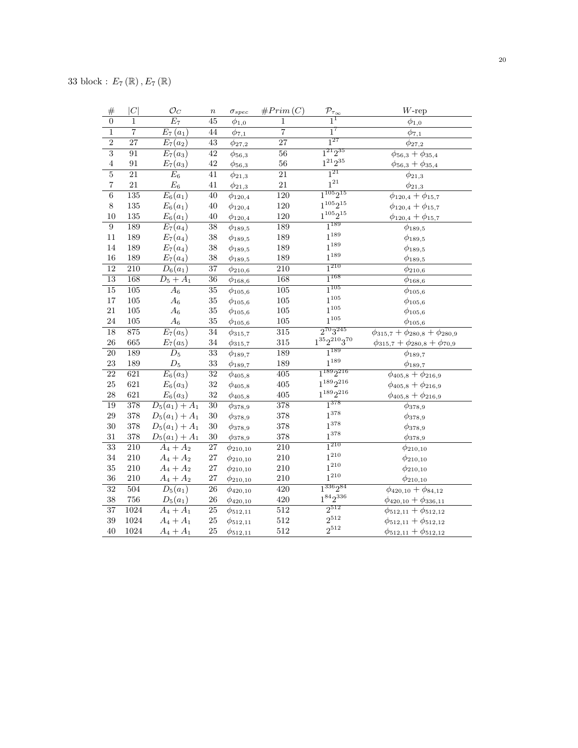| $\#$            | C                | $\mathcal{O}_C$       | $\boldsymbol{n}$ | $\sigma_{spec}$  | #Prim(C)         | $\frac{\mathcal{P}_{\tau_{\infty}}}{1}$ | $W$ -rep                                     |
|-----------------|------------------|-----------------------|------------------|------------------|------------------|-----------------------------------------|----------------------------------------------|
| $\overline{0}$  | 1                | $\overline{E_7}$      | 45               | $\phi_{1,0}$     | $\mathbf{1}$     |                                         | $\phi_{1,0}$                                 |
| $\mathbf{1}$    | $\overline{7}$   | $E_7(a_1)$            | 44               | $\phi_{7,1}$     | $\overline{7}$   | $\overline{1}^7$                        | $\phi_{7,1}$                                 |
| $\overline{2}$  | $\overline{27}$  | $E_7(a_2)$            | $\overline{43}$  | $\phi_{27,2}$    | $\overline{27}$  | $1^{27}$                                | $\phi_{27,2}$                                |
| $\overline{3}$  | $\overline{91}$  | $\overline{E_7}(a_3)$ | $\overline{42}$  | $\phi_{56,3}$    | $\overline{56}$  | $1^{21}2^{35}$                          | $\phi_{56,3}+\phi_{35,4}$                    |
| $\,4\,$         | 91               | $E_7(a_3)$            | 42               | $\phi_{56,3}$    | $56\,$           | $1^{21}2^{35}$                          | $\phi_{56,3}+\phi_{35,4}$                    |
| $\overline{5}$  | $\overline{21}$  | $E_6$                 | 41               | $\phi_{21,3}$    | 21               | $1^{21}$                                | $\phi_{21,3}$                                |
| $\overline{7}$  | 21               | $\mathcal{E}_6$       | 41               | $\phi_{21,3}$    | 21               | $1^{21}$                                | $\phi_{21,3}$                                |
| $\overline{6}$  | 135              | $E_6(a_1)$            | $\overline{40}$  | $\phi_{120,4}$   | 120              | $1^{105}2^{15}$                         | $\phi_{120,4} + \phi_{15,7}$                 |
| $8\,$           | 135              | $E_6(a_1)$            | 40               | $\phi_{120,4}$   | 120              | $1^{105}2^{15}$                         | $\phi_{120,4} + \phi_{15,7}$                 |
| 10              | 135              | $E_6(a_1)$            | 40               | $\phi_{120,4}$   | 120              | $1^{105}2^{15}$                         | $\phi_{120,4} + \phi_{15,7}$                 |
| $\overline{9}$  | 189              | $E_7(a_4)$            | 38               | $\phi_{189,5}$   | 189              | $1^{189}$                               | $\phi_{189,5}$                               |
| 11              | 189              | $E_7(a_4)$            | 38               | $\phi_{189,5}$   | 189              | $1^{189}$                               | $\phi_{189,5}$                               |
| 14              | 189              | $E_7(a_4)$            | $38\,$           | $\phi_{189,5}$   | 189              | $1^{189}$                               | $\phi_{189,5}$                               |
| 16              | 189              | $E_7(a_4)$            | 38               | $\phi_{189,5}$   | 189              | $1^{189}\,$                             | $\phi_{189,5}$                               |
| 12              | 210              | $D_6(a_1)$            | 37               | $\phi_{210,6}$   | 210              | $1^{210}$                               | $\phi_{210,6}$                               |
| $\overline{13}$ | 168              | $D_5 + A_1$           | $\overline{36}$  | $\phi_{168,6}$   | 168              | $1^{168}$                               | $\phi_{168,6}$                               |
| $\overline{15}$ | $\overline{105}$ | $\overline{A}_6$      | $\overline{35}$  | $\phi_{105,6}$   | $\overline{105}$ | $1^{105}$                               | $\phi_{105,6}$                               |
| $17\,$          | 105              | $A_6$                 | 35               | $\phi_{105,6}$   | $105\,$          | $1^{105}\,$                             | $\phi_{105,6}$                               |
| 21              | 105              | $\mathcal{A}_6$       | $35\,$           | $\phi_{105,6}$   | $105\,$          | $1^{105}$                               | $\phi_{105,6}$                               |
| 24              | 105              | $A_6$                 | 35               | $\phi_{105,6}$   | $105\,$          | $1^{105}$                               | $\phi_{105,6}$                               |
| $\overline{18}$ | 875              | $E_7(a_5)$            | $\overline{34}$  | $\phi_{{315},7}$ | $\overline{315}$ | $2^{70}3^{245}$                         | $\phi_{315,7} + \phi_{280,8} + \phi_{280,9}$ |
| $26\,$          | 665              | $E_7(a_5)$            | $34\,$           | $\phi_{{315},7}$ | $315\,$          | $1^{35}2^{210}3^{70}$                   | $\phi_{315,7} + \phi_{280,8} + \phi_{70,9}$  |
| $\overline{20}$ | 189              | $\overline{D_5}$      | $\overline{33}$  | $\phi_{189,7}$   | 189              | $1^{189}$                               | $\phi_{189,7}$                               |
| 23              | 189              | $\mathcal{D}_5$       | $33\,$           | $\phi_{189,7}$   | 189              | $1^{189}$                               | $\phi_{189,7}$                               |
| $\overline{22}$ | 621              | $E_6(a_3)$            | $\overline{32}$  | $\phi_{405,8}$   | $\overline{405}$ | $1^{189}2^{216}$                        | $\phi_{405,8} + \phi_{216,9}$                |
| $25\,$          | 621              | $E_6(a_3)$            | $32\,$           | $\phi_{405,8}$   | 405              | $1^{189}2^{216}$                        | $\phi_{405,8}+\phi_{216,9}$                  |
| 28              | 621              | $E_6(a_3)$            | $32\,$           | $\phi_{405,8}$   | $405\,$          | $1^{189}2^{216}$                        | $\phi_{405,8}+\phi_{216,9}$                  |
| 19              | 378              | $D_5(a_1) + A_1$      | $\overline{30}$  | $\phi_{378,9}$   | 378              | $1^{378}$                               | $\phi_{378,9}$                               |
| 29              | 378              | $D_5(a_1) + A_1$      | $30\,$           | $\phi_{378,9}$   | 378              | $1^{378}$                               | $\phi_{378,9}$                               |
| $30\,$          | 378              | $D_5(a_1) + A_1$      | $30\,$           | $\phi_{378,9}$   | 378              | $1^{378}$                               | $\phi_{378,9}$                               |
| 31              | 378              | $D_5(a_1) + A_1$      | 30               | $\phi_{378,9}$   | 378              | $1^{378}$                               | $\phi_{378,9}$                               |
| $\overline{33}$ | $\overline{210}$ | $A_4 + A_2$           | $\overline{27}$  | $\phi_{210,10}$  | $\overline{210}$ | $1^{210}$                               | $\phi_{210,10}$                              |
| 34              | 210              | $A_4 + A_2$           | 27               | $\phi_{210,10}$  | 210              | $1^{210}$                               | $\phi_{210,10}$                              |
| 35              | 210              | $A_4 + A_2$           | $\sqrt{27}$      | $\phi_{210,10}$  | $210\,$          | $1^{210}$                               | $\phi_{210,10}$                              |
| 36              | 210              | $A_4 + A_2$           | 27               | $\phi_{210,10}$  | 210              | $1^{210}$                               | $\phi_{210,10}$                              |
| $\overline{32}$ | 504              | $\overline{D_5(a_1)}$ | $\overline{26}$  | $\phi_{420,10}$  | 420              | $1^{336}2^{84}$                         | $\phi_{420,10} + \phi_{84,12}$               |
| 38              | 756              | $D_5(a_1)$            | 26               | $\phi_{420,10}$  | 420              | $1^{84}2^{336}$                         | $\phi_{420,10} + \phi_{336,11}$              |
| $\overline{37}$ | 1024             | $A_4 + A_1$           | $\overline{25}$  | $\phi_{512,11}$  | $\overline{512}$ | $2^{512}$                               | $\phi_{512,11} + \phi_{512,12}$              |
| 39              | 1024             | $A_4 + A_1$           | $25\,$           | $\phi_{512,11}$  | 512              | $2^{512}$                               | $\phi_{512,11} + \phi_{512,12}$              |
| 40              | 1024             | $A_4 + A_1$           | 25               | $\phi_{512,11}$  | 512              | $2^{512}$                               | $\phi_{512,11} + \phi_{512,12}$              |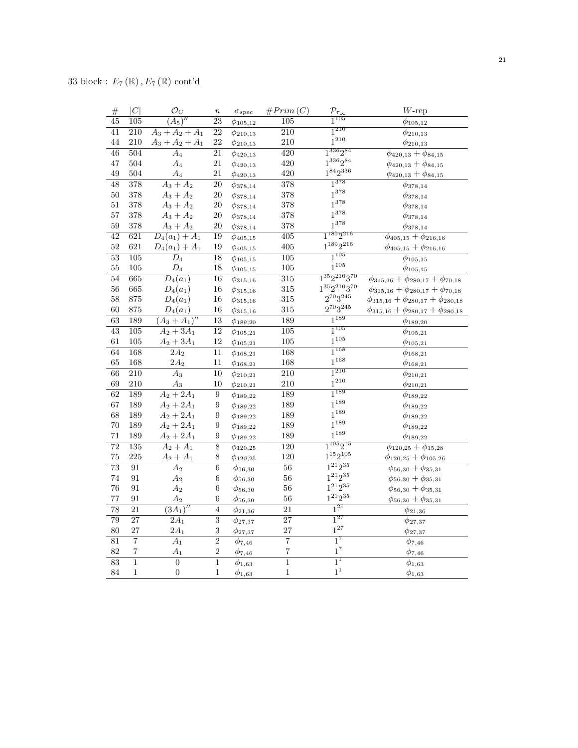| $\#$            | C                | $\mathcal{O}_C$            | $\,n$            | $\sigma_{spec}$ | #Prim(C)         | $\frac{\mathcal{P}_{\tau_{\infty}}}{1^{105}}$ | $W$ -rep                                        |
|-----------------|------------------|----------------------------|------------------|-----------------|------------------|-----------------------------------------------|-------------------------------------------------|
| $\overline{45}$ | 105              | $\overline{(A_5)''}$       | $\overline{23}$  | $\phi_{105,12}$ | $\overline{105}$ |                                               | $\phi_{105,12}$                                 |
| 41              | 210              | $A_3 + A_2 + A_1$          | $\overline{22}$  | $\phi_{210,13}$ | $\overline{210}$ | $1^{210}$                                     | $\phi_{210,13}$                                 |
| 44              | 210              | $A_3 + A_2 + A_1$          | 22               | $\phi_{210,13}$ | 210              | $1^{210}$                                     | $\phi_{210,13}$                                 |
| $\overline{46}$ | 504              | $\overline{A_4}$           | 21               | $\phi_{420,13}$ | $\overline{420}$ | $1^{336}2^{84}$                               | $\phi_{420,13} + \phi_{84,15}$                  |
| 47              | 504              | $A_4$                      | 21               | $\phi_{420,13}$ | 420              | $1^{336}2^{84}$                               | $\phi_{420,13} + \phi_{84,15}$                  |
| 49              | 504              | $\mathcal{A}_4$            | 21               | $\phi_{420,13}$ | 420              | $1^{84}2^{336}$                               | $\phi_{420,13} + \phi_{84,15}$                  |
| $\overline{48}$ | 378              | $A_3 + A_2$                | $\overline{20}$  | $\phi_{378,14}$ | 378              | $1^{378}$                                     | $\phi_{378,14}$                                 |
| $50\,$          | 378              | $A_3 + A_2$                | 20               | $\phi_{378,14}$ | 378              | $1^{378}$                                     | $\phi_{378,14}$                                 |
| 51              | 378              | $A_3 + A_2$                | $20\,$           | $\phi_{378,14}$ | 378              | $1^{378}$                                     | $\phi_{378,14}$                                 |
| 57              | 378              | $A_3 + A_2$                | 20               | $\phi_{378,14}$ | 378              | $1^{378}$                                     | $\phi_{378,14}$                                 |
| $59\,$          | 378              | $A_3 + A_2$                | $20\,$           | $\phi_{378,14}$ | 378              | $1^{378}$                                     | $\phi_{378,14}$                                 |
| 42              | 621              | $\overline{D_4(a_1)+A_1}$  | $\overline{19}$  | $\phi_{405,15}$ | $\overline{405}$ | $1^{189}2^{216}$                              | $\phi_{405,15}+\phi_{216,16}$                   |
| $52\,$          | 621              | $D_4(a_1) + A_1$           | 19               | $\phi_{405,15}$ | 405              | $1^{189}2^{216}$                              | $\phi_{405,15}+\phi_{216,16}$                   |
| $\overline{53}$ | 105              | $\overline{D_4}$           | $\overline{18}$  | $\phi_{105,15}$ | 105              | $1^{105}$                                     | $\phi_{105,15}$                                 |
| $55\,$          | 105              | $\mathcal{D}_4$            | 18               | $\phi_{105,15}$ | 105              | $1^{105}$                                     | $\phi_{105,15}$                                 |
| $\overline{54}$ | 665              | $\overline{D_4(a_1)}$      | $\overline{16}$  | $\phi_{315,16}$ | $\overline{315}$ | $1^{35}2^{210}3^{70}$                         | $\phi_{315,16} + \phi_{280,17} + \phi_{70,18}$  |
| 56              | 665              | $D_4(a_1)$                 | $16\,$           | $\phi_{315,16}$ | 315              | $1^{35}2^{210}3^{70}$                         | $\phi_{315,16} + \phi_{280,17} + \phi_{70,18}$  |
| 58              | 875              | $D_4(a_1)$                 | 16               | $\phi_{315,16}$ | 315              | $2^{70}3^{245}\,$                             | $\phi_{315,16} + \phi_{280,17} + \phi_{280,18}$ |
| 60              | 875              | $D_4(a_1)$                 | 16               | $\phi_{315,16}$ | 315              | $2^{70}3^{245}$                               | $\phi_{315,16} + \phi_{280,17} + \phi_{280,18}$ |
| $\overline{63}$ | 189              | $(\overline{A_3 + A_1})''$ | $\overline{13}$  | $\phi_{189,20}$ | 189              | $1^{189}$                                     | $\phi_{189,20}$                                 |
| 43              | $\overline{105}$ | $A_2 + 3A_1$               | $\overline{12}$  | $\phi_{105,21}$ | $\overline{105}$ | $1^{105}$                                     | $\phi_{105,21}$                                 |
| 61              | 105              | $A_2 + 3A_1$               | $12\,$           | $\phi_{105,21}$ | 105              | $1^{105}$                                     | $\phi_{105,21}$                                 |
| 64              | 168              | $2A_2$                     | 11               | $\phi_{168,21}$ | 168              | $1^{168}$                                     | $\phi_{168,21}$                                 |
| 65              | 168              | $2A_2$                     | 11               | $\phi_{168,21}$ | 168              | $1^{168}$                                     | $\phi_{168,21}$                                 |
| $\overline{66}$ | $\overline{210}$ | $\overline{A_3}$           | $\overline{10}$  | $\phi_{210,21}$ | $\overline{210}$ | $1^{210}$                                     | $\phi_{210,21}$                                 |
| 69              | $210\,$          | $\mathcal{A}_3$            | 10               | $\phi_{210,21}$ | 210              | $1^{210}$                                     | $\phi_{210,21}$                                 |
| 62              | 189              | $A_2 + 2A_1$               | $\boldsymbol{9}$ | $\phi_{189,22}$ | 189              | $1^{189}$                                     | $\phi_{189,22}$                                 |
| 67              | 189              | $A_2 + 2A_1$               | 9                | $\phi_{189,22}$ | 189              | $1^{189}$                                     | $\phi_{189,22}$                                 |
| 68              | 189              | $A_2 + 2A_1$               | 9                | $\phi_{189,22}$ | 189              | $1^{189}$                                     | $\phi_{189,22}$                                 |
| 70              | 189              | $A_2 + 2A_1$               | 9                | $\phi_{189,22}$ | 189              | $1^{189}$                                     | $\phi_{189,22}$                                 |
| $71\,$          | 189              | $A_2 + 2A_1$               | 9                | $\phi_{189,22}$ | 189              | $1^{189}$                                     | $\phi_{189,22}$                                 |
| $\overline{72}$ | 135              | $A_2 + A_1$                | $\overline{8}$   | $\phi_{120,25}$ | 120              | $1^{105}2^{15}$                               | $\phi_{120,25} + \phi_{15,28}$                  |
| 75              | 225              | $A_2 + A_1$                | $8\,$            | $\phi_{120,25}$ | 120              | $1^{15}2^{105}$                               | $\phi_{120,25} + \phi_{105,26}$                 |
| $\overline{73}$ | 91               | $\overline{A_2}$           | $\overline{6}$   | $\phi_{56,30}$  | $\overline{56}$  | $1^{21}2^{35}$                                | $\overline{\phi_{56,30}} + \phi_{35,31}$        |
| $74\,$          | 91               | A <sub>2</sub>             | $\,6\,$          | $\phi_{56,30}$  | 56               | $1^{21}2^{35}$                                | $\phi_{56,30} + \phi_{35,31}$                   |
| 76              | 91               | $A_2$                      | 6                | $\phi_{56,30}$  | 56               | $1^{21}2^{35}$                                | $\phi_{56,30} + \phi_{35,31}$                   |
| 77              | $\rm 91$         | A <sub>2</sub>             | 6                | $\phi_{56,30}$  | 56               | $1^{21}2^{35}\,$                              | $\phi_{56,30} + \phi_{35,31}$                   |
| $\overline{78}$ | $\overline{21}$  | $\overline{(3A_1)''}$      | $\overline{4}$   | $\phi_{21,36}$  | $\overline{21}$  | $1^{21}$                                      | $\phi_{21,36}$                                  |
| 79              | 27               | $\overline{2A_1}$          | $\overline{3}$   | $\phi_{27,37}$  | 27               | $1^{27}$                                      | $\phi_{27,37}$                                  |
| 80              | 27               | $2A_1$                     | $\sqrt{3}$       | $\phi_{27,37}$  | 27               | $1^{27}$                                      | $\phi_{27,37}$                                  |
| $\overline{81}$ | $\overline{7}$   | $\overline{A_1}$           | $\overline{2}$   | $\phi_{7,46}$   | $\overline{7}$   | $1^7$                                         | $\phi_{7,46}$                                   |
| 82              | $\overline{7}$   | $A_1$                      | $\sqrt{2}$       | $\phi_{7,46}$   | $\overline{7}$   | $1^7\,$                                       | $\phi_{7,46}$                                   |
| 83              | $\overline{1}$   | $\overline{0}$             | $\mathbf{1}$     | $\phi_{1,63}$   | $\overline{1}$   | $1^1$                                         | $\overline{\phi}_{1,63}$                        |
| 84              | $\mathbf{1}$     | $\boldsymbol{0}$           | $\,1\,$          | $\phi_{1,63}$   | $\mathbf{1}$     | $1^1$                                         | $\phi_{1,63}$                                   |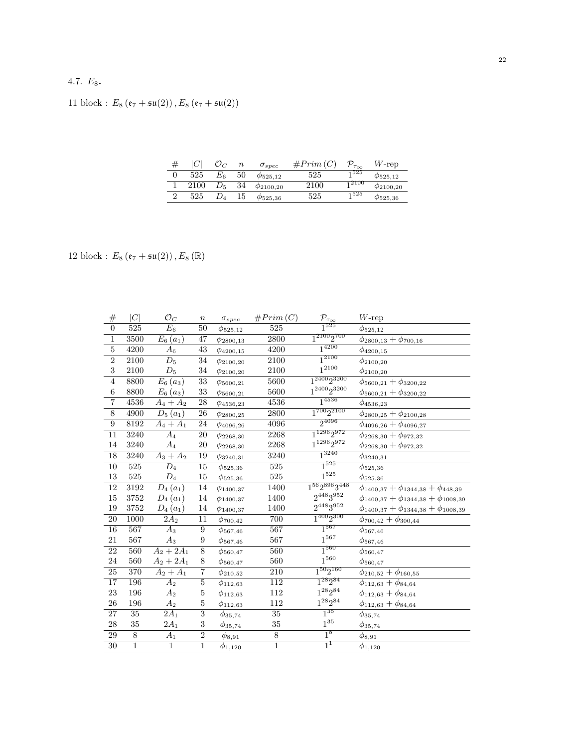## 4.7.  $E_8$ .

## 11 block :  $E_8\left(\mathfrak{e}_7 + \mathfrak{su}(2)\right), E_8\left(\mathfrak{e}_7 + \mathfrak{su}(2)\right)$

| # |      |         | $\it n$ | $\sigma_{spec}$     | #Prim (C | $\mathcal{D}_{\tau_{\infty}}$ | $W$ -rep            |
|---|------|---------|---------|---------------------|----------|-------------------------------|---------------------|
|   | 525  | $E_{6}$ | 50      | $\varphi_{525,12}$  | 525      | 1525                          | $\varphi_{525,12}$  |
|   | 2100 | $D_5$   | 34      | $\varphi_{2100,20}$ | 2100     | <sub>1</sub> 2100             | $\varphi_{2100,20}$ |
|   | 525  |         | 15      | $\varphi_{525,36}$  | 525      | 1525                          | $\varphi_{525,36}$  |

12 block :  $E_8$  ( $\mathfrak{e}_7 + \mathfrak{su}(2)$ ),  $E_8$  ( $\mathbb{R}$ )

| $\#$            | C              | $\mathcal{O}_C$       | $\, n$           | $\sigma_{spec}$       | #Prim(C)          | $\mathcal{P}_{\tau_{\underline{\infty}}}$ | $W$ -rep                                           |
|-----------------|----------------|-----------------------|------------------|-----------------------|-------------------|-------------------------------------------|----------------------------------------------------|
| $\overline{0}$  | 525            | $\overline{E_6}$      | 50               | $\phi_{525,12}$       | 525               | $1^{525}$                                 | $\phi_{525,12}$                                    |
| $\overline{1}$  | 3500           | $\overline{E}_6(a_1)$ | 47               | $\phi_{2800,13}$      | $\overline{2800}$ | $1^{2100}2^{700}$                         | $\phi_{2800,13} + \phi_{700,16}$                   |
| $\overline{5}$  | 4200           | $\scriptstyle A_6$    | 43               | $\phi_{4200,15}$      | 4200              | $1^{4200}$                                | $\phi_{4200,15}$                                   |
| $\overline{2}$  | 2100           | $\overline{D_5}$      | 34               | $\phi_{2100,20}$      | $\overline{2100}$ | $1^{2100}$                                | $\phi_{2100,20}$                                   |
| 3               | 2100           | $D_5$                 | $34\,$           | $\phi_{2100,20}$      | 2100              | $1^{2100}$                                | $\phi_{2100,20}$                                   |
| $\overline{4}$  | 8800           | $E_6(a_3)$            | 33               | $\phi_{\rm 5600, 21}$ | 5600              | $1^{2400}2^{3200}$                        | $\phi_{5600,21} + \phi_{3200,22}$                  |
| $\,6$           | 8800           | $E_6(a_3)$            | 33               | $\phi_{\rm 5600, 21}$ | 5600              | $1^{2400}2^{3200}\,$                      | $\phi_{5600,21} + \phi_{3200,22}$                  |
| $\overline{7}$  | 4536           | $A_4+A_2$             | 28               | $\phi_{4536,23}$      | 4536              | $1^{4536}$                                | $\phi_{4536,23}$                                   |
| $\,8\,$         | 4900           | $D_5(a_1)$            | 26               | $\phi_{2800,25}$      | 2800              | $1^{700}2^{2100}$                         | $\phi_{2800,25}+\phi_{2100,28}$                    |
| $\overline{9}$  | 8192           | $A_4 + A_1$           | 24               | $\phi_{4096,26}$      | 4096              | $2^{4096}$                                | $\phi_{4096,26} + \phi_{4096,27}$                  |
| $\overline{11}$ | 3240           | $A_4$                 | $20\,$           | $\phi_{2268,30}$      | 2268              | $1^{1296}2^{972}$                         | $\phi_{2268,30} + \phi_{972,32}$                   |
| 14              | 3240           | $A_4$                 | 20               | $\phi_{2268,30}$      | 2268              | $1^{1296}2^{972}\,$                       | $\phi_{2268,30} + \phi_{972,32}$                   |
| 18              | 3240           | $A_3 + A_2$           | 19               | $\phi_{3240,31}$      | 3240              | $1^{3240}$                                | $\phi_{3240,31}$                                   |
| $\overline{10}$ | 525            | $\overline{D_4}$      | 15               | $\phi_{525,36}$       | $\overline{525}$  | $1^{525}$                                 | $\phi_{525,36}$                                    |
| $13\,$          | $525\,$        | $D_4$                 | 15               | $\phi_{525,36}$       | $525\,$           | $1^{525}\,$                               | $\phi_{525,36}$                                    |
| 12              | 3192           | $D_4(a_1)$            | 14               | $\phi_{1400,37}$      | 1400              | $1^{56}2^{896}3^{448}$                    | $\phi_{1400,37} + \phi_{1344,38} + \phi_{448,39}$  |
| 15              | 3752           | $D_4(a_1)$            | 14               | $\phi_{1400,37}$      | 1400              | $2^{448}3^{952}$                          | $\phi_{1400,37} + \phi_{1344,38} + \phi_{1008,39}$ |
| 19              | 3752           | $D_4(a_1)$            | 14               | $\phi_{1400,37}$      | 1400              | $2^{448}3^{952}$                          | $\phi_{1400,37} + \phi_{1344,38} + \phi_{1008,39}$ |
| $\overline{20}$ | 1000           | $2A_2$                | $\overline{11}$  | $\phi_{700,42}$       | 700               | $1^{400}2^{300}$                          | $\phi_{700,42}+\phi_{300,44}$                      |
| 16              | 567            | $A_3$                 | $\boldsymbol{9}$ | $\phi_{567,46}$       | 567               | $1^{567}$                                 | $\phi_{567,46}$                                    |
| $21\,$          | 567            | $A_3$                 | 9                | $\phi_{567,46}$       | 567               | $1^{567}$                                 | $\phi_{567,46}$                                    |
| 22              | 560            | $A_2 + 2A_1$          | $\overline{8}$   | $\phi_{560,47}$       | 560               | $1^{560}$                                 | $\phi_{560,47}$                                    |
| 24              | $560\,$        | $A_2 + 2A_1$          | 8                | $\phi_{560,47}$       | 560               | $1^{560}\,$                               | $\phi_{560,47}$                                    |
| $\overline{25}$ | 370            | $A_2 + A_1$           | $\overline{7}$   | $\phi_{210,52}$       | 210               | $1^{50}2^{160}$                           | $\phi_{210,52}+\phi_{160,55}$                      |
| $\overline{17}$ | 196            | $\overline{A_2}$      | $\bf 5$          | $\phi_{112,63}$       | 112               | $1^{28}2^{84}$                            | $\phi_{112,63} + \phi_{84,64}$                     |
| 23              | 196            | A <sub>2</sub>        | $\mathbf 5$      | $\phi_{112,63}$       | $112\,$           | $1^{28}2^{84}\,$                          | $\phi_{112,63} + \phi_{84,64}$                     |
| 26              | 196            | $A_2$                 | $\bf 5$          | $\phi_{112,63}$       | 112               | $1^{28}2^{84}\,$                          | $\phi_{112,63} + \phi_{84,64}$                     |
| 27              | 35             | $2A_1$                | $\overline{3}$   | $\phi_{35,74}$        | 35                | $1^{35}$                                  | $\phi_{35,74}$                                     |
| 28              | $35\,$         | $2A_1$                | 3                | $\phi_{35,74}$        | $35\,$            | $1^{35}$                                  | $\phi_{35,74}$                                     |
| $\,29$          | $\overline{8}$ | $A_1$                 | $\overline{2}$   | $\phi_{8,91}$         | $\overline{8}$    | 1 <sup>8</sup>                            | $\phi_{8,91}$                                      |
| $\overline{30}$ | $\mathbf{1}$   | $\mathbf{1}$          | $\overline{1}$   | $\phi_{1,120}$        | $\overline{1}$    | $1^1$                                     | $\phi_{1,120}$                                     |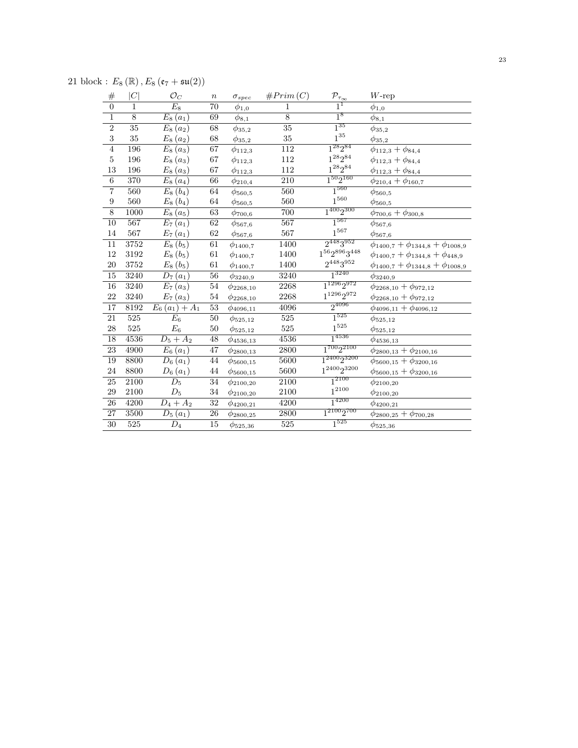21 block :  $E_8(\mathbb{R})$ ,  $E_8(\mathfrak{e}_7 + \mathfrak{su}(2))$ 

| #                       | C              | $\mathcal{O}_C$    | $\boldsymbol{n}$ | $\sigma_{spec}$       | #Prim(C)    | $\mathcal{P}_{\underline{\tau_{\infty}}}$ | $W$ -rep                                        |
|-------------------------|----------------|--------------------|------------------|-----------------------|-------------|-------------------------------------------|-------------------------------------------------|
| $\overline{0}$          | 1              | $E_8$              | 70               | $\phi_{1,0}$          | $\mathbf 1$ | $1^1$                                     | $\phi_{1,0}$                                    |
| $\overline{1}$          | $\overline{8}$ | $E_8(a_1)$         | 69               | $\phi_{8,1}$          | 8           | $1^8$                                     | $\phi_{8,1}$                                    |
| $\overline{2}$          | 35             | $E_8(a_2)$         | 68               | $\phi_{35,2}$         | 35          | $1^{35}$                                  | $\phi_{35,2}$                                   |
| $\overline{\mathbf{3}}$ | 35             | $E_8(a_2)$         | 68               | $\phi_{35,2}$         | $35\,$      | $1^{35}\,$                                | $\phi_{35,2}$                                   |
| $\overline{4}$          | 196            | $E_8(a_3)$         | $\overline{67}$  | $\phi_{112,3}$        | 112         | $1^{28}2^{84}$                            | $\phi_{112,3} + \phi_{84,4}$                    |
| $\bf 5$                 | 196            | $E_8(a_3)$         | $67\,$           | $\phi_{112,3}$        | 112         | $1^{28}2^{84}\,$                          | $\phi_{112,3} + \phi_{84,4}$                    |
| $13\,$                  | 196            | $E_8(a_3)$         | 67               | $\phi_{112,3}$        | 112         | $1^{28}2^{84}\,$                          | $\phi_{112,3} + \phi_{84,4}$                    |
| $\overline{6}$          | 370            | $E_8(a_4)$         | 66               | $\phi_{210,4}$        | 210         | $1^{50}2^{160}$                           | $\phi_{210,4} + \phi_{160,7}$                   |
| $\overline{7}$          | 560            | $E_8(b_4)$         | 64               | $\phi_{560,5}$        | 560         | $1^{560}$                                 | $\phi_{560,5}$                                  |
| $\boldsymbol{9}$        | 560            | $E_8(b_4)$         | 64               | $\phi_{560,5}$        | 560         | $1^{560}\,$                               | $\phi_{560,5}$                                  |
| $\overline{8}$          | 1000           | $E_8(a_5)$         | 63               | $\phi_{700,6}$        | 700         | $1^{400}2^{300}$                          | $\phi_{700,6} + \phi_{300,8}$                   |
| $\overline{10}$         | 567            | $E_7(a_1)$         | $\overline{62}$  | $\phi_{567,6}$        | 567         | $1^{567}$                                 | $\phi$ 567,6                                    |
| 14                      | 567            | $E_7(a_1)$         | 62               | $\phi_{567,6}$        | 567         | $1^{567}$                                 | $\phi_{567,6}$                                  |
| 11                      | 3752           | $E_8(b_5)$         | 61               | $\phi_{1400,7}$       | 1400        | $2^{448}3^{952}$                          | $\phi_{1400,7} + \phi_{1344,8} + \phi_{1008,9}$ |
| 12                      | 3192           | $E_8(b_5)$         | $61\,$           | $\phi_{1400,7}$       | 1400        | $1^{56}2^{896}3^{448}\,$                  | $\phi_{1400,7} + \phi_{1344,8} + \phi_{448,9}$  |
| $20\,$                  | 3752           | $E_8(b_5)$         | 61               | $\phi_{1400,7}$       | 1400        | $2^{448}3^{952}\,$                        | $\phi_{1400,7} + \phi_{1344,8} + \phi_{1008,9}$ |
| $\overline{15}$         | 3240           | $D_7(a_1)$         | $\overline{56}$  | $\phi_{3240,9}$       | 3240        | $1^{3240}$                                | $\phi_{3240,9}$                                 |
| 16                      | 3240           | $E_7(a_3)$         | 54               | $\phi_{2268,10}$      | 2268        | $1^{1296}2^{972}$                         | $\phi_{2268,10} + \phi_{972,12}$                |
| 22                      | 3240           | $E_7(a_3)$         | 54               | $\phi_{2268,10}$      | 2268        | $1^{1296}2^{972}$                         | $\phi_{2268,10} + \phi_{972,12}$                |
| $\overline{17}$         | 8192           | $E_6(a_1) + A_1$   | $\overline{53}$  | $\phi_{4096,11}$      | 4096        | $2^{4096}$                                | $\phi_{4096,11} + \phi_{4096,12}$               |
| $\overline{21}$         | 525            | $E_{6}$            | $50\,$           | $\phi_{525,12}$       | 525         | $1^{525}$                                 | $\phi_{525,12}$                                 |
| 28                      | 525            | $\scriptstyle E_6$ | $50\,$           | $\phi_{525,12}$       | 525         | $1^{525}$                                 | $\phi_{525,12}$                                 |
| 18                      | 4536           | $D_5 + A_2$        | 48               | $\phi$ 4536,13        | 4536        | $1^{4536}$                                | $\phi$ 4536,13                                  |
| $\overline{23}$         | 4900           | $E_6(a_1)$         | 47               | $\phi_{2800,13}$      | 2800        | $1^{700}2^{2100}$                         | $\phi_{2800,13} + \phi_{2100,16}$               |
| 19                      | 8800           | $D_6(a_1)$         | 44               | $\phi_{\rm{5600,15}}$ | 5600        | 1 <sup>2400</sup> 2 <sup>3200</sup>       | $\phi_{5600,15}+\phi_{3200,16}$                 |
| 24                      | 8800           | $D_6(a_1)$         | 44               | $\phi_{5600,15}$      | 5600        | $1^{2400}2^{3200}$                        | $\phi_{5600,15}+\phi_{3200,16}$                 |
| 25                      | 2100           | $\overline{D_5}$   | 34               | $\phi_{2100,20}$      | 2100        | $1^{2100}$                                | $\phi_{2100,20}$                                |
| 29                      | 2100           | $\mathcal{D}_5$    | 34               | $\phi_{2100,20}$      | 2100        | $1^{2100}$                                | $\phi_{2100,20}$                                |
| $26\,$                  | 4200           | $D_4 + A_2$        | $32\,$           | $\phi_{4200,21}$      | 4200        | $1^{4200}$                                | $\phi_{4200,21}$                                |
| 27                      | 3500           | $D_5(a_1)$         | 26               | $\phi_{2800,25}$      | 2800        | $1^{2100}2^{700}$                         | $\phi_{2800,25} + \phi_{700,28}$                |
| $\overline{30}$         | 525            | $D_4$              | 15               | $\phi_{525,36}$       | 525         | $1^{525}$                                 | $\phi_{525,36}$                                 |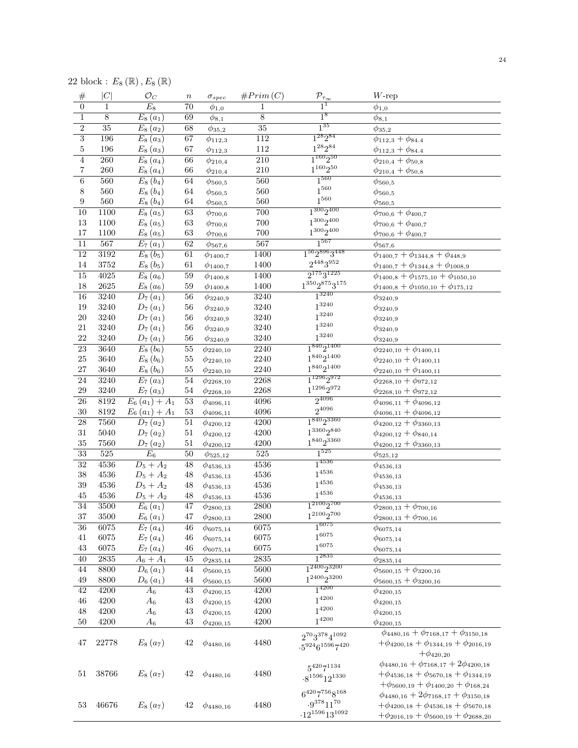| $\#$            | C                 | $\circ$ $\circ$ $\circ$ $\circ$ $\circ$<br>$\mathcal{O}_C$ | $\it n$         | $\sigma_{spec}$  | #Prim(C)         | $\mathcal{P}_{\underline{\tau_{\infty}}}$                             | $W$ -rep                                                                                                                                                  |
|-----------------|-------------------|------------------------------------------------------------|-----------------|------------------|------------------|-----------------------------------------------------------------------|-----------------------------------------------------------------------------------------------------------------------------------------------------------|
| $\overline{0}$  | 1                 | $E_8$                                                      | 70              | $\phi_{1,0}$     | $\mathbf 1$      | $\overline{1}^{\overline{1}}$                                         | $\phi_{1,0}$                                                                                                                                              |
| $\mathbf{1}$    | 8                 | $E_8(a_1)$                                                 | 69              | $\phi_{8,1}$     | $\overline{8}$   | 1 <sup>8</sup>                                                        | $\phi_{8,1}$                                                                                                                                              |
| $\overline{2}$  | $\overline{35}$   | $E_8(a_2)$                                                 | 68              | $\phi_{35,2}$    | 35               | $1^{35}$                                                              | $\phi_{35,2}$                                                                                                                                             |
| $\overline{3}$  | 196               | $E_8(a_3)$                                                 | 67              | $\phi_{112,3}$   | 112              | $1^{28}2^{84}$                                                        | $\phi_{112,3} + \phi_{84.4}$                                                                                                                              |
| $\overline{5}$  | 196               | $E_8(a_3)$                                                 | 67              | $\phi_{112,3}$   | 112              | $1^{28}2^{84}\,$                                                      | $\phi_{112,3} + \phi_{84.4}$                                                                                                                              |
| $\overline{4}$  | 260               | $E_8(a_4)$                                                 | 66              | $\phi_{210,4}$   | $\overline{210}$ | $1^{160}2^{50}$                                                       | $\phi_{210,4} + \phi_{50,8}$                                                                                                                              |
| 7               | 260               | $E_8(a_4)$                                                 | 66              | $\phi_{210,4}$   | 210              | $1^{160}2^{50}$                                                       | $\phi_{210,4} + \phi_{50,8}$                                                                                                                              |
| 6               | 560               | $E_8(b_4)$                                                 | 64              | $\phi_{560,5}$   | 560              | $1^{560}$                                                             | $\phi_{560,5}$                                                                                                                                            |
| 8               | 560               | $E_8(b_4)$                                                 | 64              | $\phi_{560,5}$   | $560\,$          | $1^{560}\,$                                                           | $\phi_{560,5}$                                                                                                                                            |
| 9               | 560               | $E_8(b_4)$                                                 | 64              | $\phi_{560,5}$   | 560              | $1^{560}\,$                                                           | $\phi_{560,5}$                                                                                                                                            |
| $\overline{10}$ | 1100              | $\overline{E}_8(a_5)$                                      | 63              | $\phi_{700,6}$   | 700              | $1^{300}2^{400}$                                                      | $\phi_{700,6} + \phi_{400,7}$                                                                                                                             |
| $13\,$          | 1100              | $E_8(a_5)$                                                 | 63              | $\phi_{700,6}$   | 700              | $1^{300}2^{400}$                                                      | $\phi_{700,6} + \phi_{400,7}$                                                                                                                             |
| 17              | 1100              | $E_8(a_5)$                                                 | 63              | $\phi_{700,6}$   | 700              | $1^{300}2^{400}$                                                      | $\phi_{700,6} + \phi_{400,7}$                                                                                                                             |
| 11              | 567               | $E_7(a_1)$                                                 | $\overline{62}$ | $\phi_{567,6}$   | 567              | $1^{567}$                                                             | $\phi_{567,6}$                                                                                                                                            |
| $\overline{12}$ | 3192              | $E_8(b_5)$                                                 | 61              | $\phi_{1400,7}$  | 1400             | $1^{56}2^{896}3^{448}$                                                | $\phi_{1400,7} + \phi_{1344,8} + \phi_{448,9}$                                                                                                            |
| 14              | 3752              | $E_8(b_5)$                                                 | 61              | $\phi_{1400,7}$  | 1400             | $2^{448}3^{952}$                                                      | $\phi_{1400,7} + \phi_{1344,8} + \phi_{1008,9}$                                                                                                           |
| $\overline{15}$ | 4025              | $E_8(a_6)$                                                 | $\overline{59}$ |                  | 1400             | $2^{175}3^{1225}$                                                     |                                                                                                                                                           |
| 18              | 2625              | $E_8(a_6)$                                                 | 59              | $\phi_{1400,8}$  | 1400             | $1^{350}2^{875}3^{175}$                                               | $\phi_{1400,8} + \phi_{1575,10} + \phi_{1050,10}$                                                                                                         |
| 16              | 3240              | $D_7(a_1)$                                                 |                 | $\phi_{1400, 8}$ | 3240             | $1^{3240}$                                                            | $\phi_{1400,8} + \phi_{1050,10} + \phi_{175,12}$                                                                                                          |
| 19              | 3240              |                                                            | 56<br>56        | $\phi_{3240,9}$  | 3240             | $1^{3240}$                                                            | $\phi_{3240,9}$                                                                                                                                           |
| $20\,$          |                   | $D_7(a_1)$                                                 |                 | $\phi_{3240,9}$  |                  | $1^{3240}$                                                            | $\phi_{3240,9}$                                                                                                                                           |
| 21              | 3240              | $D_7(a_1)$                                                 | $56\,$          | $\phi_{3240,9}$  | 3240             | $1^{3240}$                                                            | $\phi_{3240,9}$                                                                                                                                           |
| 22              | 3240<br>3240      | $D_7(a_1)$                                                 | $56\,$<br>56    | $\phi_{3240,9}$  | 3240<br>3240     | $1^{3240}$                                                            | $\phi_{3240,9}$                                                                                                                                           |
|                 |                   | $D_7(a_1)$                                                 |                 | $\phi_{3240,9}$  |                  | $1^{840}2^{1400}$                                                     | $\phi_{3240,9}$                                                                                                                                           |
| $\overline{23}$ | 3640              | $E_8(b_6)$                                                 | $55\,$          | $\phi_{2240,10}$ | 2240             | $1^{840}2^{1400}$                                                     | $\phi_{2240,10} + \phi_{1400,11}$                                                                                                                         |
| $25\,$          | 3640              | $E_8(b_6)$                                                 | 55              | $\phi_{2240,10}$ | 2240             | $1^{840}2^{1400}$                                                     | $\phi_{2240,10} + \phi_{1400,11}$                                                                                                                         |
| $27\,$          | 3640              | $E_8(b_6)$                                                 | $55\,$          | $\phi_{2240,10}$ | 2240             | $1^{1296}2^{972}$                                                     | $\phi_{2240,10} + \phi_{1400,11}$                                                                                                                         |
| 24              | 3240              | $E_7(a_3)$                                                 | 54              | $\phi_{2268,10}$ | 2268             | $1^{1296}2^{972}$                                                     | $\phi_{2268,10} + \phi_{972,12}$                                                                                                                          |
| $\,29$          | 3240              | $E_7(a_3)$                                                 | 54              | $\phi_{2268,10}$ | 2268             |                                                                       | $\phi_{2268,10}+\phi_{972,12}$                                                                                                                            |
| 26              | 8192              | $E_6(a_1) + A_1$                                           | $\overline{53}$ | $\phi_{4096,11}$ | 4096             | $2^{4096}$<br>$2^{4096}$                                              | $\phi_{4096,11} + \phi_{4096,12}$                                                                                                                         |
| $30\,$          | 8192              | $E_6(a_1) + A_1$                                           | 53              | $\phi_{4096,11}$ | 4096             |                                                                       | $\phi_{4096,11} + \phi_{4096,12}$                                                                                                                         |
| 28              | 7560              | $D_7(a_2)$                                                 | 51              | $\phi_{4200,12}$ | 4200             | $1^{840}2^{3360}$                                                     | $\phi_{4200,12} + \phi_{3360,13}$                                                                                                                         |
| $31\,$          | 5040              | $D_7(a_2)$                                                 | 51              | $\phi_{4200,12}$ | 4200             | $1^{3360}2^{840}$                                                     | $\phi_{4200,12} + \phi_{840,14}$                                                                                                                          |
| $35\,$          | 7560              | $D_7(a_2)$                                                 | 51              | $\phi_{4200,12}$ | 4200             | $1^{840}2^{3360}$                                                     | $\phi_{4200,12}+\phi_{3360,13}$                                                                                                                           |
| $\overline{33}$ | 525               | $E_6$                                                      | $50\,$          | $\phi_{525,12}$  | $525$            | $1^{525}$                                                             | $\phi_{525,12}$                                                                                                                                           |
| $\overline{32}$ | 4536              | $D_5 + A_2$                                                | 48              | $\phi$ 4536,13   | 4536             | $1^{4536}$                                                            | $\phi_{4536,13}$                                                                                                                                          |
| 38              | 4536              | $D_5 + A_2$                                                | 48              | $\phi$ 4536,13   | 4536             | $1^{4536}$                                                            | $\phi$ 4536,13                                                                                                                                            |
| 39              | 4536              | $D_5 + A_2$                                                | 48              | $\phi_{4536,13}$ | 4536             | $1^{4536}$                                                            | $\phi_{4536,13}$                                                                                                                                          |
| 45              | 4536              | $D_5 + A_2$                                                | 48              | $\phi$ 4536,13   | 4536             | $1^{4536}$                                                            | $\phi_{4536,13}$                                                                                                                                          |
| 34              | 3500              | $E_6(a_1)$                                                 | 47              | $\phi_{2800,13}$ | 2800             | $1^{2100}2^{700}$                                                     | $\phi_{2800,13} + \phi_{700,16}$                                                                                                                          |
| $37\,$          | 3500              | $E_6(a_1)$                                                 | 47              | $\phi_{2800,13}$ | 2800             | $1^{2100}2^{700}$                                                     | $\phi_{2800,13} + \phi_{700,16}$                                                                                                                          |
| $\overline{36}$ | 6075              | $E_7(a_4)$                                                 | $\sqrt{46}$     | $\phi_{6075,14}$ | 6075             | $1^{6075}$                                                            | $\phi_{6075,14}$                                                                                                                                          |
| 41              | 6075              | $E_7(a_4)$                                                 | 46              | $\phi_{6075,14}$ | 6075             | $1^{6075}$                                                            | $\phi_{6075,14}$                                                                                                                                          |
| $43\,$          | 6075              | $E_7(a_4)$                                                 | 46              | $\phi_{6075,14}$ | 6075             | $1^{6075}$                                                            | $\phi_{6075,14}$                                                                                                                                          |
| 40              | $\overline{2835}$ | $A_6 + A_1$                                                | 45              | $\phi_{2835,14}$ | 2835             | $1^{2835}$                                                            | $\phi_{2835,14}$                                                                                                                                          |
| $\overline{44}$ | 8800              | $D_6(a_1)$                                                 | 44              | $\phi_{5600,15}$ | 5600             | $1^{2400}2^{3200}$                                                    | $\phi_{5600,15}+\phi_{3200,16}$                                                                                                                           |
| 49              | 8800              | $D_6(a_1)$                                                 | 44              | $\phi_{5600,15}$ | 5600             | $1^{2400}2^{3200}$                                                    | $\phi_{5600,15}+\phi_{3200,16}$                                                                                                                           |
| $\overline{42}$ | 4200              | $A_6$                                                      | 43              | $\phi_{4200,15}$ | 4200             | $1^{4200}$                                                            | $\phi_{4200,15}$                                                                                                                                          |
| 46              | 4200              | $A_6$                                                      | $\rm 43$        | $\phi_{4200,15}$ | 4200             | $1^{4200}$                                                            | $\phi_{4200,15}$                                                                                                                                          |
| 48              | 4200              | $A_6$                                                      | $\rm 43$        | $\phi_{4200,15}$ | 4200             | $1^{4200}$                                                            | $\phi_{4200,15}$                                                                                                                                          |
| $50\,$          | 4200              | $A_6$                                                      | 43              | $\phi_{4200,15}$ | 4200             | $1^{4200}\,$                                                          | $\phi_{4200,15}$                                                                                                                                          |
| 47              | 22778             | $E_8(a_7)$                                                 | 42              | $\phi_{4480,16}$ | 4480             | $2^{70}3^{378}4^{1092}$<br>$-5^{924}6^{1596}7^{420}$                  | $\phi_{4480,16} + \phi_{7168,17} + \phi_{3150,18}$<br>$+\phi_{4200,18} + \phi_{1344,19} + \phi_{2016,19}$<br>$+\phi_{420,20}$                             |
| 51              | 38766             | $E_8(a_7)$                                                 | 42              | $\phi_{4480,16}$ | 4480             | $5^{420}7^{1134}$<br>$-8^{1596}12^{1330}$                             | $\phi_{4480,16} + \phi_{7168,17} + 2\phi_{4200,18}$<br>$+\phi_{4536,18}+\phi_{5670,18}+\phi_{1344,19}$<br>$+\phi_{5600,19}+\phi_{1400,20}+\phi_{168,24}$  |
| 53              | 46676             | $E_8(a_7)$                                                 | 42              | $\phi_{4480,16}$ | 4480             | $6^{420}7^{756}8^{168}$<br>$.9^{378}11^{70}$<br>$-12^{1596}13^{1092}$ | $\phi_{4480,16} + 2\phi_{7168,17} + \phi_{3150,18}$<br>$+\phi_{4200,18}+\phi_{4536,18}+\phi_{5670,18}$<br>$+\phi_{2016,19}+\phi_{5600,19}+\phi_{2688,20}$ |

22 block :  $E_8(\mathbb{R})$ ,  $E_8(\mathbb{R})$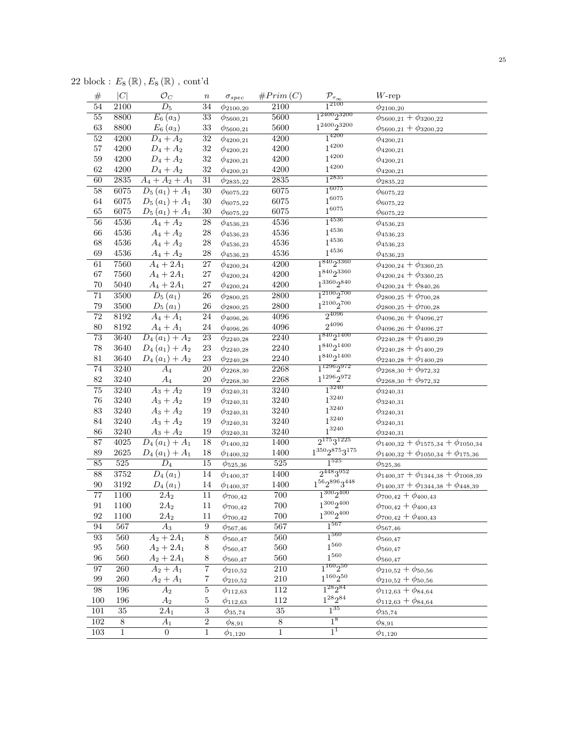22 block :  $E_8\left(\mathbb{R}\right),E_8\left(\mathbb{R}\right)$  , cont'd

| $\#$             | C               | $\mathcal{O}_C$              | $\,n$            | $\sigma_{spec}$  | #Prim(C)        | $\frac{\mathcal{P}_{\tau_{\infty}}}{1^{2100}}$ | $W$ -rep                                           |
|------------------|-----------------|------------------------------|------------------|------------------|-----------------|------------------------------------------------|----------------------------------------------------|
| 54               | 2100            | $\overline{D_5}$             | 34               | $\phi_{2100,20}$ | 2100            |                                                | $\phi_{2100,20}$                                   |
| $\overline{55}$  | 8800            | $E_6(a_3)$                   | $\overline{33}$  | $\phi_{5600,21}$ | 5600            | $1^{2400}2^{3200}$                             | $\phi_{5600,21} + \phi_{3200,22}$                  |
| 63               | 8800            | $E_6(a_3)$                   | $33\,$           | $\phi_{5600,21}$ | 5600            | $1^{2400}2^{3200}$                             | $\phi_{5600,21} + \phi_{3200,22}$                  |
| $\overline{52}$  | 4200            | $\overline{D_4 + A_2}$       | 32               | $\phi_{4200,21}$ | 4200            | $1^{4200}$                                     | $\phi_{4200,21}$                                   |
| $57\,$           | 4200            | $D_4 + A_2$                  | 32               | $\phi_{4200,21}$ | 4200            | $1^{4200}$                                     | $\phi_{4200,21}$                                   |
| $59\,$           | 4200            | $D_4 + A_2$                  | 32               | $\phi_{4200,21}$ | 4200            | $1^{4200}$                                     | $\phi_{4200,21}$                                   |
| $62\,$           | 4200            | $D_4 + A_2$                  | 32               | $\phi_{4200,21}$ | 4200            | $1^{4200}$                                     | $\phi_{4200,21}$                                   |
| 60               | 2835            | $\overline{A_4 + A_2 + A_1}$ | 31               | $\phi_{2835,22}$ | 2835            | $1^{2835}$                                     | $\phi_{2835,22}$                                   |
| $\overline{58}$  | 6075            | $D_5(a_1) + A_1$             | $\overline{30}$  | $\phi_{6075,22}$ | 6075            | $1^{6075}$                                     | $\phi_{6075,22}$                                   |
| 64               | 6075            | $D_5(a_1) + A_1$             | 30               | $\phi_{6075,22}$ | 6075            | $1^{6075}$                                     | $\phi_{6075,22}$                                   |
| 65               | 6075            | $D_5(a_1) + A_1$             | 30               | $\phi_{6075,22}$ | 6075            | $1^{6075}$                                     | $\phi_{6075,22}$                                   |
| 56               | 4536            | $\overline{A_4} + A_2$       | 28               | $\phi$ 4536,23   | 4536            | $1^{4536}$                                     | $\phi$ 4536,23                                     |
| $66\,$           | 4536            | $A_4 + A_2$                  | 28               | $\phi_{4536,23}$ | 4536            | $1^{4536}$                                     | $\phi_{4536,23}$                                   |
| 68               | 4536            | $A_4 + A_2$                  | $\sqrt{28}$      | $\phi_{4536,23}$ | 4536            | $1^{4536}$                                     | $\phi_{4536,23}$                                   |
| 69               | $4536\,$        | $A_4 + A_2$                  | $\sqrt{28}$      | $\phi_{4536,23}$ | 4536            | $1^{4536}$                                     | $\phi_{4536,23}$                                   |
| 61               | 7560            | $A_4 + 2A_1$                 | 27               | $\phi_{4200,24}$ | 4200            | $1^{840}2^{3360}$                              | $\phi_{4200,24} + \phi_{3360,25}$                  |
| 67               | 7560            | $A_4 + 2A_1$                 | 27               | $\phi_{4200,24}$ | 4200            | $1^{840}2^{3360}$                              | $\phi_{4200,24} + \phi_{3360,25}$                  |
| $70\,$           | 5040            | $A_4 + 2A_1$                 | 27               | $\phi_{4200,24}$ | 4200            | $1^{3360}2^{840}$                              | $\phi_{4200,24} + \phi_{840,26}$                   |
| $\overline{71}$  | 3500            | $D_5(a_1)$                   | ${\bf 26}$       | $\phi_{2800,25}$ | $2800\,$        | $1^{2100}2^{700}$                              | $\phi_{2800,25} + \phi_{700,28}$                   |
| 79               | $3500\,$        | $D_5(a_1)$                   | 26               | $\phi_{2800,25}$ | 2800            | $1^{2100}2^{700}\,$                            | $\phi_{2800,25} + \phi_{700,28}$                   |
| 72               | 8192            | $A_4 + A_1$                  | 24               | $\phi_{4096,26}$ | 4096            | $2^{4096}$                                     | $\phi_{4096,26} + \phi_{4096,27}$                  |
| 80               | 8192            | $A_4 + A_1$                  | $24\,$           | $\phi_{4096,26}$ | 4096            | $2^{4096}$                                     | $\phi_{4096,26} + \phi_{4096,27}$                  |
| 73               | 3640            | $D_4(a_1) + A_2$             | 23               | $\phi_{2240,28}$ | 2240            | $1^{840}2^{1400}$                              | $\phi_{2240,28} + \phi_{1400,29}$                  |
| 78               | 3640            | $D_4(a_1) + A_2$             | 23               | $\phi_{2240,28}$ | 2240            | $1^{840}2^{1400}$                              | $\phi_{2240,28} + \phi_{1400,29}$                  |
| 81               | 3640            | $D_4(a_1) + A_2$             | 23               | $\phi_{2240,28}$ | 2240            | $1^{840}2^{1400}$                              | $\phi_{2240,28} + \phi_{1400,29}$                  |
| $\overline{74}$  | 3240            | $A_4$                        | 20               | $\phi_{2268,30}$ | 2268            | $1^{1296}2^{972}$                              | $\phi_{2268,30} + \phi_{972,32}$                   |
| 82               | 3240            | $A_4$                        | $20\,$           | $\phi_{2268,30}$ | 2268            | $1^{1296}2^{972}$                              | $\phi_{2268,30} + \phi_{972,32}$                   |
| 75               | 3240            | $A_3 + A_2$                  | 19               | $\phi_{3240,31}$ | 3240            | $1^{3240}$                                     | $\phi_{3240,31}$                                   |
| 76               | 3240            | $A_3 + A_2$                  | 19               | $\phi_{3240,31}$ | 3240            | $1^{3240}$                                     | $\phi_{3240,31}$                                   |
| 83               | 3240            | $A_3 + A_2$                  | 19               | $\phi_{3240,31}$ | 3240            | $1^{3240}$                                     | $\phi_{3240,31}$                                   |
| 84               | 3240            | $A_3 + A_2$                  | 19               | $\phi_{3240,31}$ | 3240            | $1^{3240}$                                     | $\phi_{3240,31}$                                   |
| 86               | 3240            | $A_3 + A_2$                  | 19               | $\phi_{3240,31}$ | 3240            | $1^{3240}$                                     | $\phi_{3240,31}$                                   |
| 87               | 4025            | $D_4(a_1) + A_1$             | 18               | $\phi_{1400,32}$ | 1400            | $2^{175}3^{1225}$                              | $\phi_{1400,32} + \phi_{1575,34} + \phi_{1050,34}$ |
| 89               | $2625\,$        | $D_4(a_1) + A_1$             | 18               | $\phi_{1400,32}$ | 1400            | $1^{350}2^{875}3^{175}\,$                      | $\phi_{1400,32} + \phi_{1050,34} + \phi_{175,36}$  |
| 85               | 525             | $D_4$                        | 15               | $\phi_{525,36}$  | 525             | $1^{525}$                                      | $\phi_{525,36}$                                    |
| 88               | 3752            | $\overline{D}_4(a_1)$        | 14               | $\phi_{1400,37}$ | 1400            | $2^{448}3^{952}$                               | $\phi_{1400,37} + \phi_{1344,38} + \phi_{1008,39}$ |
| $90\,$           | $3192\,$        | $D_4(a_1)$                   | 14               | $\phi_{1400,37}$ | 1400            | $1^{56}2^{896}3^{448}\,$                       | $\phi_{1400,37} + \phi_{1344,38} + \phi_{448,39}$  |
| $\overline{77}$  | 1100            | $2A_2$                       | 11               | $\phi_{700,42}$  | $700\,$         | $1^{300}2^{400}$                               | $\phi_{700,42}+\phi_{400,43}$                      |
| 91               | 1100            | $2{\cal A}_2$                | 11               | $\phi_{700,42}$  | 700             | $1^{300}2^{400}$                               | $\phi_{700,42} + \phi_{400,43}$                    |
| 92               | 1100            | $2A_2$                       | $11\,$           | $\phi_{700,42}$  | 700             | $1^{300}2^{400}$                               | $\phi$ 700,42 + $\phi$ 400,43                      |
| 94               | 567             | $A_3$                        | $\boldsymbol{9}$ | $\phi_{567,46}$  | 567             | $1^{567}$                                      | $\phi_{567,46}$                                    |
| 93               | 560             | $A_2 + 2A_1$                 | 8                | $\phi_{560,47}$  | 560             | $\overline{1^{560}}$                           | $\phi_{560,47}$                                    |
| 95               | 560             | $A_2 + 2A_1$                 | 8                | $\phi_{560,47}$  | 560             | $1^{560}$                                      | $\phi_{560,47}$                                    |
| 96               | 560             | $A_2 + 2A_1$                 | 8                | $\phi_{560,47}$  | 560             | $1^{560}\,$                                    | $\phi_{560,47}$                                    |
| 97               | 260             | $A_2 + A_1$                  | $\overline{7}$   | $\phi_{210,52}$  | 210             | $1^{160}2^{50}$                                | $\phi_{210,52} + \phi_{50,56}$                     |
| 99               | $260\,$         | $A_2 + A_1$                  | 7                | $\phi_{210,52}$  | $210\,$         | $1^{160}2^{50}$                                | $\phi_{210,52}+\phi_{50,56}$                       |
| 98               | 196             | $A_2$                        | $\overline{5}$   | $\phi_{112,63}$  | $112\,$         | $1^{28}2^{84}$                                 | $\phi_{112,63} + \phi_{84,64}$                     |
| 100              | 196             | $A_2$                        | $\bf 5$          | $\phi_{112,63}$  | $112\,$         | $1^{28}2^{84}$                                 | $\phi_{112,63} + \phi_{84,64}$                     |
| 101              | $\overline{35}$ | $\overline{2A}_1$            | $\overline{3}$   | $\phi_{35,74}$   | $\overline{35}$ | $1^{35}$                                       | $\phi_{35,74}$                                     |
| $\overline{102}$ | $\overline{8}$  | $A_1$                        | $\overline{2}$   | $\phi_{8,91}$    | $\overline{8}$  | $1^8$                                          | $\phi_{8,91}$                                      |
| 103              | $\overline{1}$  | $\boldsymbol{0}$             | $\mathbf 1$      | $\phi_{1,120}$   | $\,1$           | 1 <sup>1</sup>                                 | $\phi_{1,120}$                                     |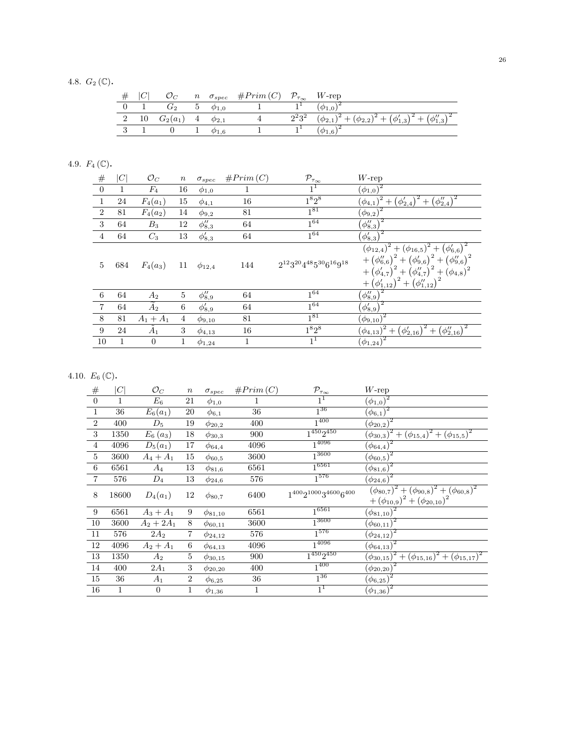4.8.  $G_2(\mathbb{C})$ .

|                 | $\mathcal{O}_C$                |                          | $n \quad \sigma_{spec} \quad \#Prim(C) \quad \mathcal{P}_{\tau_{\infty}} \quad W$ -rep |                                                                                       |
|-----------------|--------------------------------|--------------------------|----------------------------------------------------------------------------------------|---------------------------------------------------------------------------------------|
| $\sim$ 1 $\sim$ | $G_2$ 5 $\phi_{1,0}$           |                          |                                                                                        | $(\phi_{1,0})^2$                                                                      |
|                 | 2 10 $G_2(a_1)$ 4 $\phi_{2,1}$ |                          |                                                                                        | $2^{2}3^{2}$ $(\phi_{2,1})^{2}+(\phi_{2,2})^{2}+(\phi_{1,3}')^{2}+(\phi_{1,3}'')^{2}$ |
|                 |                                | $\perp \quad \phi_{1.6}$ |                                                                                        | $(\phi_{1,6})^2$                                                                      |

## 4.9.  $F_4(\mathbb{C})$ .

| $\#$             | C   | $\mathcal{O}_C$  | $\, n$         | $\sigma_{spec}$ | #Prim(C) | $\mathcal{P}_{\tau_\infty}$            | $W$ -rep                                                                                                                                                                                                                                                       |
|------------------|-----|------------------|----------------|-----------------|----------|----------------------------------------|----------------------------------------------------------------------------------------------------------------------------------------------------------------------------------------------------------------------------------------------------------------|
| $\boldsymbol{0}$ |     | $F_4$            | 16             | $\phi_{1,0}$    |          | $1^1$                                  | $(\phi_{1,0})^2$                                                                                                                                                                                                                                               |
| $\mathbf{1}$     | 24  | $F_4(a_1)$       | 15             | $\phi_{4,1}$    | 16       | $1^8 2^8$                              | $\overline{(\phi_{4,1})^2 + \big(\phi_{2,4}'\big)^2 + \big(\phi_{2,4}''\big)^2}$                                                                                                                                                                               |
| $\overline{2}$   | 81  | $F_4(a_2)$       | 14             | $\phi_{9,2}$    | 81       | $1^{81}$                               | $\left(\phi_{9,2}\right)^2$                                                                                                                                                                                                                                    |
| 3                | 64  | $B_3$            | 12             | $\phi_{8,3}''$  | 64       | $1^{64}$                               | $(\phi_{8,3}'')$                                                                                                                                                                                                                                               |
| $\overline{4}$   | 64  | $C_3$            | 13             | $\phi'_{8,3}$   | 64       | $1^{64}$                               | $(\phi_{8,3}')$                                                                                                                                                                                                                                                |
| 5                | 684 | $F_4(a_3)$       | 11             | $\phi_{12,4}$   | 144      | $2^{12}3^{20}4^{48}5^{30}6^{16}9^{18}$ | $\overline{(\phi_{12,4})^2 + (\phi_{16,5})^2 + (\phi_{6,6}')^2}$<br>+ $(\phi_{6,6}'')^2$ + $(\phi_{9,6}')^2$ + $(\phi_{9,6}'')^2$<br>+ $(\phi_{4,7}')^2$ + $(\phi_{4,7}')^2$ + $(\phi_{4,8})^2$<br>$+\left(\phi_{1,12}'\right)^2+\left(\phi_{1,12}''\right)^2$ |
| 6                | 64  | $A_2$            | 5              | $\phi_{8,9}''$  | 64       | $1^{64}$                               | $(\phi_{8,9}'')$                                                                                                                                                                                                                                               |
| $\overline{7}$   | 64  | $\overline{A_2}$ | 6              | $\phi'_{8,9}$   | 64       | $1^{64}$                               | $(\phi_{8,9}')$                                                                                                                                                                                                                                                |
| 8                | 81  | $A_1 + A_1$      | $\overline{4}$ | $\phi_{9,10}$   | 81       | $1^{81}$                               | $(\underline{\phi_{9,10}})^2$                                                                                                                                                                                                                                  |
| 9                | 24  | $\tilde{A}_1$    | 3              | $\phi_{4,13}$   | 16       | $1^8 2^8$                              | $\left(\phi_{2,16}'\right)^2+\left(\phi_{2,16}''\right)^2$<br>$(\phi_{4,13})^2 +$                                                                                                                                                                              |
| $10\,$           |     | $\theta$         | 1              | $\phi_{1,24}$   | 1        | 1 <sup>1</sup>                         | $(\phi_{1,24})^2$                                                                                                                                                                                                                                              |

## 4.10.  $E_6(\mathbb{C})$ .

| $\#$           | C     | $\mathcal{O}_C$ | $\boldsymbol{n}$ | $\sigma_{spec}$ | #Prim(C) | $\mathcal{P}_{\tau_\infty}$      | $W$ -rep                                                                                     |
|----------------|-------|-----------------|------------------|-----------------|----------|----------------------------------|----------------------------------------------------------------------------------------------|
| $\overline{0}$ | 1     | $E_{\rm 6}$     | 21               | $\phi_{1,0}$    |          | $1^1$                            | $(\phi_{1,0})^2$                                                                             |
| $\mathbf 1$    | 36    | $E_6(a_1)$      | 20               | $\phi_{6,1}$    | $36\,$   | $1^{36}$                         | $\overline{(\phi_{6,1})^2}$                                                                  |
| $\overline{2}$ | 400   | $D_5$           | 19               | $\phi_{20,2}$   | 400      | $1^{400}$                        | $(\phi_{20,2})^2$                                                                            |
| 3              | 1350  | $E_6(a_3)$      | 18               | $\phi_{30,3}$   | 900      | $1^{450}2^{450}$                 | $(\phi_{30,3})^2 + (\phi_{15,4})^2 + (\phi_{15,5})^2$                                        |
| $\overline{4}$ | 4096  | $D_5(a_1)$      | 17               | $\phi_{64,4}$   | 4096     | $1^{4096}$                       | $(\phi_{64,4})^2$                                                                            |
| $\overline{5}$ | 3600  | $A_4 + A_1$     | 15               | $\phi_{60,5}$   | 3600     | $1^{3600}$                       | $\overline{(\phi_{60,5})^2}$                                                                 |
| 6              | 6561  | $A_4$           | 13               | $\phi_{81,6}$   | 6561     | 16561                            | $\left(\phi_{81,6}\right)^2$                                                                 |
| 7              | 576   | $D_4$           | 13               | $\phi_{24,6}$   | 576      | $1^{576}$                        | $(\phi_{24,6})^2$                                                                            |
| 8              | 18600 | $D_4(a_1)$      | 12               | $\phi_{80,7}$   | 6400     | $1^{400}2^{1000}3^{4600}6^{400}$ | $(\phi_{80,7})^2 + (\phi_{90,8})^2 + (\phi_{60,8})^2$<br>$+(\phi_{10,9})^2+(\phi_{20,10})^2$ |
| 9              | 6561  | $A_3 + A_1$     | 9                | $\phi_{81,10}$  | 6561     | $1^{6561}$                       | $(\underline{\phi_{81,10}})^2$                                                               |
| 10             | 3600  | $A_2 + 2A_1$    | 8                | $\phi_{60,11}$  | 3600     | $1^{3600}$                       | $(\phi_{60,11})^2$                                                                           |
| 11             | 576   | $2A_2$          | 7                | $\phi_{24,12}$  | 576      | $1^{576}$                        | $(\frac{\phi_{24,12}}{2})^2$                                                                 |
| 12             | 4096  | $A_2 + A_1$     | 6                | $\phi_{64,13}$  | 4096     | $1^{4096}$                       | $(\phi_{64,13})^2$                                                                           |
| 13             | 1350  | $A_2$           | 5                | $\phi_{30,15}$  | 900      | $1^{450}2^{450}$                 | $(\phi_{30,15})^2 + (\phi_{15,16})^2 + (\phi_{15,17})^2$                                     |
| 14             | 400   | $2A_1$          | 3                | $\phi_{20,20}$  | 400      | $1^{400}$                        | $\left(\phi_{20,20}\right)^2$                                                                |
| 15             | 36    | $A_1$           | 2                | $\phi_{6,25}$   | 36       | $1^{36}$                         | $(\phi_{6,25})^2$                                                                            |
| 16             | 1     | $\theta$        | 1                | $\phi_{1,36}$   | 1        | 1 <sup>1</sup>                   | $\left(\phi_{1,36}\right)^2$                                                                 |